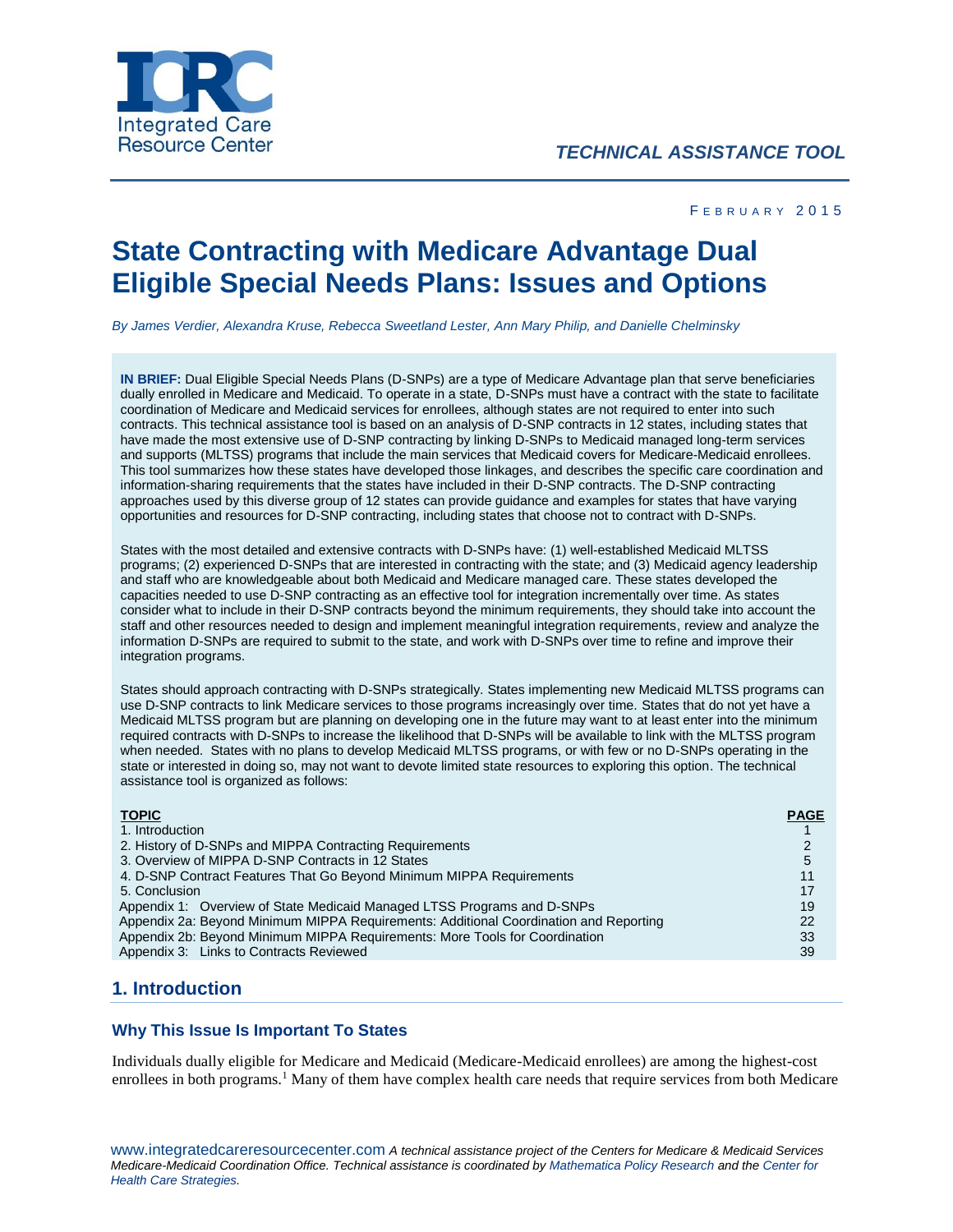

#### F F B R U A R Y 2015

# **State Contracting with Medicare Advantage Dual Eligible Special Needs Plans: Issues and Options**

*By James Verdier, Alexandra Kruse, Rebecca Sweetland Lester, Ann Mary Philip, and Danielle Chelminsky*

**IN BRIEF:** Dual Eligible Special Needs Plans (D-SNPs) are a type of Medicare Advantage plan that serve beneficiaries dually enrolled in Medicare and Medicaid. To operate in a state, D-SNPs must have a contract with the state to facilitate coordination of Medicare and Medicaid services for enrollees, although states are not required to enter into such contracts. This technical assistance tool is based on an analysis of D-SNP contracts in 12 states, including states that have made the most extensive use of D-SNP contracting by linking D-SNPs to Medicaid managed long-term services and supports (MLTSS) programs that include the main services that Medicaid covers for Medicare-Medicaid enrollees. This tool summarizes how these states have developed those linkages, and describes the specific care coordination and information-sharing requirements that the states have included in their D-SNP contracts. The D-SNP contracting approaches used by this diverse group of 12 states can provide guidance and examples for states that have varying opportunities and resources for D-SNP contracting, including states that choose not to contract with D-SNPs.

States with the most detailed and extensive contracts with D-SNPs have: (1) well-established Medicaid MLTSS programs; (2) experienced D-SNPs that are interested in contracting with the state; and (3) Medicaid agency leadership and staff who are knowledgeable about both Medicaid and Medicare managed care. These states developed the capacities needed to use D-SNP contracting as an effective tool for integration incrementally over time. As states consider what to include in their D-SNP contracts beyond the minimum requirements, they should take into account the staff and other resources needed to design and implement meaningful integration requirements, review and analyze the information D-SNPs are required to submit to the state, and work with D-SNPs over time to refine and improve their integration programs.

States should approach contracting with D-SNPs strategically. States implementing new Medicaid MLTSS programs can use D-SNP contracts to link Medicare services to those programs increasingly over time. States that do not yet have a Medicaid MLTSS program but are planning on developing one in the future may want to at least enter into the minimum required contracts with D-SNPs to increase the likelihood that D-SNPs will be available to link with the MLTSS program when needed. States with no plans to develop Medicaid MLTSS programs, or with few or no D-SNPs operating in the state or interested in doing so, may not want to devote limited state resources to exploring this option. The technical assistance tool is organized as follows:

| <b>TOPIC</b>                                                                          | <b>PAGE</b> |
|---------------------------------------------------------------------------------------|-------------|
| 1. Introduction                                                                       |             |
| 2. History of D-SNPs and MIPPA Contracting Requirements                               | 2           |
| 3. Overview of MIPPA D-SNP Contracts in 12 States                                     | 5           |
| 4. D-SNP Contract Features That Go Beyond Minimum MIPPA Requirements                  | 11          |
| 5. Conclusion                                                                         | 17          |
| Appendix 1: Overview of State Medicaid Managed LTSS Programs and D-SNPs               | 19          |
| Appendix 2a: Beyond Minimum MIPPA Requirements: Additional Coordination and Reporting | 22          |
| Appendix 2b: Beyond Minimum MIPPA Requirements: More Tools for Coordination           | 33          |
| Appendix 3: Links to Contracts Reviewed                                               | 39          |

## **1. Introduction**

### **Why This Issue Is Important To States**

Individuals dually eligible for Medicare and Medicaid (Medicare-Medicaid enrollees) are among the highest-cost enrollees in both programs.<sup>1</sup> Many of them have complex health care needs that require services from both Medicare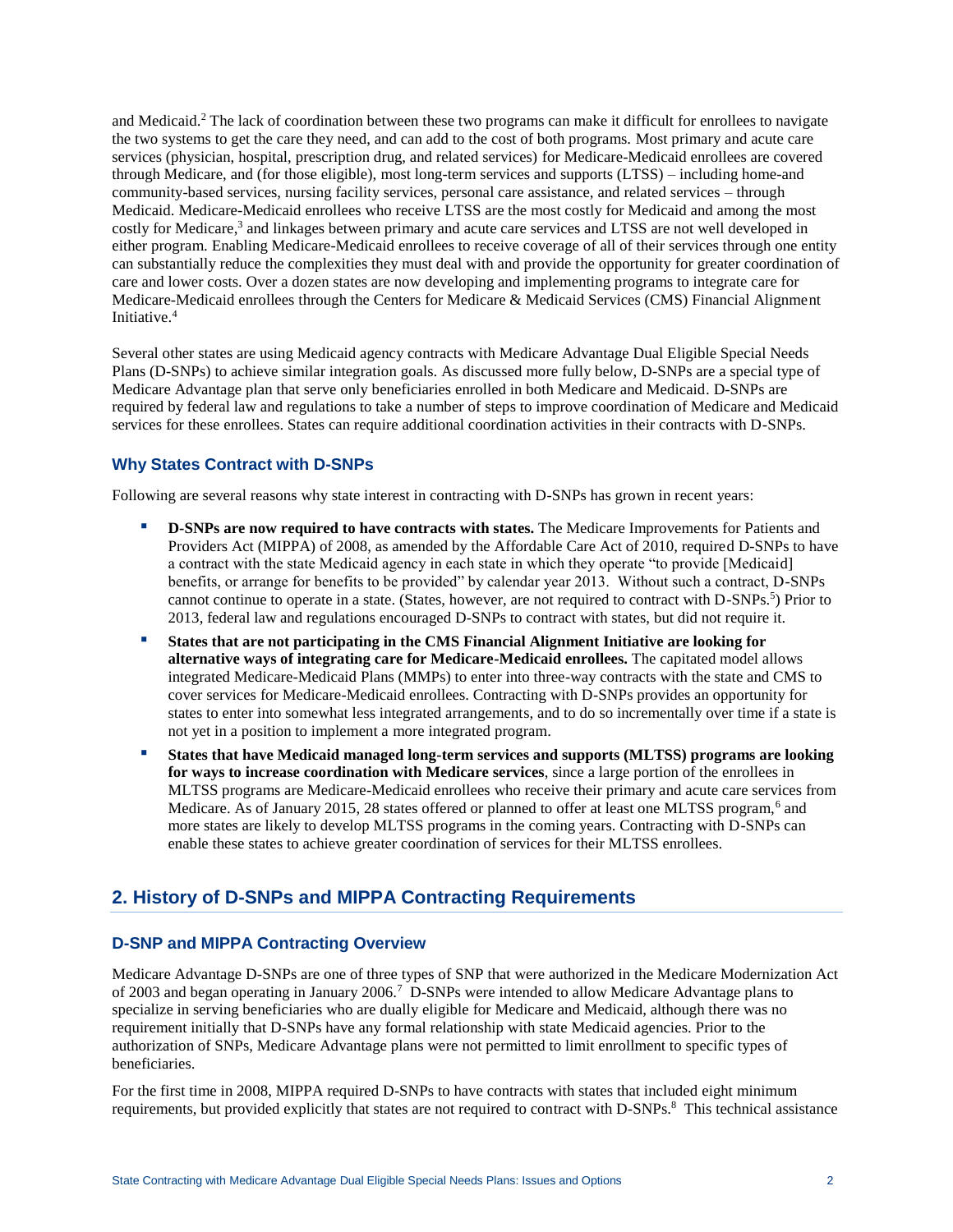and Medicaid.<sup>2</sup> The lack of coordination between these two programs can make it difficult for enrollees to navigate the two systems to get the care they need, and can add to the cost of both programs. Most primary and acute care services (physician, hospital, prescription drug, and related services) for Medicare-Medicaid enrollees are covered through Medicare, and (for those eligible), most long-term services and supports (LTSS) – including home-and community-based services, nursing facility services, personal care assistance, and related services – through Medicaid. Medicare-Medicaid enrollees who receive LTSS are the most costly for Medicaid and among the most costly for Medicare, 3 and linkages between primary and acute care services and LTSS are not well developed in either program. Enabling Medicare-Medicaid enrollees to receive coverage of all of their services through one entity can substantially reduce the complexities they must deal with and provide the opportunity for greater coordination of care and lower costs. Over a dozen states are now developing and implementing programs to integrate care for Medicare-Medicaid enrollees through the Centers for Medicare & Medicaid Services (CMS) Financial Alignment Initiative.<sup>4</sup>

Several other states are using Medicaid agency contracts with Medicare Advantage Dual Eligible Special Needs Plans (D-SNPs) to achieve similar integration goals. As discussed more fully below, D-SNPs are a special type of Medicare Advantage plan that serve only beneficiaries enrolled in both Medicare and Medicaid. D-SNPs are required by federal law and regulations to take a number of steps to improve coordination of Medicare and Medicaid services for these enrollees. States can require additional coordination activities in their contracts with D-SNPs.

## **Why States Contract with D-SNPs**

Following are several reasons why state interest in contracting with D-SNPs has grown in recent years:

- **D-SNPs are now required to have contracts with states.** The Medicare Improvements for Patients and Providers Act (MIPPA) of 2008, as amended by the Affordable Care Act of 2010, required D-SNPs to have a contract with the state Medicaid agency in each state in which they operate "to provide [Medicaid] benefits, or arrange for benefits to be provided" by calendar year 2013. Without such a contract, D-SNPs cannot continue to operate in a state. (States, however, are not required to contract with D-SNPs.<sup>5</sup>) Prior to 2013, federal law and regulations encouraged D-SNPs to contract with states, but did not require it.
- **States that are not participating in the CMS Financial Alignment Initiative are looking for alternative ways of integrating care for Medicare-Medicaid enrollees.** The capitated model allows integrated Medicare-Medicaid Plans (MMPs) to enter into three-way contracts with the state and CMS to cover services for Medicare-Medicaid enrollees. Contracting with D-SNPs provides an opportunity for states to enter into somewhat less integrated arrangements, and to do so incrementally over time if a state is not yet in a position to implement a more integrated program.
- **States that have Medicaid managed long-term services and supports (MLTSS) programs are looking for ways to increase coordination with Medicare services**, since a large portion of the enrollees in MLTSS programs are Medicare-Medicaid enrollees who receive their primary and acute care services from Medicare. As of January 2015, 28 states offered or planned to offer at least one MLTSS program,<sup>6</sup> and more states are likely to develop MLTSS programs in the coming years. Contracting with D-SNPs can enable these states to achieve greater coordination of services for their MLTSS enrollees.

# **2. History of D-SNPs and MIPPA Contracting Requirements**

## **D-SNP and MIPPA Contracting Overview**

Medicare Advantage D-SNPs are one of three types of SNP that were authorized in the Medicare Modernization Act of 2003 and began operating in January 2006.<sup>7</sup> D-SNPs were intended to allow Medicare Advantage plans to specialize in serving beneficiaries who are dually eligible for Medicare and Medicaid, although there was no requirement initially that D-SNPs have any formal relationship with state Medicaid agencies. Prior to the authorization of SNPs, Medicare Advantage plans were not permitted to limit enrollment to specific types of beneficiaries.

For the first time in 2008, MIPPA required D-SNPs to have contracts with states that included eight minimum requirements, but provided explicitly that states are not required to contract with D-SNPs.<sup>8</sup> This technical assistance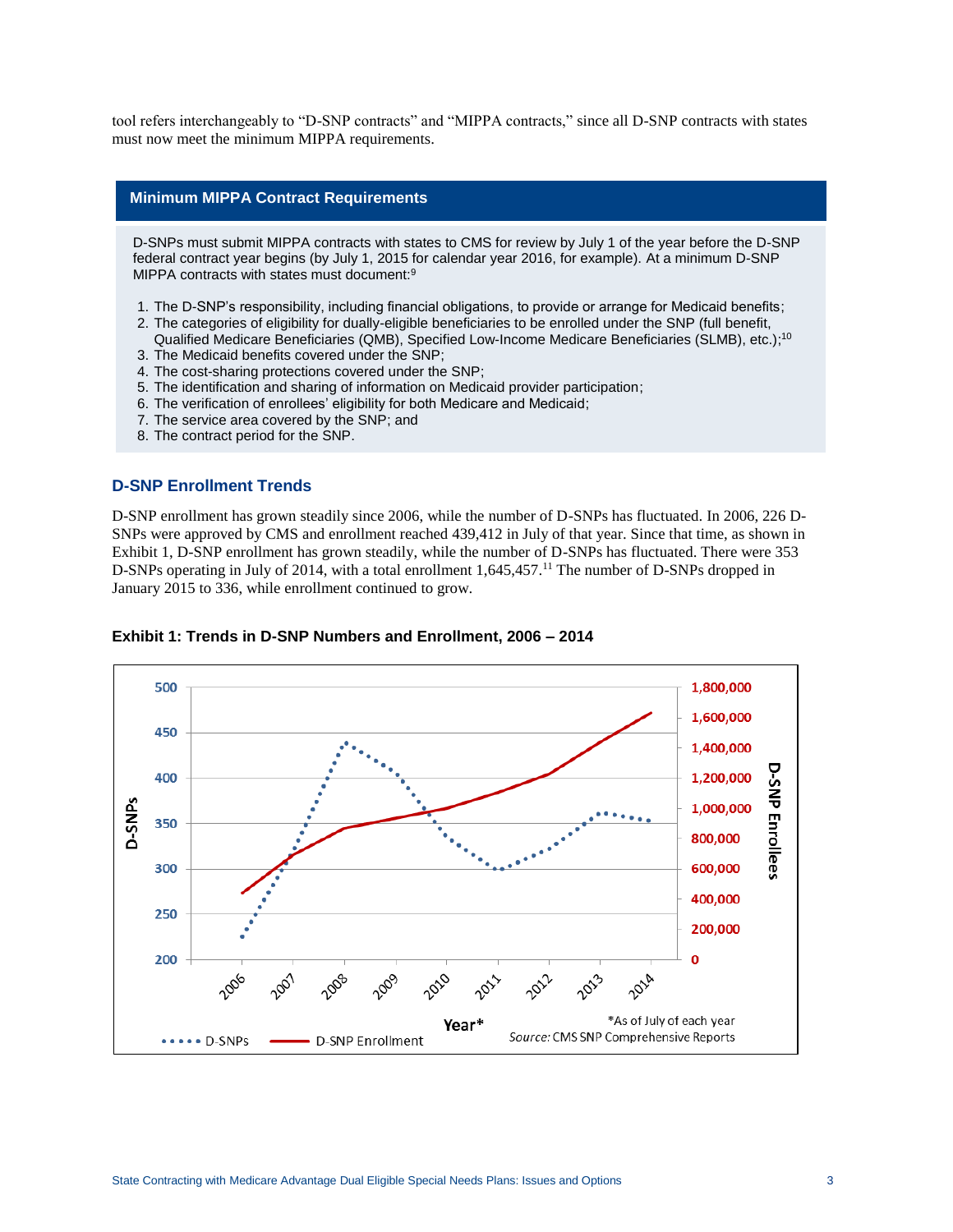tool refers interchangeably to "D-SNP contracts" and "MIPPA contracts," since all D-SNP contracts with states must now meet the minimum MIPPA requirements.

#### **Minimum MIPPA Contract Requirements**

D-SNPs must submit MIPPA contracts with states to CMS for review by July 1 of the year before the D-SNP federal contract year begins (by July 1, 2015 for calendar year 2016, for example). At a minimum D-SNP MIPPA contracts with states must document:<sup>9</sup>

- 1. The D-SNP's responsibility, including financial obligations, to provide or arrange for Medicaid benefits;
- 2. The categories of eligibility for dually-eligible beneficiaries to be enrolled under the SNP (full benefit, Qualified Medicare Beneficiaries (QMB), Specified Low-Income Medicare Beneficiaries (SLMB), etc.); 10
- 3. The Medicaid benefits covered under the SNP;
- 4. The cost-sharing protections covered under the SNP;
- 5. The identification and sharing of information on Medicaid provider participation;
- 6. The verification of enrollees' eligibility for both Medicare and Medicaid;
- 7. The service area covered by the SNP; and
- 8. The contract period for the SNP.

#### **D-SNP Enrollment Trends**

D-SNP enrollment has grown steadily since 2006, while the number of D-SNPs has fluctuated. In 2006, 226 D-SNPs were approved by CMS and enrollment reached 439,412 in July of that year. Since that time, as shown in Exhibit 1, D-SNP enrollment has grown steadily, while the number of D-SNPs has fluctuated. There were 353 D-SNPs operating in July of 2014, with a total enrollment 1,645,457.<sup>11</sup> The number of D-SNPs dropped in January 2015 to 336, while enrollment continued to grow.



**Exhibit 1: Trends in D-SNP Numbers and Enrollment, 2006 – 2014**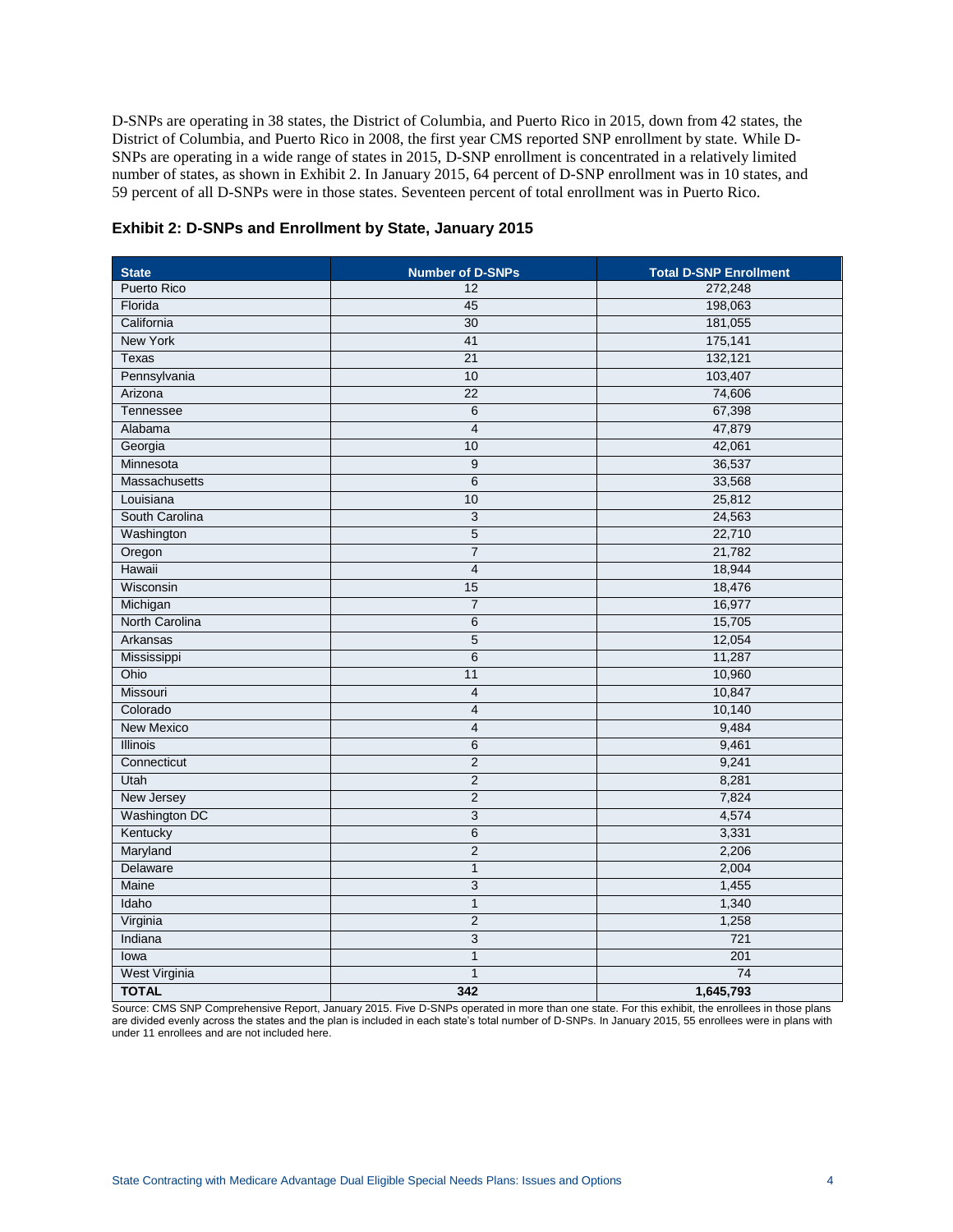D-SNPs are operating in 38 states, the District of Columbia, and Puerto Rico in 2015, down from 42 states, the District of Columbia, and Puerto Rico in 2008, the first year CMS reported SNP enrollment by state. While D-SNPs are operating in a wide range of states in 2015, D-SNP enrollment is concentrated in a relatively limited number of states, as shown in Exhibit 2. In January 2015, 64 percent of D-SNP enrollment was in 10 states, and 59 percent of all D-SNPs were in those states. Seventeen percent of total enrollment was in Puerto Rico.

| <b>State</b><br><b>Number of D-SNPs</b> |                 | <b>Total D-SNP Enrollment</b> |
|-----------------------------------------|-----------------|-------------------------------|
| <b>Puerto Rico</b>                      | 12              | 272,248                       |
| Florida                                 | 45              | 198,063                       |
| California                              | 30              | 181,055                       |
| <b>New York</b>                         | 41              | 175,141                       |
| Texas                                   | $\overline{21}$ | 132,121                       |
| Pennsylvania                            | 10              | 103,407                       |
| Arizona                                 | 22              | 74,606                        |
| Tennessee                               | 6               | 67,398                        |
| Alabama                                 | $\overline{4}$  | 47,879                        |
| Georgia                                 | 10              | 42,061                        |
| Minnesota                               | 9               | 36,537                        |
| <b>Massachusetts</b>                    | 6               | 33,568                        |
| Louisiana                               | 10              | 25,812                        |
| South Carolina                          | 3               | 24,563                        |
| Washington                              | 5               | 22,710                        |
| Oregon                                  | $\overline{7}$  | 21,782                        |
| Hawaii                                  | 4               | 18,944                        |
| Wisconsin                               | 15              | 18,476                        |
| Michigan                                | $\overline{7}$  | 16,977                        |
| North Carolina                          | $\overline{6}$  | 15,705                        |
| Arkansas                                | $\overline{5}$  | 12,054                        |
| Mississippi                             | $\overline{6}$  | 11,287                        |
| Ohio                                    | 11              | 10,960                        |
| Missouri                                | $\overline{4}$  | 10,847                        |
| Colorado                                | $\overline{4}$  | 10,140                        |
| <b>New Mexico</b>                       | $\overline{4}$  | 9,484                         |
| <b>Illinois</b>                         | 6               | 9,461                         |
| Connecticut                             | $\overline{2}$  | 9,241                         |
| Utah                                    | $\overline{2}$  | 8,281                         |
| New Jersey                              | $\overline{c}$  | 7,824                         |
| Washington DC                           | $\overline{3}$  | 4,574                         |
| Kentucky                                | 6               | 3,331                         |
| Maryland                                | $\overline{2}$  | 2,206                         |
| Delaware                                | $\mathbf{1}$    | 2,004                         |
| Maine                                   | 3               | 1,455                         |
| Idaho                                   | $\mathbf{1}$    | 1,340                         |
| Virginia                                | $\overline{2}$  | 1,258                         |
| Indiana                                 | 3               | 721                           |
| lowa                                    | $\overline{1}$  | 201                           |
| West Virginia                           | $\overline{1}$  | 74                            |
| <b>TOTAL</b>                            | 342             | 1,645,793                     |

#### **Exhibit 2: D-SNPs and Enrollment by State, January 2015**

Source: CMS SNP Comprehensive Report, January 2015. Five D-SNPs operated in more than one state. For this exhibit, the enrollees in those plans are divided evenly across the states and the plan is included in each state's total number of D-SNPs. In January 2015, 55 enrollees were in plans with under 11 enrollees and are not included here.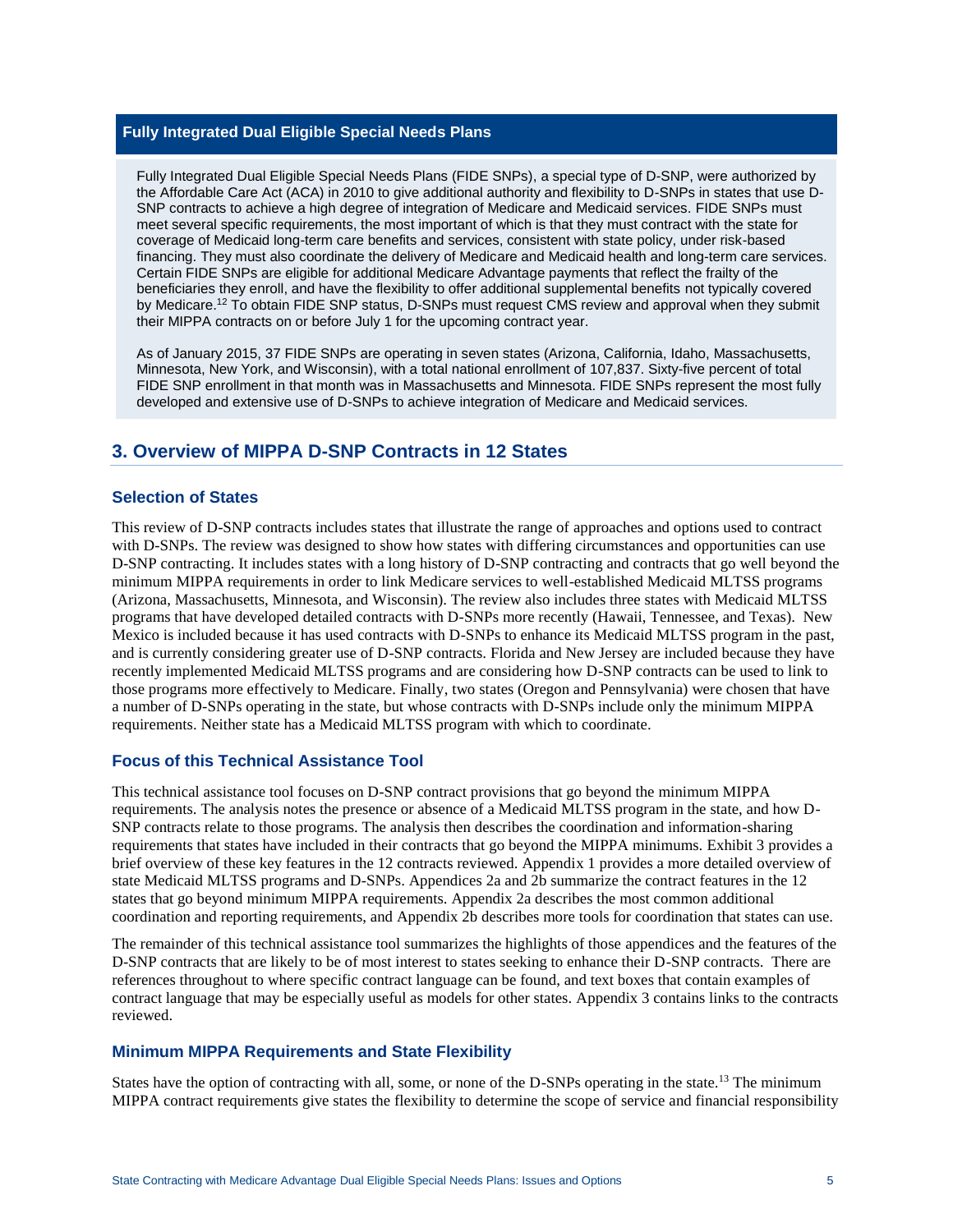## **Fully Integrated Dual Eligible Special Needs Plans**

Fully Integrated Dual Eligible Special Needs Plans (FIDE SNPs), a special type of D-SNP, were authorized by the Affordable Care Act (ACA) in 2010 to give additional authority and flexibility to D-SNPs in states that use D-SNP contracts to achieve a high degree of integration of Medicare and Medicaid services. FIDE SNPs must meet several specific requirements, the most important of which is that they must contract with the state for coverage of Medicaid long-term care benefits and services, consistent with state policy, under risk-based financing. They must also coordinate the delivery of Medicare and Medicaid health and long-term care services. Certain FIDE SNPs are eligible for additional Medicare Advantage payments that reflect the frailty of the beneficiaries they enroll, and have the flexibility to offer additional supplemental benefits not typically covered by Medicare.<sup>12</sup> To obtain FIDE SNP status, D-SNPs must request CMS review and approval when they submit their MIPPA contracts on or before July 1 for the upcoming contract year.

As of January 2015, 37 FIDE SNPs are operating in seven states (Arizona, California, Idaho, Massachusetts, Minnesota, New York, and Wisconsin), with a total national enrollment of 107,837. Sixty-five percent of total FIDE SNP enrollment in that month was in Massachusetts and Minnesota. FIDE SNPs represent the most fully developed and extensive use of D-SNPs to achieve integration of Medicare and Medicaid services.

## **3. Overview of MIPPA D-SNP Contracts in 12 States**

#### **Selection of States**

This review of D-SNP contracts includes states that illustrate the range of approaches and options used to contract with D-SNPs. The review was designed to show how states with differing circumstances and opportunities can use D-SNP contracting. It includes states with a long history of D-SNP contracting and contracts that go well beyond the minimum MIPPA requirements in order to link Medicare services to well-established Medicaid MLTSS programs (Arizona, Massachusetts, Minnesota, and Wisconsin). The review also includes three states with Medicaid MLTSS programs that have developed detailed contracts with D-SNPs more recently (Hawaii, Tennessee, and Texas). New Mexico is included because it has used contracts with D-SNPs to enhance its Medicaid MLTSS program in the past, and is currently considering greater use of D-SNP contracts. Florida and New Jersey are included because they have recently implemented Medicaid MLTSS programs and are considering how D-SNP contracts can be used to link to those programs more effectively to Medicare. Finally, two states (Oregon and Pennsylvania) were chosen that have a number of D-SNPs operating in the state, but whose contracts with D-SNPs include only the minimum MIPPA requirements. Neither state has a Medicaid MLTSS program with which to coordinate.

### **Focus of this Technical Assistance Tool**

This technical assistance tool focuses on D-SNP contract provisions that go beyond the minimum MIPPA requirements. The analysis notes the presence or absence of a Medicaid MLTSS program in the state, and how D-SNP contracts relate to those programs. The analysis then describes the coordination and information-sharing requirements that states have included in their contracts that go beyond the MIPPA minimums. Exhibit 3 provides a brief overview of these key features in the 12 contracts reviewed. Appendix 1 provides a more detailed overview of state Medicaid MLTSS programs and D-SNPs. Appendices 2a and 2b summarize the contract features in the 12 states that go beyond minimum MIPPA requirements. Appendix 2a describes the most common additional coordination and reporting requirements, and Appendix 2b describes more tools for coordination that states can use.

The remainder of this technical assistance tool summarizes the highlights of those appendices and the features of the D-SNP contracts that are likely to be of most interest to states seeking to enhance their D-SNP contracts. There are references throughout to where specific contract language can be found, and text boxes that contain examples of contract language that may be especially useful as models for other states. Appendix 3 contains links to the contracts reviewed.

### **Minimum MIPPA Requirements and State Flexibility**

States have the option of contracting with all, some, or none of the D-SNPs operating in the state.<sup>13</sup> The minimum MIPPA contract requirements give states the flexibility to determine the scope of service and financial responsibility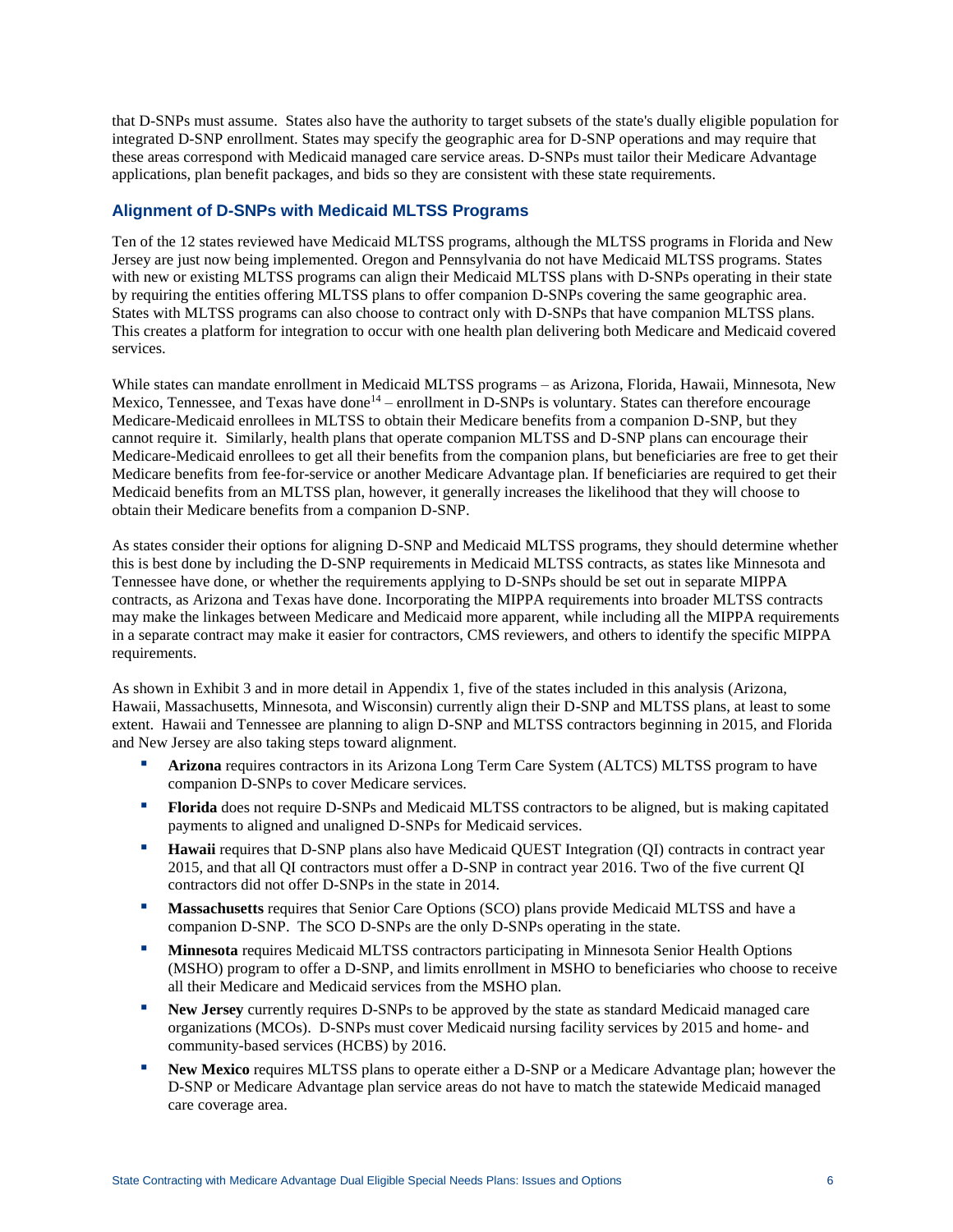that D-SNPs must assume. States also have the authority to target subsets of the state's dually eligible population for integrated D-SNP enrollment. States may specify the geographic area for D-SNP operations and may require that these areas correspond with Medicaid managed care service areas. D-SNPs must tailor their Medicare Advantage applications, plan benefit packages, and bids so they are consistent with these state requirements.

## **Alignment of D-SNPs with Medicaid MLTSS Programs**

Ten of the 12 states reviewed have Medicaid MLTSS programs, although the MLTSS programs in Florida and New Jersey are just now being implemented. Oregon and Pennsylvania do not have Medicaid MLTSS programs. States with new or existing MLTSS programs can align their Medicaid MLTSS plans with D-SNPs operating in their state by requiring the entities offering MLTSS plans to offer companion D-SNPs covering the same geographic area. States with MLTSS programs can also choose to contract only with D-SNPs that have companion MLTSS plans. This creates a platform for integration to occur with one health plan delivering both Medicare and Medicaid covered services.

While states can mandate enrollment in Medicaid MLTSS programs – as Arizona, Florida, Hawaii, Minnesota, New Mexico, Tennessee, and Texas have done<sup>14</sup> – enrollment in D-SNPs is voluntary. States can therefore encourage Medicare-Medicaid enrollees in MLTSS to obtain their Medicare benefits from a companion D-SNP, but they cannot require it. Similarly, health plans that operate companion MLTSS and D-SNP plans can encourage their Medicare-Medicaid enrollees to get all their benefits from the companion plans, but beneficiaries are free to get their Medicare benefits from fee-for-service or another Medicare Advantage plan. If beneficiaries are required to get their Medicaid benefits from an MLTSS plan, however, it generally increases the likelihood that they will choose to obtain their Medicare benefits from a companion D-SNP.

As states consider their options for aligning D-SNP and Medicaid MLTSS programs, they should determine whether this is best done by including the D-SNP requirements in Medicaid MLTSS contracts, as states like Minnesota and Tennessee have done, or whether the requirements applying to D-SNPs should be set out in separate MIPPA contracts, as Arizona and Texas have done. Incorporating the MIPPA requirements into broader MLTSS contracts may make the linkages between Medicare and Medicaid more apparent, while including all the MIPPA requirements in a separate contract may make it easier for contractors, CMS reviewers, and others to identify the specific MIPPA requirements.

As shown in Exhibit 3 and in more detail in Appendix 1, five of the states included in this analysis (Arizona, Hawaii, Massachusetts, Minnesota, and Wisconsin) currently align their D-SNP and MLTSS plans, at least to some extent. Hawaii and Tennessee are planning to align D-SNP and MLTSS contractors beginning in 2015, and Florida and New Jersey are also taking steps toward alignment.

- **Arizona** requires contractors in its Arizona Long Term Care System (ALTCS) MLTSS program to have companion D-SNPs to cover Medicare services.
- **Florida** does not require D-SNPs and Medicaid MLTSS contractors to be aligned, but is making capitated payments to aligned and unaligned D-SNPs for Medicaid services.
- **Hawaii** requires that D-SNP plans also have Medicaid QUEST Integration (QI) contracts in contract year 2015, and that all QI contractors must offer a D-SNP in contract year 2016. Two of the five current QI contractors did not offer D-SNPs in the state in 2014.
- **Massachusetts** requires that Senior Care Options (SCO) plans provide Medicaid MLTSS and have a companion D-SNP. The SCO D-SNPs are the only D-SNPs operating in the state.
- **Minnesota** requires Medicaid MLTSS contractors participating in Minnesota Senior Health Options (MSHO) program to offer a D-SNP, and limits enrollment in MSHO to beneficiaries who choose to receive all their Medicare and Medicaid services from the MSHO plan.
- **New Jersey** currently requires D-SNPs to be approved by the state as standard Medicaid managed care organizations (MCOs). D-SNPs must cover Medicaid nursing facility services by 2015 and home- and community-based services (HCBS) by 2016.
- New Mexico requires MLTSS plans to operate either a D-SNP or a Medicare Advantage plan; however the D-SNP or Medicare Advantage plan service areas do not have to match the statewide Medicaid managed care coverage area.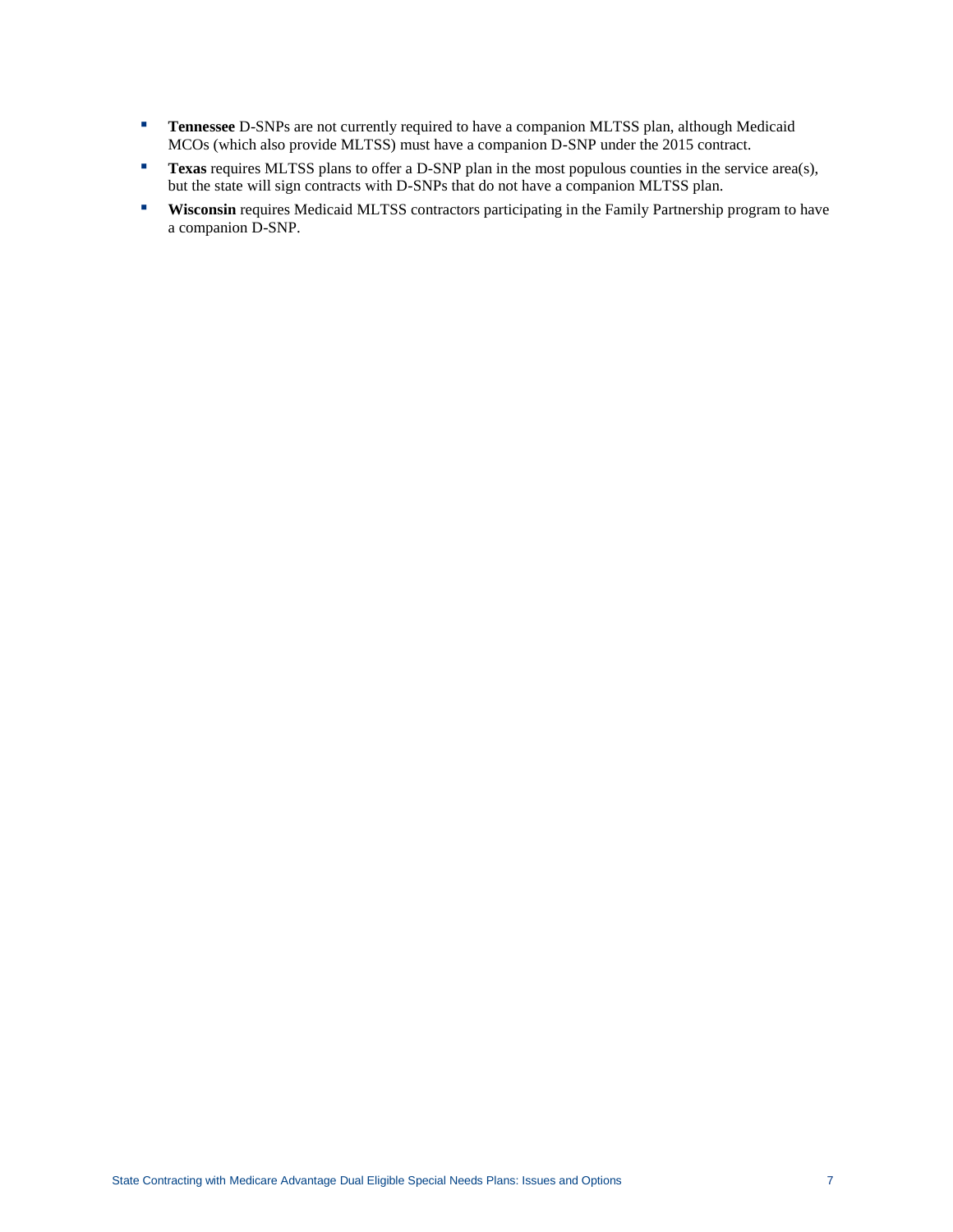- **Tennessee** D-SNPs are not currently required to have a companion MLTSS plan, although Medicaid MCOs (which also provide MLTSS) must have a companion D-SNP under the 2015 contract.
- **Texas** requires MLTSS plans to offer a D-SNP plan in the most populous counties in the service area(s), but the state will sign contracts with D-SNPs that do not have a companion MLTSS plan.
- **Wisconsin** requires Medicaid MLTSS contractors participating in the Family Partnership program to have a companion D-SNP.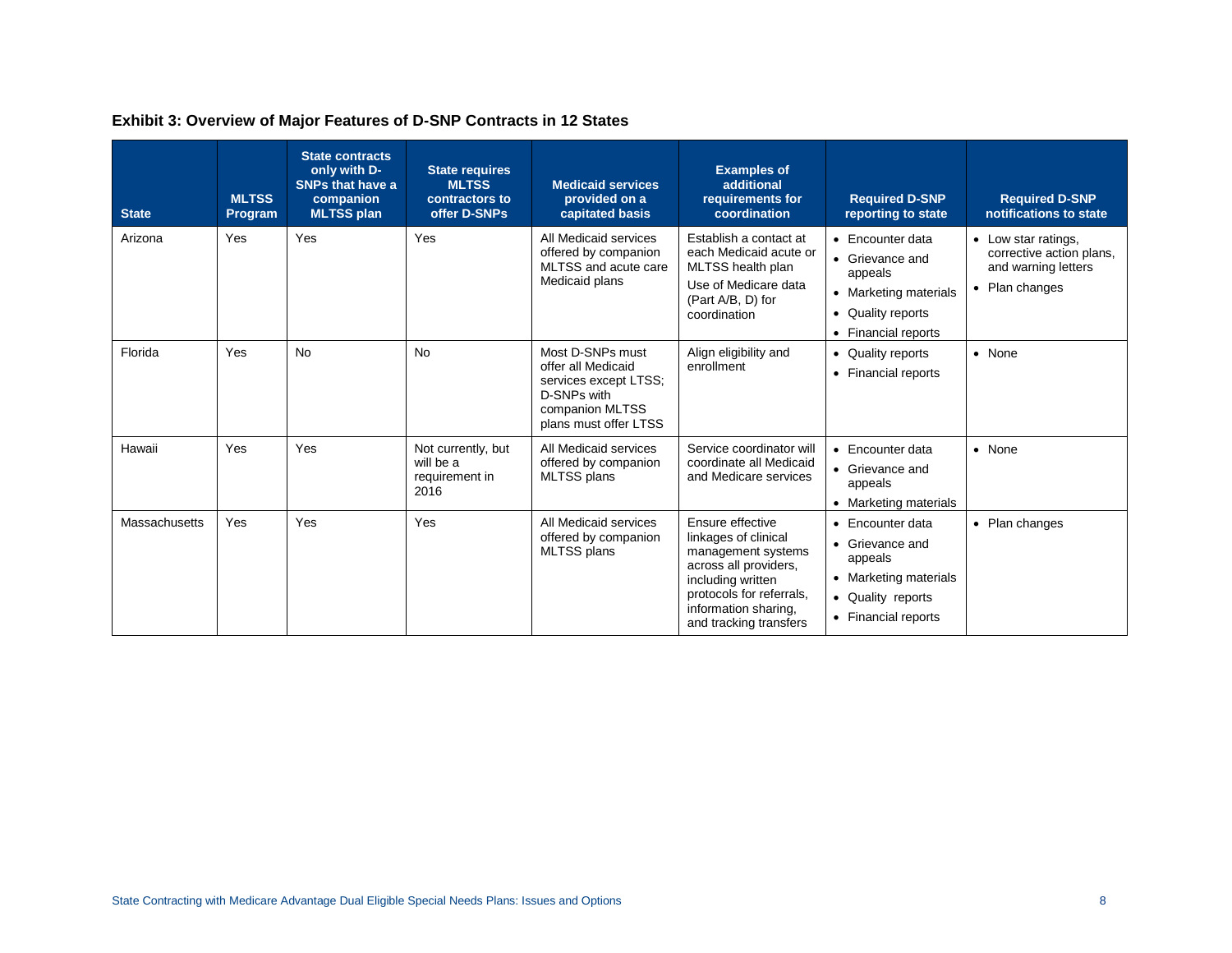| <b>State</b>  | <b>MLTSS</b><br>Program | <b>State contracts</b><br>only with D-<br><b>SNPs that have a</b><br>companion<br><b>MLTSS plan</b> | <b>State requires</b><br><b>MLTSS</b><br>contractors to<br>offer D-SNPs | <b>Medicaid services</b><br>provided on a<br>capitated basis                                                               | <b>Examples of</b><br>additional<br>requirements for<br>coordination                                                                                                                       | <b>Required D-SNP</b><br>reporting to state                                                                                                                    | <b>Required D-SNP</b><br>notifications to state                                          |
|---------------|-------------------------|-----------------------------------------------------------------------------------------------------|-------------------------------------------------------------------------|----------------------------------------------------------------------------------------------------------------------------|--------------------------------------------------------------------------------------------------------------------------------------------------------------------------------------------|----------------------------------------------------------------------------------------------------------------------------------------------------------------|------------------------------------------------------------------------------------------|
| Arizona       | Yes                     | Yes                                                                                                 | Yes                                                                     | All Medicaid services<br>offered by companion<br>MLTSS and acute care<br>Medicaid plans                                    | Establish a contact at<br>each Medicaid acute or<br>MLTSS health plan<br>Use of Medicare data<br>(Part A/B, D) for<br>coordination                                                         | • Encounter data<br>• Grievance and<br>appeals<br>Marketing materials<br>$\bullet$<br><b>Quality reports</b><br>$\bullet$<br>• Financial reports               | • Low star ratings,<br>corrective action plans,<br>and warning letters<br>• Plan changes |
| Florida       | Yes                     | <b>No</b>                                                                                           | <b>No</b>                                                               | Most D-SNPs must<br>offer all Medicaid<br>services except LTSS;<br>D-SNPs with<br>companion MLTSS<br>plans must offer LTSS | Align eligibility and<br>enrollment                                                                                                                                                        | <b>Quality reports</b><br>$\bullet$<br><b>Financial reports</b><br>٠                                                                                           | • None                                                                                   |
| Hawaii        | Yes                     | Yes                                                                                                 | Not currently, but<br>will be a<br>requirement in<br>2016               | All Medicaid services<br>offered by companion<br><b>MLTSS</b> plans                                                        | Service coordinator will<br>coordinate all Medicaid<br>and Medicare services                                                                                                               | Encounter data<br>$\bullet$<br>• Grievance and<br>appeals<br>• Marketing materials                                                                             | • None                                                                                   |
| Massachusetts | Yes                     | Yes                                                                                                 | Yes                                                                     | All Medicaid services<br>offered by companion<br>MLTSS plans                                                               | Ensure effective<br>linkages of clinical<br>management systems<br>across all providers,<br>including written<br>protocols for referrals,<br>information sharing,<br>and tracking transfers | Encounter data<br>$\bullet$<br>• Grievance and<br>appeals<br>Marketing materials<br>$\bullet$<br>Quality reports<br>$\bullet$<br><b>Financial reports</b><br>٠ | • Plan changes                                                                           |

# **Exhibit 3: Overview of Major Features of D-SNP Contracts in 12 States**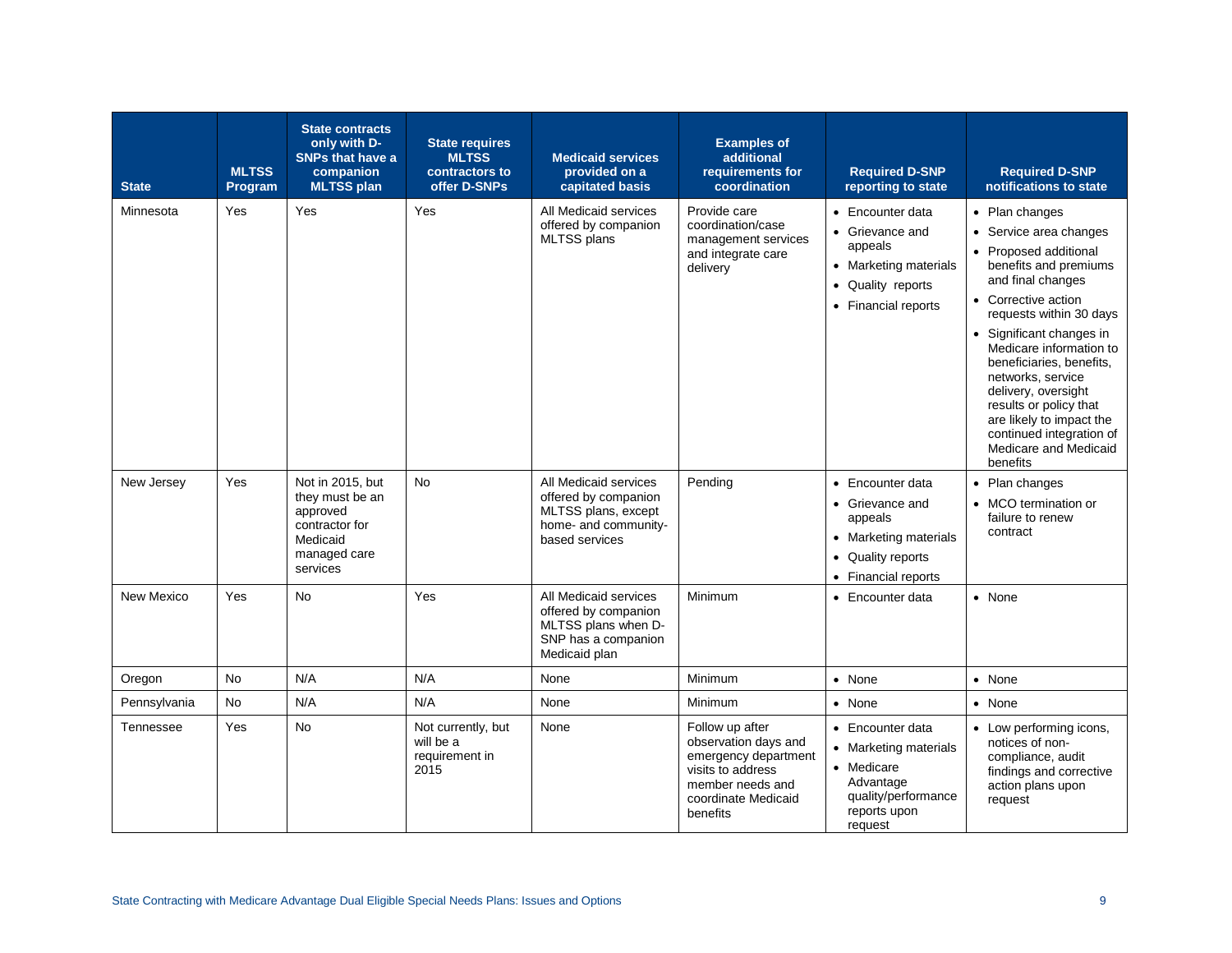| <b>State</b> | <b>MLTSS</b><br>Program | <b>State contracts</b><br>only with D-<br><b>SNPs that have a</b><br>companion<br><b>MLTSS plan</b>       | <b>State requires</b><br><b>MLTSS</b><br>contractors to<br>offer D-SNPs | <b>Medicaid services</b><br>provided on a<br>capitated basis                                                   | <b>Examples of</b><br>additional<br>requirements for<br>coordination                                                                        | <b>Required D-SNP</b><br>reporting to state                                                                                               | <b>Required D-SNP</b><br>notifications to state                                                                                                                                                                                                                                                                                                                                                                         |
|--------------|-------------------------|-----------------------------------------------------------------------------------------------------------|-------------------------------------------------------------------------|----------------------------------------------------------------------------------------------------------------|---------------------------------------------------------------------------------------------------------------------------------------------|-------------------------------------------------------------------------------------------------------------------------------------------|-------------------------------------------------------------------------------------------------------------------------------------------------------------------------------------------------------------------------------------------------------------------------------------------------------------------------------------------------------------------------------------------------------------------------|
| Minnesota    | Yes                     | Yes                                                                                                       | Yes                                                                     | All Medicaid services<br>offered by companion<br>MLTSS plans                                                   | Provide care<br>coordination/case<br>management services<br>and integrate care<br>delivery                                                  | • Encounter data<br>• Grievance and<br>appeals<br><b>Marketing materials</b><br>Quality reports<br>$\bullet$<br>• Financial reports       | • Plan changes<br>• Service area changes<br>• Proposed additional<br>benefits and premiums<br>and final changes<br>• Corrective action<br>requests within 30 days<br>• Significant changes in<br>Medicare information to<br>beneficiaries, benefits,<br>networks, service<br>delivery, oversight<br>results or policy that<br>are likely to impact the<br>continued integration of<br>Medicare and Medicaid<br>benefits |
| New Jersey   | Yes                     | Not in 2015, but<br>they must be an<br>approved<br>contractor for<br>Medicaid<br>managed care<br>services | <b>No</b>                                                               | All Medicaid services<br>offered by companion<br>MLTSS plans, except<br>home- and community-<br>based services | Pending                                                                                                                                     | • Encounter data<br>Grievance and<br>$\bullet$<br>appeals<br>• Marketing materials<br>Quality reports<br>$\bullet$<br>• Financial reports | • Plan changes<br>• MCO termination or<br>failure to renew<br>contract                                                                                                                                                                                                                                                                                                                                                  |
| New Mexico   | Yes                     | <b>No</b>                                                                                                 | Yes                                                                     | All Medicaid services<br>offered by companion<br>MLTSS plans when D-<br>SNP has a companion<br>Medicaid plan   | Minimum                                                                                                                                     | • Encounter data                                                                                                                          | • None                                                                                                                                                                                                                                                                                                                                                                                                                  |
| Oregon       | No                      | N/A                                                                                                       | N/A                                                                     | None                                                                                                           | Minimum                                                                                                                                     | • None                                                                                                                                    | • None                                                                                                                                                                                                                                                                                                                                                                                                                  |
| Pennsylvania | No                      | N/A                                                                                                       | N/A                                                                     | None                                                                                                           | Minimum                                                                                                                                     | • None                                                                                                                                    | • None                                                                                                                                                                                                                                                                                                                                                                                                                  |
| Tennessee    | Yes                     | <b>No</b>                                                                                                 | Not currently, but<br>will be a<br>requirement in<br>2015               | None                                                                                                           | Follow up after<br>observation days and<br>emergency department<br>visits to address<br>member needs and<br>coordinate Medicaid<br>benefits | • Encounter data<br>• Marketing materials<br>• Medicare<br>Advantage<br>quality/performance<br>reports upon<br>request                    | • Low performing icons,<br>notices of non-<br>compliance, audit<br>findings and corrective<br>action plans upon<br>request                                                                                                                                                                                                                                                                                              |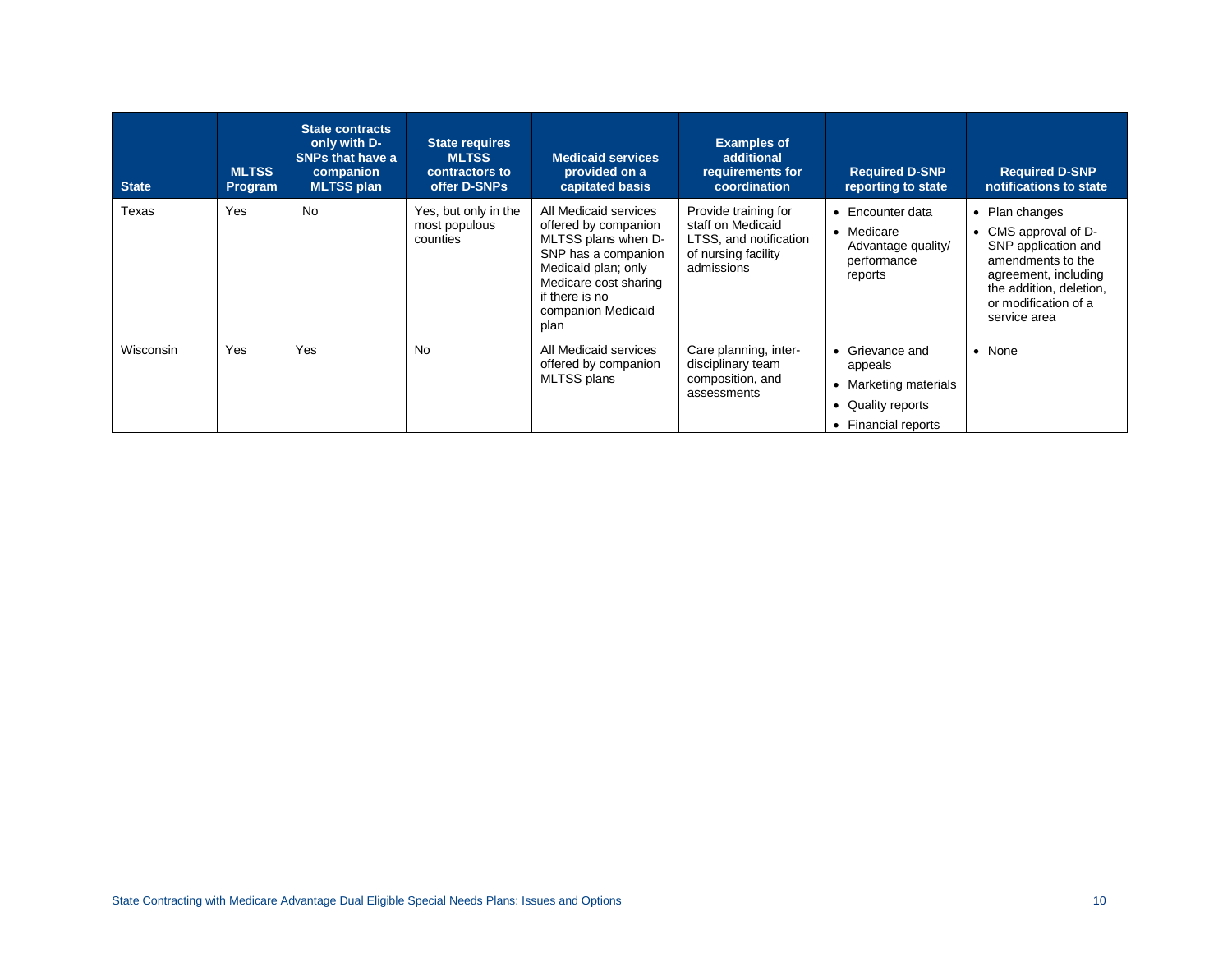| <b>State</b>     | <b>MLTSS</b><br>Program | <b>State contracts</b><br>only with D-<br><b>SNPs that have a</b><br>companion<br><b>MLTSS plan</b> | <b>State requires</b><br><b>MLTSS</b><br>contractors to<br>offer D-SNPs | <b>Medicaid services</b><br>provided on a<br>capitated basis                                                                                                                                | <b>Examples of</b><br>additional<br>requirements for<br>coordination                                     | <b>Required D-SNP</b><br>reporting to state                                                                              | <b>Required D-SNP</b><br>notifications to state                                                                                                                             |
|------------------|-------------------------|-----------------------------------------------------------------------------------------------------|-------------------------------------------------------------------------|---------------------------------------------------------------------------------------------------------------------------------------------------------------------------------------------|----------------------------------------------------------------------------------------------------------|--------------------------------------------------------------------------------------------------------------------------|-----------------------------------------------------------------------------------------------------------------------------------------------------------------------------|
| Texas            | Yes                     | <b>No</b>                                                                                           | Yes, but only in the<br>most populous<br>counties                       | All Medicaid services<br>offered by companion<br>MLTSS plans when D-<br>SNP has a companion<br>Medicaid plan; only<br>Medicare cost sharing<br>if there is no<br>companion Medicaid<br>plan | Provide training for<br>staff on Medicaid<br>LTSS, and notification<br>of nursing facility<br>admissions | Encounter data<br>Medicare<br>٠<br>Advantage quality/<br>performance<br>reports                                          | • Plan changes<br>CMS approval of D-<br>SNP application and<br>amendments to the<br>agreement, including<br>the addition, deletion,<br>or modification of a<br>service area |
| <b>Wisconsin</b> | Yes                     | Yes                                                                                                 | <b>No</b>                                                               | All Medicaid services<br>offered by companion<br>MLTSS plans                                                                                                                                | Care planning, inter-<br>disciplinary team<br>composition, and<br>assessments                            | Grievance and<br>$\bullet$<br>appeals<br>Marketing materials<br>Quality reports<br><b>Financial reports</b><br>$\bullet$ | • None                                                                                                                                                                      |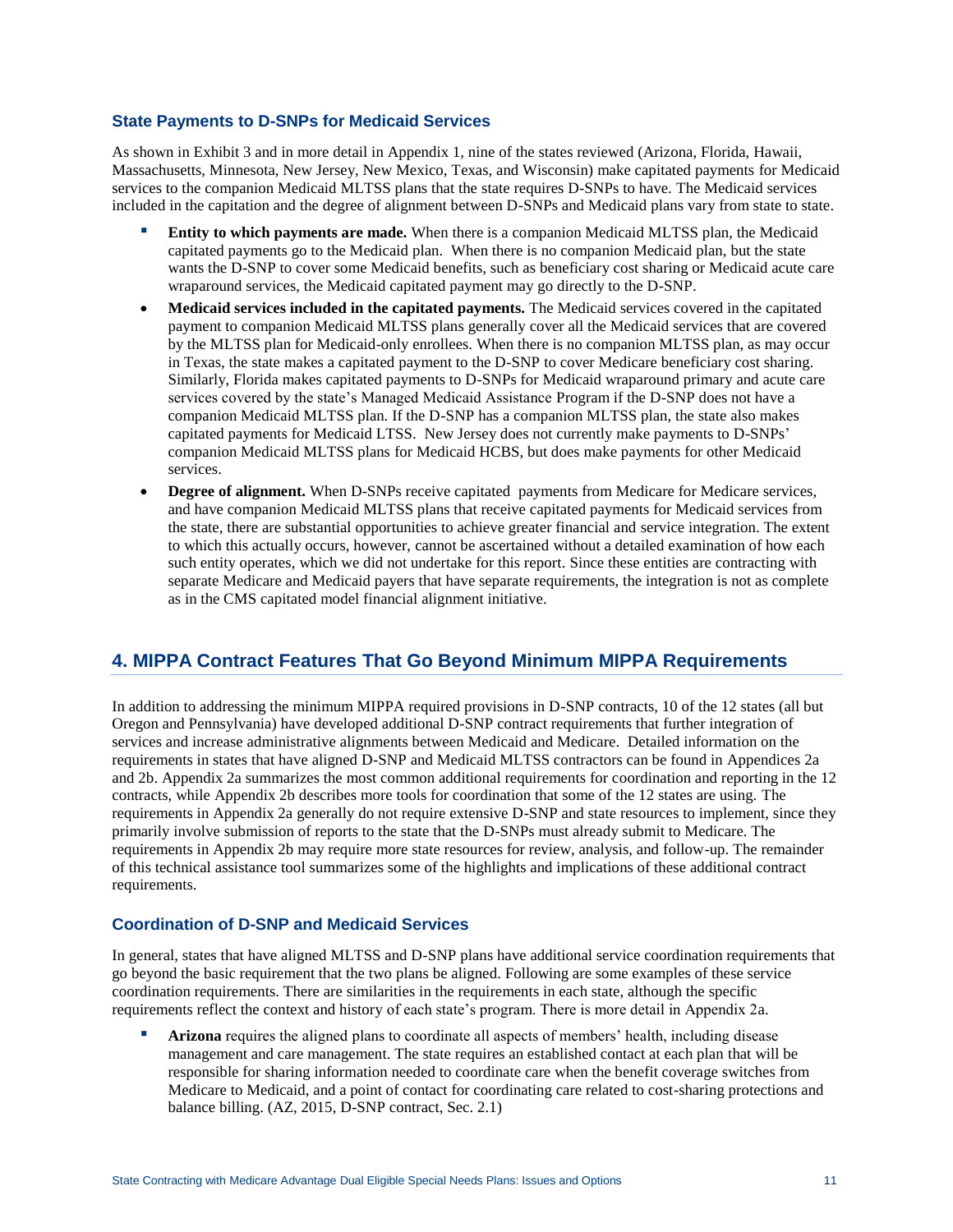#### **State Payments to D-SNPs for Medicaid Services**

As shown in Exhibit 3 and in more detail in Appendix 1, nine of the states reviewed (Arizona, Florida, Hawaii, Massachusetts, Minnesota, New Jersey, New Mexico, Texas, and Wisconsin) make capitated payments for Medicaid services to the companion Medicaid MLTSS plans that the state requires D-SNPs to have. The Medicaid services included in the capitation and the degree of alignment between D-SNPs and Medicaid plans vary from state to state.

- **Entity to which payments are made.** When there is a companion Medicaid MLTSS plan, the Medicaid capitated payments go to the Medicaid plan. When there is no companion Medicaid plan, but the state wants the D-SNP to cover some Medicaid benefits, such as beneficiary cost sharing or Medicaid acute care wraparound services, the Medicaid capitated payment may go directly to the D-SNP.
- **Medicaid services included in the capitated payments.** The Medicaid services covered in the capitated payment to companion Medicaid MLTSS plans generally cover all the Medicaid services that are covered by the MLTSS plan for Medicaid-only enrollees. When there is no companion MLTSS plan, as may occur in Texas, the state makes a capitated payment to the D-SNP to cover Medicare beneficiary cost sharing. Similarly, Florida makes capitated payments to D-SNPs for Medicaid wraparound primary and acute care services covered by the state's Managed Medicaid Assistance Program if the D-SNP does not have a companion Medicaid MLTSS plan. If the D-SNP has a companion MLTSS plan, the state also makes capitated payments for Medicaid LTSS. New Jersey does not currently make payments to D-SNPs' companion Medicaid MLTSS plans for Medicaid HCBS, but does make payments for other Medicaid services.
- **Degree of alignment.** When D-SNPs receive capitated payments from Medicare for Medicare services, and have companion Medicaid MLTSS plans that receive capitated payments for Medicaid services from the state, there are substantial opportunities to achieve greater financial and service integration. The extent to which this actually occurs, however, cannot be ascertained without a detailed examination of how each such entity operates, which we did not undertake for this report. Since these entities are contracting with separate Medicare and Medicaid payers that have separate requirements, the integration is not as complete as in the CMS capitated model financial alignment initiative.

# **4. MIPPA Contract Features That Go Beyond Minimum MIPPA Requirements**

In addition to addressing the minimum MIPPA required provisions in D-SNP contracts, 10 of the 12 states (all but Oregon and Pennsylvania) have developed additional D-SNP contract requirements that further integration of services and increase administrative alignments between Medicaid and Medicare. Detailed information on the requirements in states that have aligned D-SNP and Medicaid MLTSS contractors can be found in Appendices 2a and 2b. Appendix 2a summarizes the most common additional requirements for coordination and reporting in the 12 contracts, while Appendix 2b describes more tools for coordination that some of the 12 states are using. The requirements in Appendix 2a generally do not require extensive D-SNP and state resources to implement, since they primarily involve submission of reports to the state that the D-SNPs must already submit to Medicare. The requirements in Appendix 2b may require more state resources for review, analysis, and follow-up. The remainder of this technical assistance tool summarizes some of the highlights and implications of these additional contract requirements.

## **Coordination of D-SNP and Medicaid Services**

In general, states that have aligned MLTSS and D-SNP plans have additional service coordination requirements that go beyond the basic requirement that the two plans be aligned. Following are some examples of these service coordination requirements. There are similarities in the requirements in each state, although the specific requirements reflect the context and history of each state's program. There is more detail in Appendix 2a.

Arizona requires the aligned plans to coordinate all aspects of members' health, including disease management and care management. The state requires an established contact at each plan that will be responsible for sharing information needed to coordinate care when the benefit coverage switches from Medicare to Medicaid, and a point of contact for coordinating care related to cost-sharing protections and balance billing. (AZ, 2015, D-SNP contract, Sec. 2.1)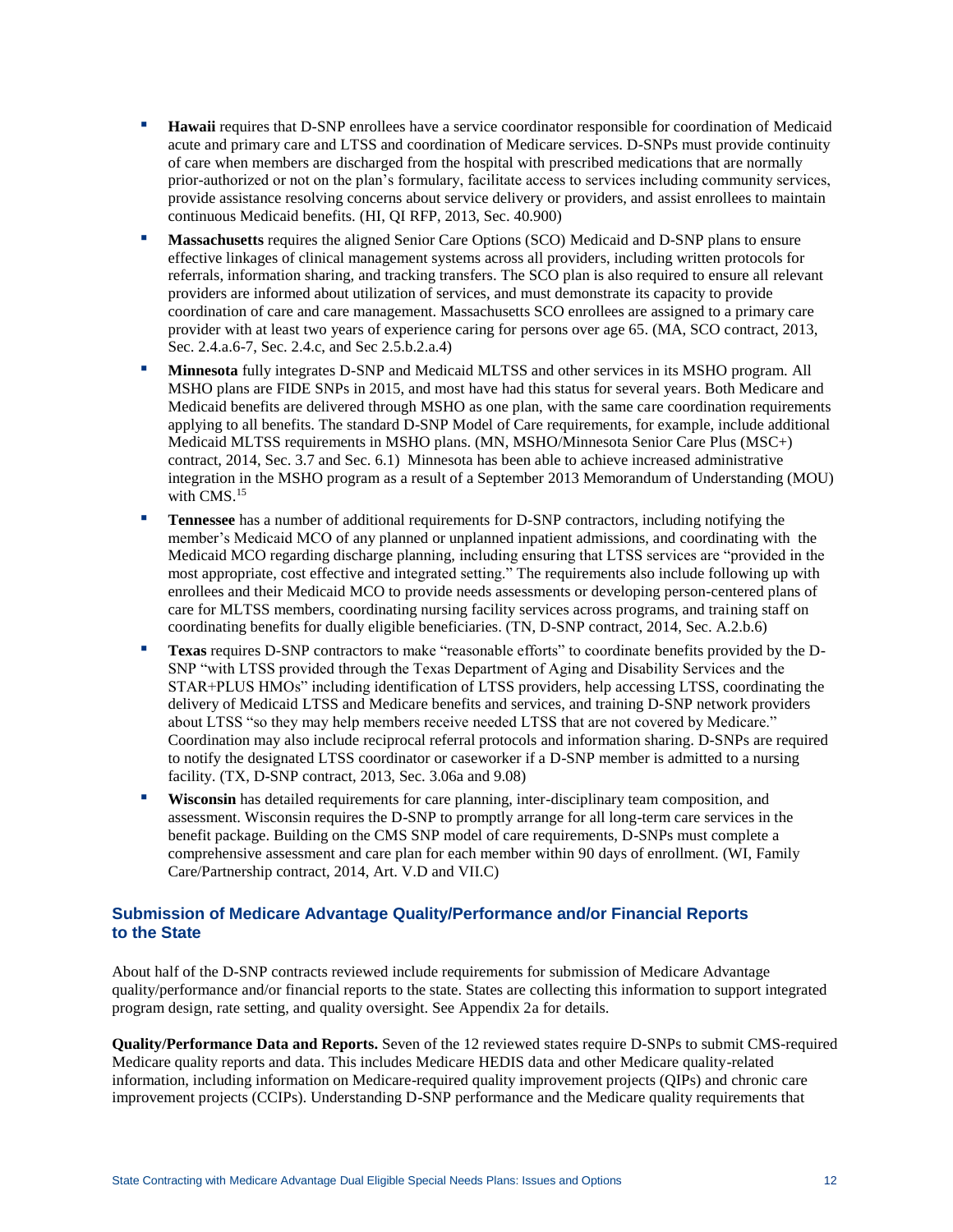- **Hawaii** requires that D-SNP enrollees have a service coordinator responsible for coordination of Medicaid acute and primary care and LTSS and coordination of Medicare services. D-SNPs must provide continuity of care when members are discharged from the hospital with prescribed medications that are normally prior-authorized or not on the plan's formulary, facilitate access to services including community services, provide assistance resolving concerns about service delivery or providers, and assist enrollees to maintain continuous Medicaid benefits. (HI, QI RFP, 2013, Sec. 40.900)
- Massachusetts requires the aligned Senior Care Options (SCO) Medicaid and D-SNP plans to ensure effective linkages of clinical management systems across all providers, including written protocols for referrals, information sharing, and tracking transfers. The SCO plan is also required to ensure all relevant providers are informed about utilization of services, and must demonstrate its capacity to provide coordination of care and care management. Massachusetts SCO enrollees are assigned to a primary care provider with at least two years of experience caring for persons over age 65. (MA, SCO contract, 2013, Sec. 2.4.a.6-7, Sec. 2.4.c, and Sec 2.5.b.2.a.4)
- **Minnesota** fully integrates D-SNP and Medicaid MLTSS and other services in its MSHO program. All MSHO plans are FIDE SNPs in 2015, and most have had this status for several years. Both Medicare and Medicaid benefits are delivered through MSHO as one plan, with the same care coordination requirements applying to all benefits. The standard D-SNP Model of Care requirements, for example, include additional Medicaid MLTSS requirements in MSHO plans. (MN, MSHO/Minnesota Senior Care Plus (MSC+) contract, 2014, Sec. 3.7 and Sec. 6.1)Minnesota has been able to achieve increased administrative integration in the MSHO program as a result of a September 2013 Memorandum of Understanding (MOU) with CMS. 15
- **Tennessee** has a number of additional requirements for D-SNP contractors, including notifying the member's Medicaid MCO of any planned or unplanned inpatient admissions, and coordinating with the Medicaid MCO regarding discharge planning, including ensuring that LTSS services are "provided in the most appropriate, cost effective and integrated setting." The requirements also include following up with enrollees and their Medicaid MCO to provide needs assessments or developing person-centered plans of care for MLTSS members, coordinating nursing facility services across programs, and training staff on coordinating benefits for dually eligible beneficiaries. (TN, D-SNP contract, 2014, Sec. A.2.b.6)
- **Texas** requires D-SNP contractors to make "reasonable efforts" to coordinate benefits provided by the D-SNP "with LTSS provided through the Texas Department of Aging and Disability Services and the STAR+PLUS HMOs" including identification of LTSS providers, help accessing LTSS, coordinating the delivery of Medicaid LTSS and Medicare benefits and services, and training D-SNP network providers about LTSS "so they may help members receive needed LTSS that are not covered by Medicare." Coordination may also include reciprocal referral protocols and information sharing. D-SNPs are required to notify the designated LTSS coordinator or caseworker if a D-SNP member is admitted to a nursing facility. (TX, D-SNP contract, 2013, Sec. 3.06a and 9.08)
- **Wisconsin** has detailed requirements for care planning, inter-disciplinary team composition, and assessment. Wisconsin requires the D-SNP to promptly arrange for all long-term care services in the benefit package. Building on the CMS SNP model of care requirements, D-SNPs must complete a comprehensive assessment and care plan for each member within 90 days of enrollment. (WI, Family Care/Partnership contract, 2014, Art. V.D and VII.C)

## **Submission of Medicare Advantage Quality/Performance and/or Financial Reports to the State**

About half of the D-SNP contracts reviewed include requirements for submission of Medicare Advantage quality/performance and/or financial reports to the state. States are collecting this information to support integrated program design, rate setting, and quality oversight. See Appendix 2a for details.

**Quality/Performance Data and Reports.** Seven of the 12 reviewed states require D-SNPs to submit CMS-required Medicare quality reports and data. This includes Medicare HEDIS data and other Medicare quality-related information, including information on Medicare-required quality improvement projects (QIPs) and chronic care improvement projects (CCIPs). Understanding D-SNP performance and the Medicare quality requirements that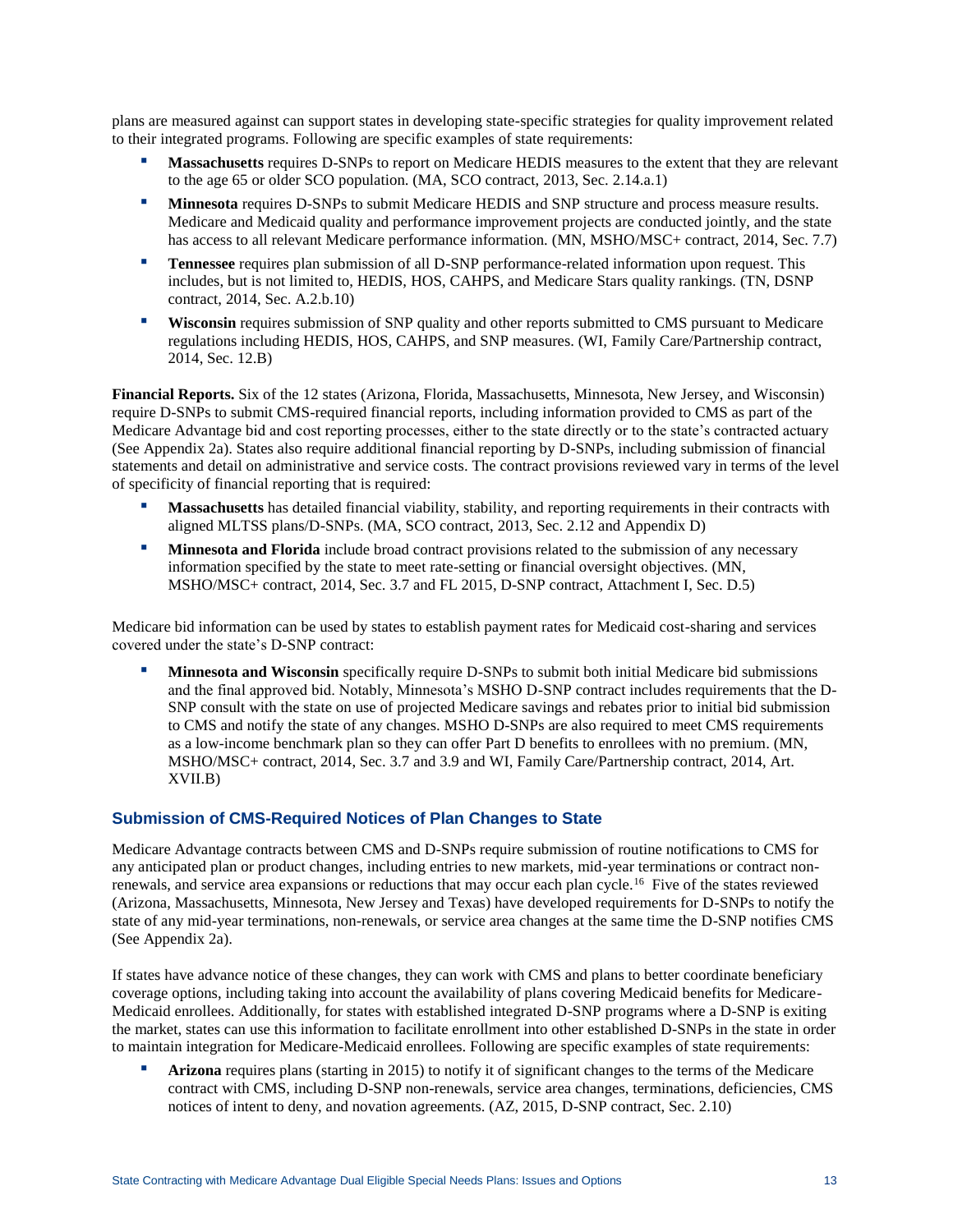plans are measured against can support states in developing state-specific strategies for quality improvement related to their integrated programs. Following are specific examples of state requirements:

- Massachusetts requires D-SNPs to report on Medicare HEDIS measures to the extent that they are relevant to the age 65 or older SCO population. (MA, SCO contract, 2013, Sec. 2.14.a.1)
- **Minnesota** requires D-SNPs to submit Medicare HEDIS and SNP structure and process measure results. Medicare and Medicaid quality and performance improvement projects are conducted jointly, and the state has access to all relevant Medicare performance information. (MN, MSHO/MSC+ contract, 2014, Sec. 7.7)
- **Tennessee** requires plan submission of all D-SNP performance-related information upon request. This includes, but is not limited to, HEDIS, HOS, CAHPS, and Medicare Stars quality rankings. (TN, DSNP contract, 2014, Sec. A.2.b.10)
- **Wisconsin** requires submission of SNP quality and other reports submitted to CMS pursuant to Medicare regulations including HEDIS, HOS, CAHPS, and SNP measures. (WI, Family Care/Partnership contract, 2014, Sec. 12.B)

**Financial Reports.** Six of the 12 states (Arizona, Florida, Massachusetts, Minnesota, New Jersey, and Wisconsin) require D-SNPs to submit CMS-required financial reports, including information provided to CMS as part of the Medicare Advantage bid and cost reporting processes, either to the state directly or to the state's contracted actuary (See Appendix 2a). States also require additional financial reporting by D-SNPs, including submission of financial statements and detail on administrative and service costs. The contract provisions reviewed vary in terms of the level of specificity of financial reporting that is required:

- **Massachusetts** has detailed financial viability, stability, and reporting requirements in their contracts with aligned MLTSS plans/D-SNPs. (MA, SCO contract, 2013, Sec. 2.12 and Appendix D)
- **Minnesota and Florida** include broad contract provisions related to the submission of any necessary information specified by the state to meet rate-setting or financial oversight objectives. (MN, MSHO/MSC+ contract, 2014, Sec. 3.7 and FL 2015, D-SNP contract, Attachment I, Sec. D.5)

Medicare bid information can be used by states to establish payment rates for Medicaid cost-sharing and services covered under the state's D-SNP contract:

**Minnesota and Wisconsin** specifically require D-SNPs to submit both initial Medicare bid submissions and the final approved bid. Notably, Minnesota's MSHO D-SNP contract includes requirements that the D-SNP consult with the state on use of projected Medicare savings and rebates prior to initial bid submission to CMS and notify the state of any changes. MSHO D-SNPs are also required to meet CMS requirements as a low-income benchmark plan so they can offer Part D benefits to enrollees with no premium. (MN, MSHO/MSC+ contract, 2014, Sec. 3.7 and 3.9 and WI, Family Care/Partnership contract, 2014, Art. XVII.B)

### **Submission of CMS-Required Notices of Plan Changes to State**

Medicare Advantage contracts between CMS and D-SNPs require submission of routine notifications to CMS for any anticipated plan or product changes, including entries to new markets, mid-year terminations or contract nonrenewals, and service area expansions or reductions that may occur each plan cycle.<sup>16</sup> Five of the states reviewed (Arizona, Massachusetts, Minnesota, New Jersey and Texas) have developed requirements for D-SNPs to notify the state of any mid-year terminations, non-renewals, or service area changes at the same time the D-SNP notifies CMS (See Appendix 2a).

If states have advance notice of these changes, they can work with CMS and plans to better coordinate beneficiary coverage options, including taking into account the availability of plans covering Medicaid benefits for Medicare-Medicaid enrollees. Additionally, for states with established integrated D-SNP programs where a D-SNP is exiting the market, states can use this information to facilitate enrollment into other established D-SNPs in the state in order to maintain integration for Medicare-Medicaid enrollees. Following are specific examples of state requirements:

Arizona requires plans (starting in 2015) to notify it of significant changes to the terms of the Medicare contract with CMS, including D-SNP non-renewals, service area changes, terminations, deficiencies, CMS notices of intent to deny, and novation agreements. (AZ, 2015, D-SNP contract, Sec. 2.10)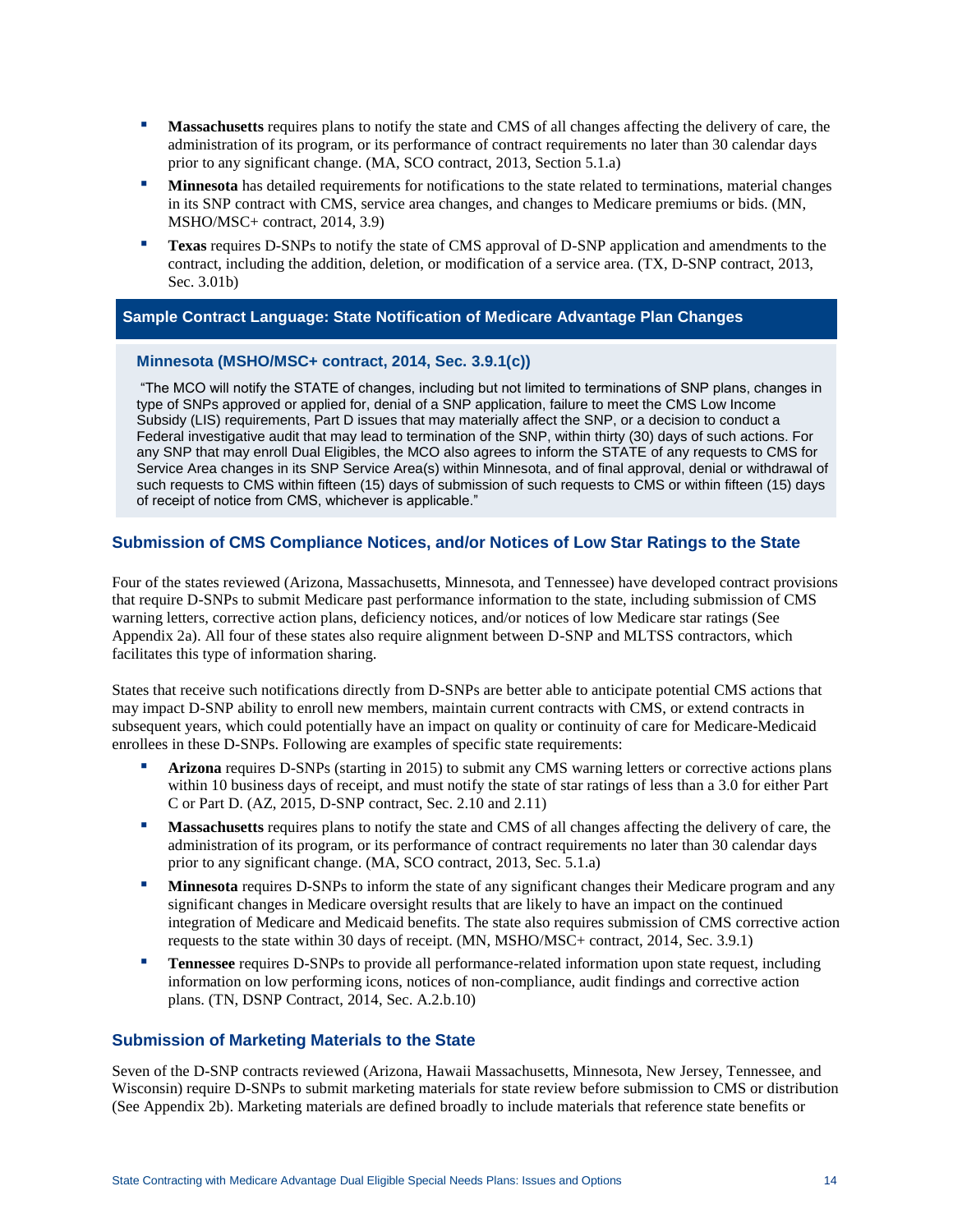- **Massachusetts** requires plans to notify the state and CMS of all changes affecting the delivery of care, the administration of its program, or its performance of contract requirements no later than 30 calendar days prior to any significant change. (MA, SCO contract, 2013, Section 5.1.a)
- **Minnesota** has detailed requirements for notifications to the state related to terminations, material changes in its SNP contract with CMS, service area changes, and changes to Medicare premiums or bids. (MN, MSHO/MSC+ contract, 2014, 3.9)
- **Texas** requires D-SNPs to notify the state of CMS approval of D-SNP application and amendments to the contract, including the addition, deletion, or modification of a service area. (TX, D-SNP contract, 2013, Sec. 3.01b)

#### **Sample Contract Language: State Notification of Medicare Advantage Plan Changes**

#### **Minnesota (MSHO/MSC+ contract, 2014, Sec. 3.9.1(c))**

"The MCO will notify the STATE of changes, including but not limited to terminations of SNP plans, changes in type of SNPs approved or applied for, denial of a SNP application, failure to meet the CMS Low Income Subsidy (LIS) requirements, Part D issues that may materially affect the SNP, or a decision to conduct a Federal investigative audit that may lead to termination of the SNP, within thirty (30) days of such actions. For any SNP that may enroll Dual Eligibles, the MCO also agrees to inform the STATE of any requests to CMS for Service Area changes in its SNP Service Area(s) within Minnesota, and of final approval, denial or withdrawal of such requests to CMS within fifteen (15) days of submission of such requests to CMS or within fifteen (15) days of receipt of notice from CMS, whichever is applicable."

#### **Submission of CMS Compliance Notices, and/or Notices of Low Star Ratings to the State**

Four of the states reviewed (Arizona, Massachusetts, Minnesota, and Tennessee) have developed contract provisions that require D-SNPs to submit Medicare past performance information to the state, including submission of CMS warning letters, corrective action plans, deficiency notices, and/or notices of low Medicare star ratings (See Appendix 2a). All four of these states also require alignment between D-SNP and MLTSS contractors, which facilitates this type of information sharing.

States that receive such notifications directly from D-SNPs are better able to anticipate potential CMS actions that may impact D-SNP ability to enroll new members, maintain current contracts with CMS, or extend contracts in subsequent years, which could potentially have an impact on quality or continuity of care for Medicare-Medicaid enrollees in these D-SNPs. Following are examples of specific state requirements:

- Arizona requires D-SNPs (starting in 2015) to submit any CMS warning letters or corrective actions plans within 10 business days of receipt, and must notify the state of star ratings of less than a 3.0 for either Part C or Part D. (AZ, 2015, D-SNP contract, Sec. 2.10 and 2.11)
- **Massachusetts** requires plans to notify the state and CMS of all changes affecting the delivery of care, the administration of its program, or its performance of contract requirements no later than 30 calendar days prior to any significant change. (MA, SCO contract, 2013, Sec. 5.1.a)
- **II. Minnesota** requires D-SNPs to inform the state of any significant changes their Medicare program and any significant changes in Medicare oversight results that are likely to have an impact on the continued integration of Medicare and Medicaid benefits. The state also requires submission of CMS corrective action requests to the state within 30 days of receipt. (MN, MSHO/MSC+ contract, 2014, Sec. 3.9.1)
- **Tennessee** requires D-SNPs to provide all performance-related information upon state request, including information on low performing icons, notices of non-compliance, audit findings and corrective action plans. (TN, DSNP Contract, 2014, Sec. A.2.b.10)

### **Submission of Marketing Materials to the State**

Seven of the D-SNP contracts reviewed (Arizona, Hawaii Massachusetts, Minnesota, New Jersey, Tennessee, and Wisconsin) require D-SNPs to submit marketing materials for state review before submission to CMS or distribution (See Appendix 2b). Marketing materials are defined broadly to include materials that reference state benefits or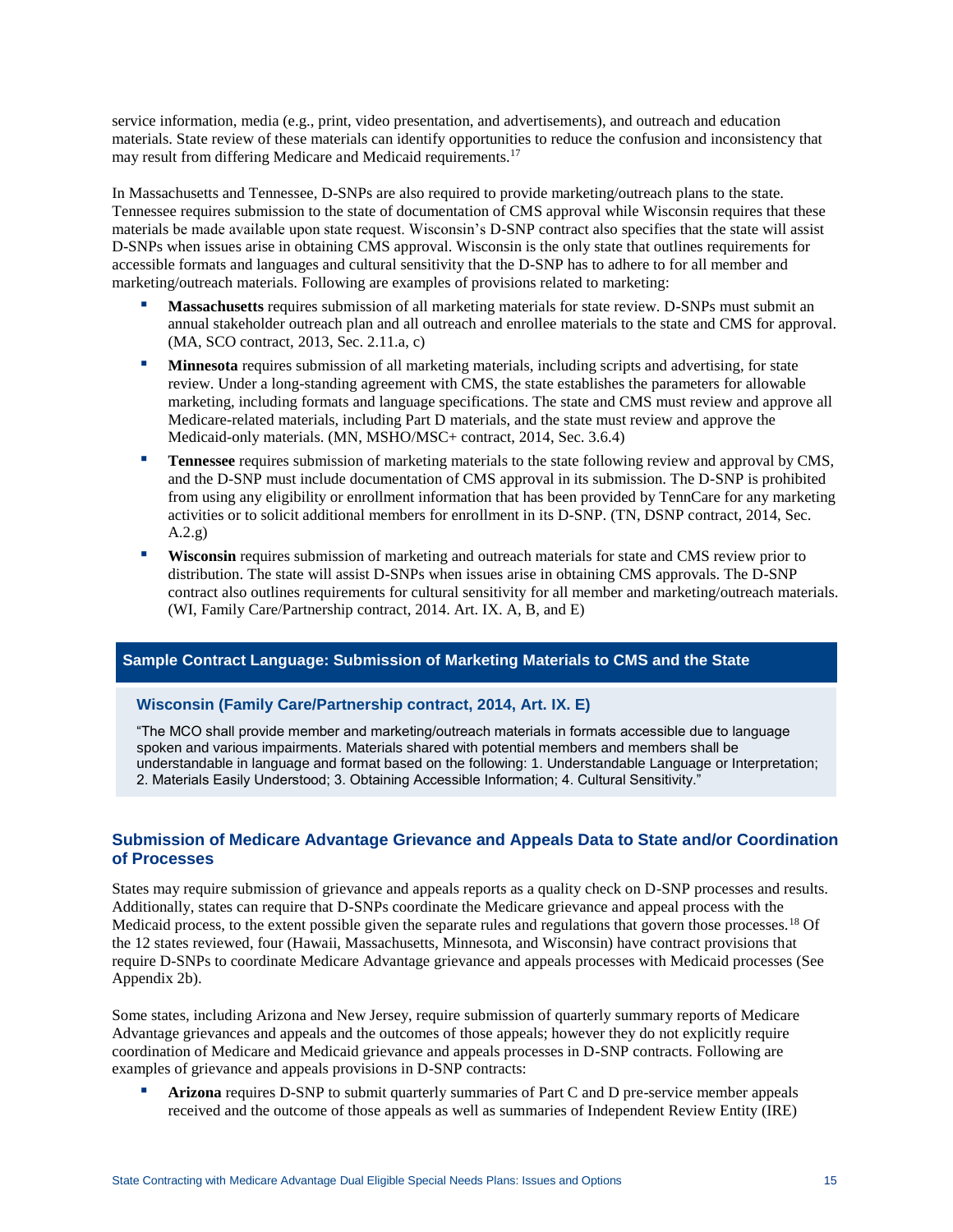service information, media (e.g., print, video presentation, and advertisements), and outreach and education materials. State review of these materials can identify opportunities to reduce the confusion and inconsistency that may result from differing Medicare and Medicaid requirements.<sup>17</sup>

In Massachusetts and Tennessee, D-SNPs are also required to provide marketing/outreach plans to the state. Tennessee requires submission to the state of documentation of CMS approval while Wisconsin requires that these materials be made available upon state request. Wisconsin's D-SNP contract also specifies that the state will assist D-SNPs when issues arise in obtaining CMS approval. Wisconsin is the only state that outlines requirements for accessible formats and languages and cultural sensitivity that the D-SNP has to adhere to for all member and marketing/outreach materials. Following are examples of provisions related to marketing:

- **Massachusetts** requires submission of all marketing materials for state review. D-SNPs must submit an annual stakeholder outreach plan and all outreach and enrollee materials to the state and CMS for approval. (MA, SCO contract, 2013, Sec. 2.11.a, c)
- **Interpretent Minnesota** requires submission of all marketing materials, including scripts and advertising, for state review. Under a long-standing agreement with CMS, the state establishes the parameters for allowable marketing, including formats and language specifications. The state and CMS must review and approve all Medicare-related materials, including Part D materials, and the state must review and approve the Medicaid-only materials. (MN, MSHO/MSC+ contract, 2014, Sec. 3.6.4)
- Tennessee requires submission of marketing materials to the state following review and approval by CMS, and the D-SNP must include documentation of CMS approval in its submission. The D-SNP is prohibited from using any eligibility or enrollment information that has been provided by TennCare for any marketing activities or to solicit additional members for enrollment in its D-SNP. (TN, DSNP contract, 2014, Sec. A.2.g)
- **Wisconsin** requires submission of marketing and outreach materials for state and CMS review prior to distribution. The state will assist D-SNPs when issues arise in obtaining CMS approvals. The D-SNP contract also outlines requirements for cultural sensitivity for all member and marketing/outreach materials. (WI, Family Care/Partnership contract, 2014. Art. IX. A, B, and E)

#### **Sample Contract Language: Submission of Marketing Materials to CMS and the State**

#### **Wisconsin (Family Care/Partnership contract, 2014, Art. IX. E)**

"The MCO shall provide member and marketing/outreach materials in formats accessible due to language spoken and various impairments. Materials shared with potential members and members shall be understandable in language and format based on the following: 1. Understandable Language or Interpretation; 2. Materials Easily Understood; 3. Obtaining Accessible Information; 4. Cultural Sensitivity."

## **Submission of Medicare Advantage Grievance and Appeals Data to State and/or Coordination of Processes**

States may require submission of grievance and appeals reports as a quality check on D-SNP processes and results. Additionally, states can require that D-SNPs coordinate the Medicare grievance and appeal process with the Medicaid process, to the extent possible given the separate rules and regulations that govern those processes.<sup>18</sup> Of the 12 states reviewed, four (Hawaii, Massachusetts, Minnesota, and Wisconsin) have contract provisions that require D-SNPs to coordinate Medicare Advantage grievance and appeals processes with Medicaid processes (See Appendix 2b).

Some states, including Arizona and New Jersey, require submission of quarterly summary reports of Medicare Advantage grievances and appeals and the outcomes of those appeals; however they do not explicitly require coordination of Medicare and Medicaid grievance and appeals processes in D-SNP contracts. Following are examples of grievance and appeals provisions in D-SNP contracts:

Arizona requires D-SNP to submit quarterly summaries of Part C and D pre-service member appeals received and the outcome of those appeals as well as summaries of Independent Review Entity (IRE)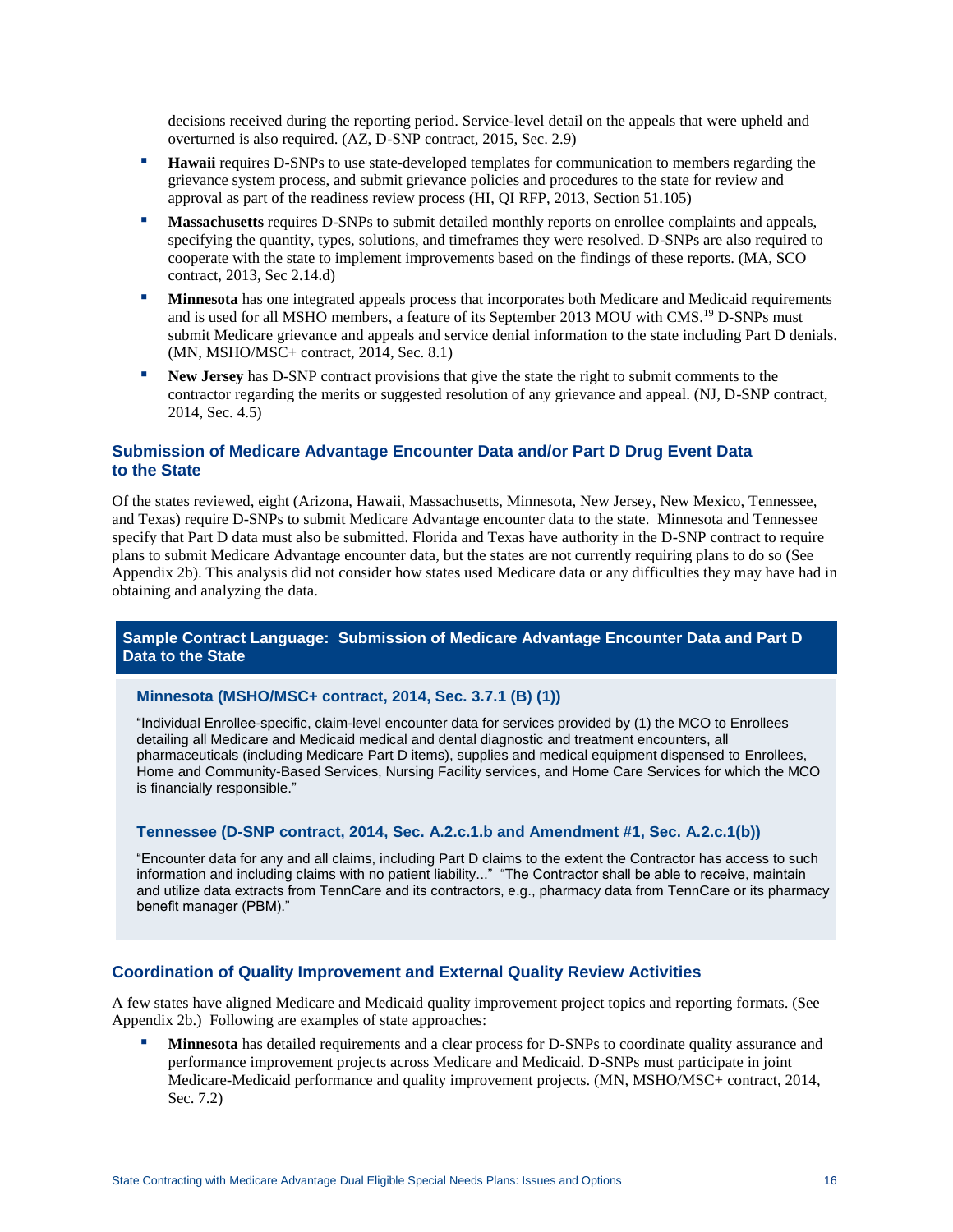decisions received during the reporting period. Service-level detail on the appeals that were upheld and overturned is also required. (AZ, D-SNP contract, 2015, Sec. 2.9)

- **Hawaii** requires D-SNPs to use state-developed templates for communication to members regarding the grievance system process, and submit grievance policies and procedures to the state for review and approval as part of the readiness review process (HI, QI RFP, 2013, Section 51.105)
- **Massachusetts** requires D-SNPs to submit detailed monthly reports on enrollee complaints and appeals, specifying the quantity, types, solutions, and timeframes they were resolved. D-SNPs are also required to cooperate with the state to implement improvements based on the findings of these reports. (MA, SCO contract, 2013, Sec 2.14.d)
- **In Minnesota** has one integrated appeals process that incorporates both Medicare and Medicaid requirements and is used for all MSHO members, a feature of its September 2013 MOU with CMS.<sup>19</sup> D-SNPs must submit Medicare grievance and appeals and service denial information to the state including Part D denials. (MN, MSHO/MSC+ contract, 2014, Sec. 8.1)
- New Jersey has D-SNP contract provisions that give the state the right to submit comments to the contractor regarding the merits or suggested resolution of any grievance and appeal. (NJ, D-SNP contract, 2014, Sec. 4.5)

### **Submission of Medicare Advantage Encounter Data and/or Part D Drug Event Data to the State**

Of the states reviewed, eight (Arizona, Hawaii, Massachusetts, Minnesota, New Jersey, New Mexico, Tennessee, and Texas) require D-SNPs to submit Medicare Advantage encounter data to the state. Minnesota and Tennessee specify that Part D data must also be submitted. Florida and Texas have authority in the D-SNP contract to require plans to submit Medicare Advantage encounter data, but the states are not currently requiring plans to do so (See Appendix 2b). This analysis did not consider how states used Medicare data or any difficulties they may have had in obtaining and analyzing the data.

#### **Sample Contract Language: Submission of Medicare Advantage Encounter Data and Part D Data to the State**

#### **Minnesota (MSHO/MSC+ contract, 2014, Sec. 3.7.1 (B) (1))**

"Individual Enrollee-specific, claim-level encounter data for services provided by (1) the MCO to Enrollees detailing all Medicare and Medicaid medical and dental diagnostic and treatment encounters, all pharmaceuticals (including Medicare Part D items), supplies and medical equipment dispensed to Enrollees, Home and Community-Based Services, Nursing Facility services, and Home Care Services for which the MCO is financially responsible."

#### **Tennessee (D-SNP contract, 2014, Sec. A.2.c.1.b and Amendment #1, Sec. A.2.c.1(b))**

"Encounter data for any and all claims, including Part D claims to the extent the Contractor has access to such information and including claims with no patient liability..." "The Contractor shall be able to receive, maintain and utilize data extracts from TennCare and its contractors, e.g., pharmacy data from TennCare or its pharmacy benefit manager (PBM)."

#### **Coordination of Quality Improvement and External Quality Review Activities**

A few states have aligned Medicare and Medicaid quality improvement project topics and reporting formats. (See Appendix 2b.) Following are examples of state approaches:

**Minnesota** has detailed requirements and a clear process for D-SNPs to coordinate quality assurance and performance improvement projects across Medicare and Medicaid. D-SNPs must participate in joint Medicare-Medicaid performance and quality improvement projects. (MN, MSHO/MSC+ contract, 2014, Sec. 7.2)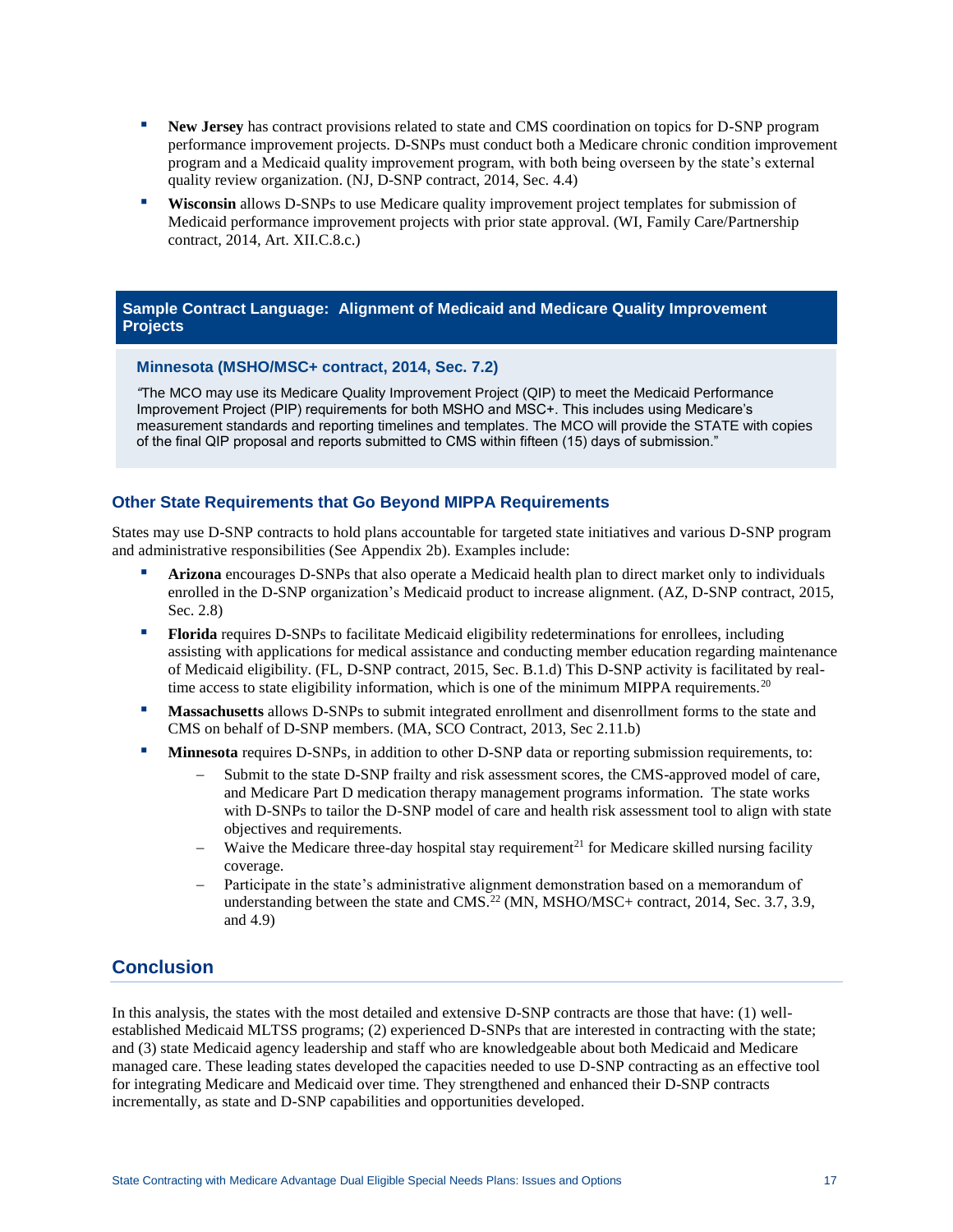- **New Jersey** has contract provisions related to state and CMS coordination on topics for D-SNP program performance improvement projects. D-SNPs must conduct both a Medicare chronic condition improvement program and a Medicaid quality improvement program, with both being overseen by the state's external quality review organization. (NJ, D-SNP contract, 2014, Sec. 4.4)
- Wisconsin allows D-SNPs to use Medicare quality improvement project templates for submission of Medicaid performance improvement projects with prior state approval. (WI, Family Care/Partnership contract, 2014, Art. XII.C.8.c.)

## **Sample Contract Language: Alignment of Medicaid and Medicare Quality Improvement Projects**

## **Minnesota (MSHO/MSC+ contract, 2014, Sec. 7.2)**

*"*The MCO may use its Medicare Quality Improvement Project (QIP) to meet the Medicaid Performance Improvement Project (PIP) requirements for both MSHO and MSC+. This includes using Medicare's measurement standards and reporting timelines and templates. The MCO will provide the STATE with copies of the final QIP proposal and reports submitted to CMS within fifteen (15) days of submission."

## **Other State Requirements that Go Beyond MIPPA Requirements**

States may use D-SNP contracts to hold plans accountable for targeted state initiatives and various D-SNP program and administrative responsibilities (See Appendix 2b). Examples include:

- Arizona encourages D-SNPs that also operate a Medicaid health plan to direct market only to individuals enrolled in the D-SNP organization's Medicaid product to increase alignment. (AZ, D-SNP contract, 2015, Sec. 2.8)
- **Florida** requires D-SNPs to facilitate Medicaid eligibility redeterminations for enrollees, including assisting with applications for medical assistance and conducting member education regarding maintenance of Medicaid eligibility. (FL, D-SNP contract, 2015, Sec. B.1.d) This D-SNP activity is facilitated by realtime access to state eligibility information, which is one of the minimum MIPPA requirements.<sup>20</sup>
- **Massachusetts** allows D-SNPs to submit integrated enrollment and disenrollment forms to the state and CMS on behalf of D-SNP members. (MA, SCO Contract, 2013, Sec 2.11.b)
- **Minnesota** requires D-SNPs, in addition to other D-SNP data or reporting submission requirements, to:
	- Submit to the state D-SNP frailty and risk assessment scores, the CMS-approved model of care, and Medicare Part D medication therapy management programs information. The state works with D-SNPs to tailor the D-SNP model of care and health risk assessment tool to align with state objectives and requirements.
	- Waive the Medicare three-day hospital stay requirement<sup>21</sup> for Medicare skilled nursing facility coverage.
	- Participate in the state's administrative alignment demonstration based on a memorandum of understanding between the state and  $CMS^2$  (MN, MSHO/MSC+ contract, 2014, Sec. 3.7, 3.9, and 4.9)

# **Conclusion**

In this analysis, the states with the most detailed and extensive D-SNP contracts are those that have: (1) wellestablished Medicaid MLTSS programs; (2) experienced D-SNPs that are interested in contracting with the state; and (3) state Medicaid agency leadership and staff who are knowledgeable about both Medicaid and Medicare managed care. These leading states developed the capacities needed to use D-SNP contracting as an effective tool for integrating Medicare and Medicaid over time. They strengthened and enhanced their D-SNP contracts incrementally, as state and D-SNP capabilities and opportunities developed.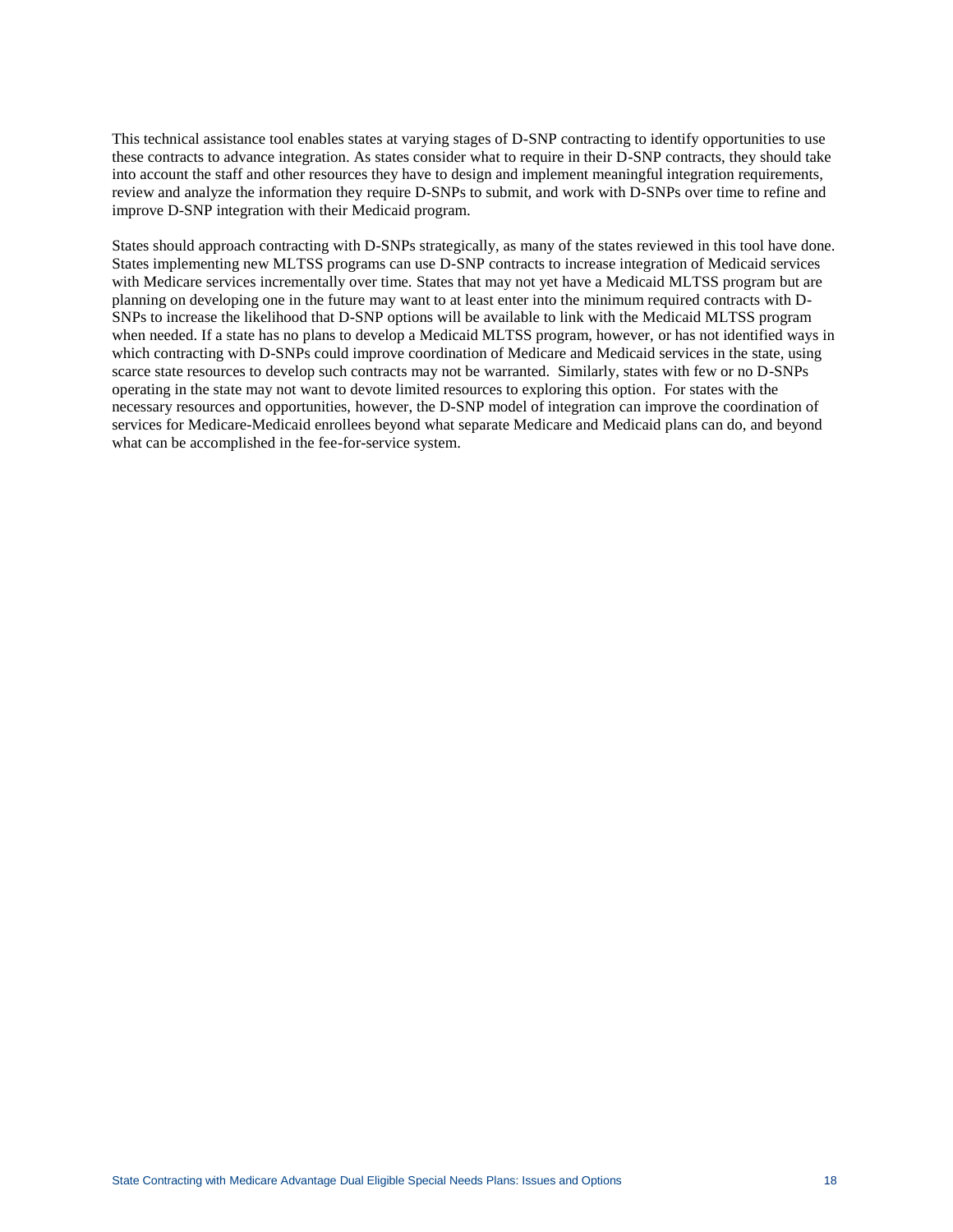This technical assistance tool enables states at varying stages of D-SNP contracting to identify opportunities to use these contracts to advance integration. As states consider what to require in their D-SNP contracts, they should take into account the staff and other resources they have to design and implement meaningful integration requirements, review and analyze the information they require D-SNPs to submit, and work with D-SNPs over time to refine and improve D-SNP integration with their Medicaid program.

States should approach contracting with D-SNPs strategically, as many of the states reviewed in this tool have done. States implementing new MLTSS programs can use D-SNP contracts to increase integration of Medicaid services with Medicare services incrementally over time. States that may not yet have a Medicaid MLTSS program but are planning on developing one in the future may want to at least enter into the minimum required contracts with D-SNPs to increase the likelihood that D-SNP options will be available to link with the Medicaid MLTSS program when needed. If a state has no plans to develop a Medicaid MLTSS program, however, or has not identified ways in which contracting with D-SNPs could improve coordination of Medicare and Medicaid services in the state, using scarce state resources to develop such contracts may not be warranted. Similarly, states with few or no D-SNPs operating in the state may not want to devote limited resources to exploring this option. For states with the necessary resources and opportunities, however, the D-SNP model of integration can improve the coordination of services for Medicare-Medicaid enrollees beyond what separate Medicare and Medicaid plans can do, and beyond what can be accomplished in the fee-for-service system.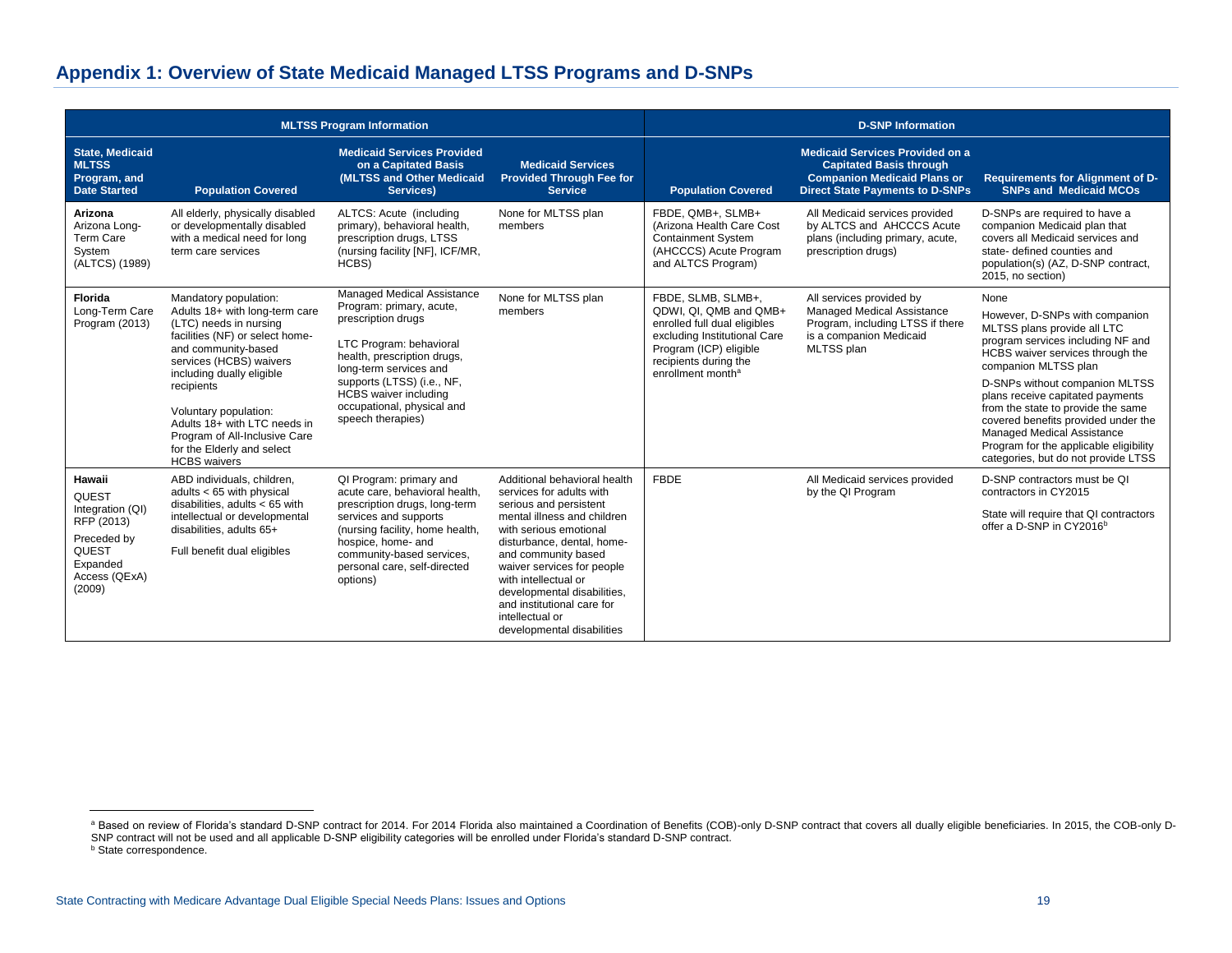# **Appendix 1: Overview of State Medicaid Managed LTSS Programs and D-SNPs**

| <b>MLTSS Program Information</b>                                                                                        |                                                                                                                                                                                                                                                                                                                                                                  |                                                                                                                                                                                                                                                                                   |                                                                                                                                                                                                                                                                                                                                                                      | <b>D-SNP Information</b>                                                                                                                                                                         |                                                                                                                                                          |                                                                                                                                                                                                                                                                                                                                                                                                                                          |
|-------------------------------------------------------------------------------------------------------------------------|------------------------------------------------------------------------------------------------------------------------------------------------------------------------------------------------------------------------------------------------------------------------------------------------------------------------------------------------------------------|-----------------------------------------------------------------------------------------------------------------------------------------------------------------------------------------------------------------------------------------------------------------------------------|----------------------------------------------------------------------------------------------------------------------------------------------------------------------------------------------------------------------------------------------------------------------------------------------------------------------------------------------------------------------|--------------------------------------------------------------------------------------------------------------------------------------------------------------------------------------------------|----------------------------------------------------------------------------------------------------------------------------------------------------------|------------------------------------------------------------------------------------------------------------------------------------------------------------------------------------------------------------------------------------------------------------------------------------------------------------------------------------------------------------------------------------------------------------------------------------------|
| <b>State, Medicaid</b><br><b>MLTSS</b><br>Program, and<br><b>Date Started</b>                                           | <b>Population Covered</b>                                                                                                                                                                                                                                                                                                                                        | <b>Medicaid Services Provided</b><br>on a Capitated Basis<br>(MLTSS and Other Medicaid<br>Services)                                                                                                                                                                               | <b>Medicaid Services</b><br><b>Provided Through Fee for</b><br><b>Service</b>                                                                                                                                                                                                                                                                                        | <b>Population Covered</b>                                                                                                                                                                        | <b>Medicaid Services Provided on a</b><br><b>Capitated Basis through</b><br><b>Companion Medicaid Plans or</b><br><b>Direct State Payments to D-SNPs</b> | Requirements for Alignment of D-<br><b>SNPs and Medicaid MCOs</b>                                                                                                                                                                                                                                                                                                                                                                        |
| Arizona<br>Arizona Long-<br>Term Care<br>System<br>(ALTCS) (1989)                                                       | All elderly, physically disabled<br>or developmentally disabled<br>with a medical need for long<br>term care services                                                                                                                                                                                                                                            | ALTCS: Acute (including<br>primary), behavioral health,<br>prescription drugs, LTSS<br>(nursing facility [NF], ICF/MR,<br>HCBS)                                                                                                                                                   | None for MLTSS plan<br>members                                                                                                                                                                                                                                                                                                                                       | FBDE, QMB+, SLMB+<br>(Arizona Health Care Cost<br><b>Containment System</b><br>(AHCCCS) Acute Program<br>and ALTCS Program)                                                                      | All Medicaid services provided<br>by ALTCS and AHCCCS Acute<br>plans (including primary, acute,<br>prescription drugs)                                   | D-SNPs are required to have a<br>companion Medicaid plan that<br>covers all Medicaid services and<br>state- defined counties and<br>population(s) (AZ, D-SNP contract,<br>2015, no section)                                                                                                                                                                                                                                              |
| Florida<br>Long-Term Care<br>Program (2013)                                                                             | Mandatory population:<br>Adults 18+ with long-term care<br>(LTC) needs in nursing<br>facilities (NF) or select home-<br>and community-based<br>services (HCBS) waivers<br>including dually eligible<br>recipients<br>Voluntary population:<br>Adults 18+ with LTC needs in<br>Program of All-Inclusive Care<br>for the Elderly and select<br><b>HCBS</b> waivers | Managed Medical Assistance<br>Program: primary, acute,<br>prescription drugs<br>LTC Program: behavioral<br>health, prescription drugs,<br>long-term services and<br>supports (LTSS) (i.e., NF,<br><b>HCBS</b> waiver including<br>occupational, physical and<br>speech therapies) | None for MLTSS plan<br>members                                                                                                                                                                                                                                                                                                                                       | FBDE, SLMB, SLMB+,<br>QDWI, QI, QMB and QMB+<br>enrolled full dual eligibles<br>excluding Institutional Care<br>Program (ICP) eligible<br>recipients during the<br>enrollment month <sup>a</sup> | All services provided by<br>Managed Medical Assistance<br>Program, including LTSS if there<br>is a companion Medicaid<br>MLTSS plan                      | None<br>However, D-SNPs with companion<br>MLTSS plans provide all LTC<br>program services including NF and<br>HCBS waiver services through the<br>companion MLTSS plan<br>D-SNPs without companion MLTSS<br>plans receive capitated payments<br>from the state to provide the same<br>covered benefits provided under the<br>Managed Medical Assistance<br>Program for the applicable eligibility<br>categories, but do not provide LTSS |
| Hawaii<br>QUEST<br>Integration (QI)<br>RFP (2013)<br>Preceded by<br><b>QUEST</b><br>Expanded<br>Access (QExA)<br>(2009) | ABD individuals, children,<br>adults $<$ 65 with physical<br>disabilities, adults $<$ 65 with<br>intellectual or developmental<br>disabilities, adults 65+<br>Full benefit dual eligibles                                                                                                                                                                        | QI Program: primary and<br>acute care, behavioral health,<br>prescription drugs, long-term<br>services and supports<br>(nursing facility, home health,<br>hospice, home- and<br>community-based services,<br>personal care, self-directed<br>options)                             | Additional behavioral health<br>services for adults with<br>serious and persistent<br>mental illness and children<br>with serious emotional<br>disturbance, dental, home-<br>and community based<br>waiver services for people<br>with intellectual or<br>developmental disabilities,<br>and institutional care for<br>intellectual or<br>developmental disabilities | <b>FBDE</b>                                                                                                                                                                                      | All Medicaid services provided<br>by the QI Program                                                                                                      | D-SNP contractors must be QI<br>contractors in CY2015<br>State will require that QI contractors<br>offer a D-SNP in CY2016 <sup>b</sup>                                                                                                                                                                                                                                                                                                  |

 $\overline{a}$ 

a Based on review of Florida's standard D-SNP contract for 2014. For 2014 Florida also maintained a Coordination of Benefits (COB)-only D-SNP contract that covers all dually eligible beneficiaries. In 2015, the COB-only D-SNP contract will not be used and all applicable D-SNP eligibility categories will be enrolled under Florida's standard D-SNP contract. **b** State correspondence.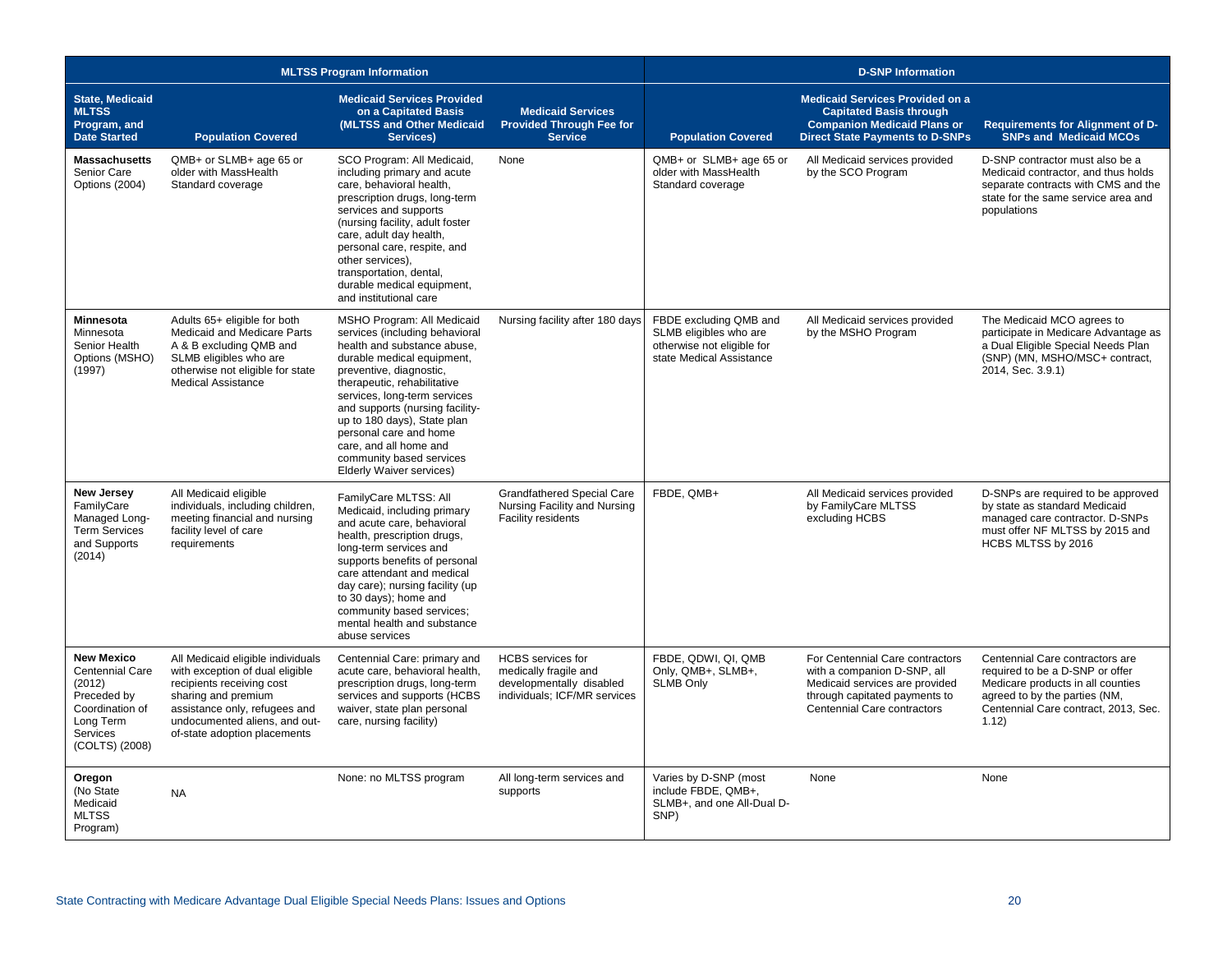| <b>MLTSS Program Information</b>                                                                                            |                                                                                                                                                                                                                            |                                                                                                                                                                                                                                                                                                                                                                                                   |                                                                                                               | <b>D-SNP Information</b>                                                                                   |                                                                                                                                                                  |                                                                                                                                                                                           |  |
|-----------------------------------------------------------------------------------------------------------------------------|----------------------------------------------------------------------------------------------------------------------------------------------------------------------------------------------------------------------------|---------------------------------------------------------------------------------------------------------------------------------------------------------------------------------------------------------------------------------------------------------------------------------------------------------------------------------------------------------------------------------------------------|---------------------------------------------------------------------------------------------------------------|------------------------------------------------------------------------------------------------------------|------------------------------------------------------------------------------------------------------------------------------------------------------------------|-------------------------------------------------------------------------------------------------------------------------------------------------------------------------------------------|--|
| <b>State, Medicaid</b><br><b>MLTSS</b><br>Program, and<br><b>Date Started</b>                                               | <b>Population Covered</b>                                                                                                                                                                                                  | <b>Medicaid Services Provided</b><br>on a Capitated Basis<br>(MLTSS and Other Medicaid<br>Services)                                                                                                                                                                                                                                                                                               | <b>Medicaid Services</b><br><b>Provided Through Fee for</b><br><b>Service</b>                                 | <b>Population Covered</b>                                                                                  | <b>Medicaid Services Provided on a</b><br><b>Capitated Basis through</b><br><b>Companion Medicaid Plans or</b><br><b>Direct State Payments to D-SNPs</b>         | Requirements for Alignment of D-<br><b>SNPs and Medicaid MCOs</b>                                                                                                                         |  |
| <b>Massachusetts</b><br>Senior Care<br>Options (2004)                                                                       | QMB+ or SLMB+ age 65 or<br>older with MassHealth<br>Standard coverage                                                                                                                                                      | SCO Program: All Medicaid,<br>including primary and acute<br>care, behavioral health.<br>prescription drugs, long-term<br>services and supports<br>(nursing facility, adult foster<br>care, adult day health,<br>personal care, respite, and<br>other services),<br>transportation, dental,<br>durable medical equipment,<br>and institutional care                                               | None                                                                                                          | QMB+ or SLMB+ age 65 or<br>older with MassHealth<br>Standard coverage                                      | All Medicaid services provided<br>by the SCO Program                                                                                                             | D-SNP contractor must also be a<br>Medicaid contractor, and thus holds<br>separate contracts with CMS and the<br>state for the same service area and<br>populations                       |  |
| <b>Minnesota</b><br>Minnesota<br>Senior Health<br>Options (MSHO)<br>(1997)                                                  | Adults 65+ eligible for both<br>Medicaid and Medicare Parts<br>A & B excluding QMB and<br>SLMB eligibles who are<br>otherwise not eligible for state<br><b>Medical Assistance</b>                                          | MSHO Program: All Medicaid<br>services (including behavioral<br>health and substance abuse,<br>durable medical equipment,<br>preventive, diagnostic,<br>therapeutic, rehabilitative<br>services, long-term services<br>and supports (nursing facility-<br>up to 180 days), State plan<br>personal care and home<br>care, and all home and<br>community based services<br>Elderly Waiver services) | Nursing facility after 180 days                                                                               | FBDE excluding QMB and<br>SLMB eligibles who are<br>otherwise not eligible for<br>state Medical Assistance | All Medicaid services provided<br>by the MSHO Program                                                                                                            | The Medicaid MCO agrees to<br>participate in Medicare Advantage as<br>a Dual Eligible Special Needs Plan<br>(SNP) (MN, MSHO/MSC+ contract,<br>2014, Sec. 3.9.1)                           |  |
| <b>New Jersey</b><br>FamilyCare<br>Managed Long-<br><b>Term Services</b><br>and Supports<br>(2014)                          | All Medicaid eligible<br>individuals, including children,<br>meeting financial and nursing<br>facility level of care<br>requirements                                                                                       | FamilyCare MLTSS: All<br>Medicaid, including primary<br>and acute care, behavioral<br>health, prescription drugs,<br>long-term services and<br>supports benefits of personal<br>care attendant and medical<br>day care); nursing facility (up<br>to 30 days); home and<br>community based services;<br>mental health and substance<br>abuse services                                              | <b>Grandfathered Special Care</b><br>Nursing Facility and Nursing<br>Facility residents                       | FBDE, QMB+                                                                                                 | All Medicaid services provided<br>by FamilyCare MLTSS<br>excluding HCBS                                                                                          | D-SNPs are required to be approved<br>by state as standard Medicaid<br>managed care contractor. D-SNPs<br>must offer NF MLTSS by 2015 and<br>HCBS MLTSS by 2016                           |  |
| <b>New Mexico</b><br>Centennial Care<br>(2012)<br>Preceded by<br>Coordination of<br>Long Term<br>Services<br>(COLTS) (2008) | All Medicaid eligible individuals<br>with exception of dual eligible<br>recipients receiving cost<br>sharing and premium<br>assistance only, refugees and<br>undocumented aliens, and out-<br>of-state adoption placements | Centennial Care: primary and<br>acute care, behavioral health,<br>prescription drugs, long-term<br>services and supports (HCBS<br>waiver, state plan personal<br>care, nursing facility)                                                                                                                                                                                                          | <b>HCBS</b> services for<br>medically fragile and<br>developmentally disabled<br>individuals; ICF/MR services | FBDE, QDWI, QI, QMB<br>Only, QMB+, SLMB+,<br><b>SLMB Only</b>                                              | For Centennial Care contractors<br>with a companion D-SNP, all<br>Medicaid services are provided<br>through capitated payments to<br>Centennial Care contractors | Centennial Care contractors are<br>required to be a D-SNP or offer<br>Medicare products in all counties<br>agreed to by the parties (NM,<br>Centennial Care contract, 2013, Sec.<br>1.12) |  |
| Oregon<br>(No State<br>Medicaid<br><b>MLTSS</b><br>Program)                                                                 | <b>NA</b>                                                                                                                                                                                                                  | None: no MLTSS program                                                                                                                                                                                                                                                                                                                                                                            | All long-term services and<br>supports                                                                        | Varies by D-SNP (most<br>include FBDE. QMB+.<br>SLMB+, and one All-Dual D-<br>SNP)                         | None                                                                                                                                                             | None                                                                                                                                                                                      |  |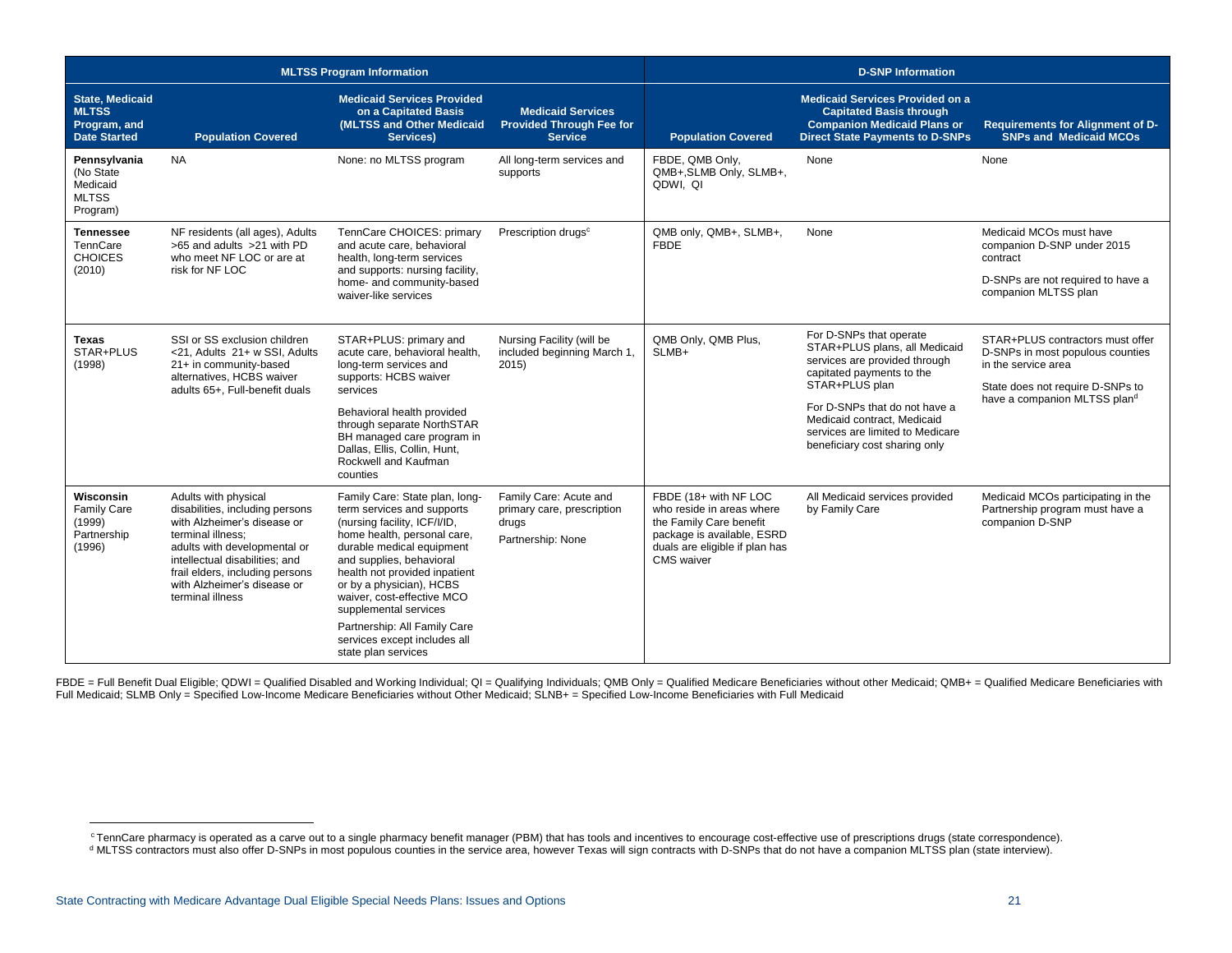| <b>MLTSS Program Information</b>                                              |                                                                                                                                                                                                                                                                     |                                                                                                                                                                                                                                                                                                                                                                                                 |                                                                                    | <b>D-SNP Information</b>                                                                                                                                           |                                                                                                                                                                                                                                                                               |                                                                                                                                                                 |
|-------------------------------------------------------------------------------|---------------------------------------------------------------------------------------------------------------------------------------------------------------------------------------------------------------------------------------------------------------------|-------------------------------------------------------------------------------------------------------------------------------------------------------------------------------------------------------------------------------------------------------------------------------------------------------------------------------------------------------------------------------------------------|------------------------------------------------------------------------------------|--------------------------------------------------------------------------------------------------------------------------------------------------------------------|-------------------------------------------------------------------------------------------------------------------------------------------------------------------------------------------------------------------------------------------------------------------------------|-----------------------------------------------------------------------------------------------------------------------------------------------------------------|
| <b>State, Medicaid</b><br><b>MLTSS</b><br>Program, and<br><b>Date Started</b> | <b>Population Covered</b>                                                                                                                                                                                                                                           | <b>Medicaid Services Provided</b><br>on a Capitated Basis<br>(MLTSS and Other Medicaid<br>Services)                                                                                                                                                                                                                                                                                             | <b>Medicaid Services</b><br><b>Provided Through Fee for</b><br><b>Service</b>      | <b>Population Covered</b>                                                                                                                                          | <b>Medicaid Services Provided on a</b><br><b>Capitated Basis through</b><br><b>Companion Medicaid Plans or</b><br><b>Direct State Payments to D-SNPs</b>                                                                                                                      | Requirements for Alignment of D-<br><b>SNPs and Medicaid MCOs</b>                                                                                               |
| Pennsylvania<br>(No State<br>Medicaid<br><b>MLTSS</b><br>Program)             | <b>NA</b>                                                                                                                                                                                                                                                           | None: no MLTSS program                                                                                                                                                                                                                                                                                                                                                                          | All long-term services and<br>supports                                             | FBDE, QMB Only,<br>QMB+, SLMB Only, SLMB+,<br>QDWI, QI                                                                                                             | None                                                                                                                                                                                                                                                                          | None                                                                                                                                                            |
| <b>Tennessee</b><br>TennCare<br><b>CHOICES</b><br>(2010)                      | NF residents (all ages), Adults<br>>65 and adults >21 with PD<br>who meet NF LOC or are at<br>risk for NF LOC                                                                                                                                                       | TennCare CHOICES: primary<br>and acute care, behavioral<br>health, long-term services<br>and supports: nursing facility,<br>home- and community-based<br>waiver-like services                                                                                                                                                                                                                   | Prescription drugs <sup>c</sup>                                                    | QMB only, QMB+, SLMB+,<br><b>FBDE</b>                                                                                                                              | None                                                                                                                                                                                                                                                                          | Medicaid MCOs must have<br>companion D-SNP under 2015<br>contract<br>D-SNPs are not required to have a<br>companion MLTSS plan                                  |
| <b>Texas</b><br>STAR+PLUS<br>(1998)                                           | SSI or SS exclusion children<br><21. Adults 21+ w SSI. Adults<br>21+ in community-based<br>alternatives. HCBS waiver<br>adults 65+, Full-benefit duals                                                                                                              | STAR+PLUS: primary and<br>acute care, behavioral health.<br>long-term services and<br>supports: HCBS waiver<br>services<br>Behavioral health provided<br>through separate NorthSTAR<br>BH managed care program in<br>Dallas, Ellis, Collin, Hunt,<br>Rockwell and Kaufman<br>counties                                                                                                           | Nursing Facility (will be<br>included beginning March 1,<br>2015                   | QMB Only, QMB Plus,<br>SLMB+                                                                                                                                       | For D-SNPs that operate<br>STAR+PLUS plans, all Medicaid<br>services are provided through<br>capitated payments to the<br>STAR+PLUS plan<br>For D-SNPs that do not have a<br>Medicaid contract. Medicaid<br>services are limited to Medicare<br>beneficiary cost sharing only | STAR+PLUS contractors must offer<br>D-SNPs in most populous counties<br>in the service area<br>State does not require D-SNPs to<br>have a companion MLTSS pland |
| Wisconsin<br>Family Care<br>(1999)<br>Partnership<br>(1996)                   | Adults with physical<br>disabilities, including persons<br>with Alzheimer's disease or<br>terminal illness:<br>adults with developmental or<br>intellectual disabilities; and<br>frail elders, including persons<br>with Alzheimer's disease or<br>terminal illness | Family Care: State plan, long-<br>term services and supports<br>(nursing facility, ICF/I/ID,<br>home health, personal care,<br>durable medical equipment<br>and supplies, behavioral<br>health not provided inpatient<br>or by a physician), HCBS<br>waiver, cost-effective MCO<br>supplemental services<br>Partnership: All Family Care<br>services except includes all<br>state plan services | Family Care: Acute and<br>primary care, prescription<br>drugs<br>Partnership: None | FBDE (18+ with NF LOC<br>who reside in areas where<br>the Family Care benefit<br>package is available, ESRD<br>duals are eligible if plan has<br><b>CMS</b> waiver | All Medicaid services provided<br>by Family Care                                                                                                                                                                                                                              | Medicaid MCOs participating in the<br>Partnership program must have a<br>companion D-SNP                                                                        |

FBDE = Full Benefit Dual Eligible; QDWI = Qualified Disabled and Working Individual; QI = Qualifying Individuals; QMB Only = Qualified Medicare Beneficiaries without other Medicaid; QMB+ = Qualified Medicare Beneficiaries Full Medicaid; SLMB Only = Specified Low-Income Medicare Beneficiaries without Other Medicaid; SLNB+ = Specified Low-Income Beneficiaries with Full Medicaid

 $\overline{a}$ 

<sup>c</sup> TennCare pharmacy is operated as a carve out to a single pharmacy benefit manager (PBM) that has tools and incentives to encourage cost-effective use of prescriptions drugs (state correspondence).

<sup>d</sup> MLTSS contractors must also offer D-SNPs in most populous counties in the service area, however Texas will sign contracts with D-SNPs that do not have a companion MLTSS plan (state interview).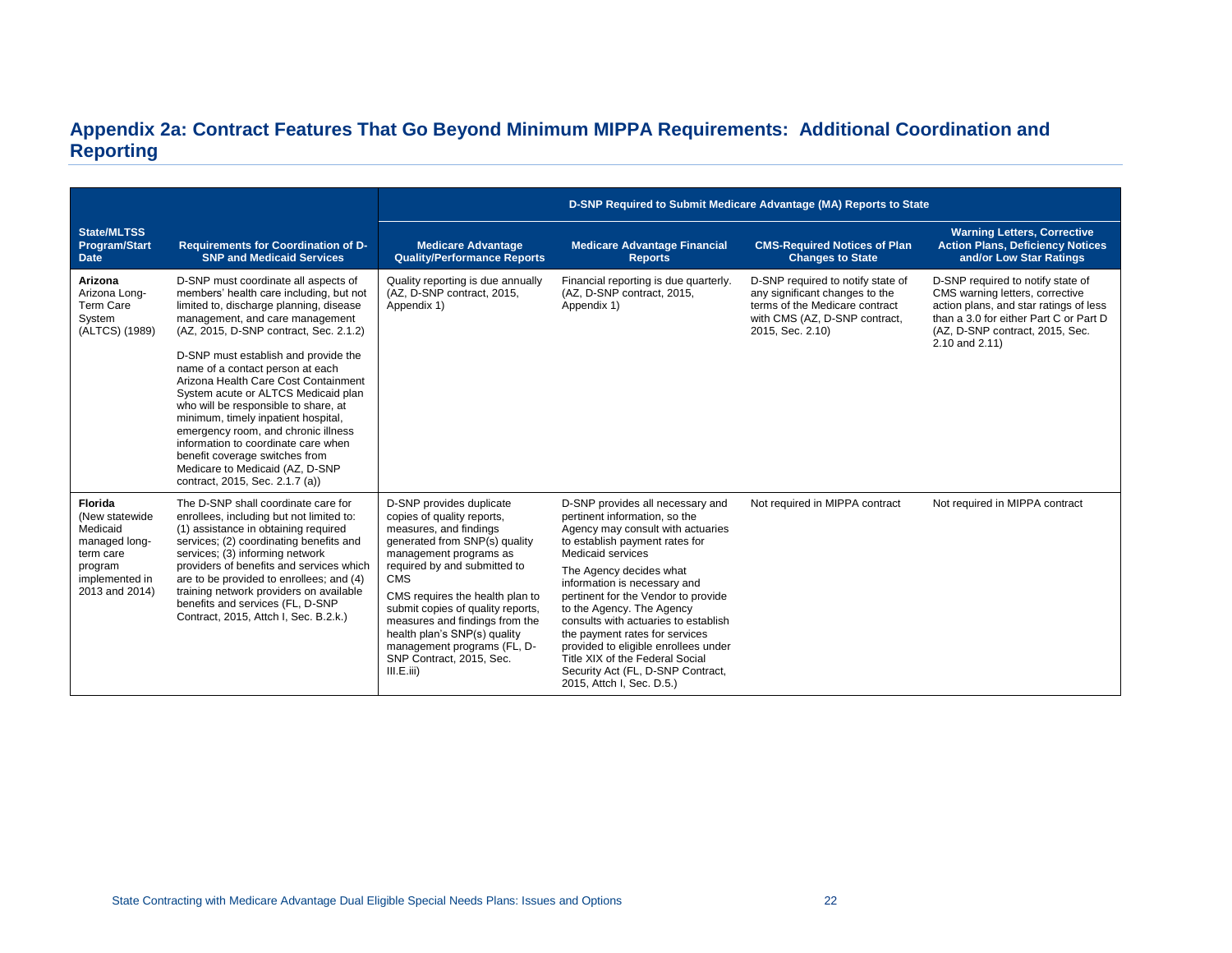# **Appendix 2a: Contract Features That Go Beyond Minimum MIPPA Requirements: Additional Coordination and Reporting**

|                                                                                                                     |                                                                                                                                                                                                                                                                                                                                                                                                                                                                                                                                                                                                                                         | D-SNP Required to Submit Medicare Advantage (MA) Reports to State                                                                                                                                                                                                                                                                                                                                            |                                                                                                                                                                                                                                                                                                                                                                                                                                                                                                                     |                                                                                                                                                            |                                                                                                                                                                                                               |  |
|---------------------------------------------------------------------------------------------------------------------|-----------------------------------------------------------------------------------------------------------------------------------------------------------------------------------------------------------------------------------------------------------------------------------------------------------------------------------------------------------------------------------------------------------------------------------------------------------------------------------------------------------------------------------------------------------------------------------------------------------------------------------------|--------------------------------------------------------------------------------------------------------------------------------------------------------------------------------------------------------------------------------------------------------------------------------------------------------------------------------------------------------------------------------------------------------------|---------------------------------------------------------------------------------------------------------------------------------------------------------------------------------------------------------------------------------------------------------------------------------------------------------------------------------------------------------------------------------------------------------------------------------------------------------------------------------------------------------------------|------------------------------------------------------------------------------------------------------------------------------------------------------------|---------------------------------------------------------------------------------------------------------------------------------------------------------------------------------------------------------------|--|
| <b>State/MLTSS</b><br><b>Program/Start</b><br><b>Date</b>                                                           | <b>Requirements for Coordination of D-</b><br><b>SNP and Medicaid Services</b>                                                                                                                                                                                                                                                                                                                                                                                                                                                                                                                                                          | <b>Medicare Advantage</b><br><b>Quality/Performance Reports</b>                                                                                                                                                                                                                                                                                                                                              | <b>Medicare Advantage Financial</b><br><b>Reports</b>                                                                                                                                                                                                                                                                                                                                                                                                                                                               | <b>CMS-Required Notices of Plan</b><br><b>Changes to State</b>                                                                                             | <b>Warning Letters, Corrective</b><br><b>Action Plans, Deficiency Notices</b><br>and/or Low Star Ratings                                                                                                      |  |
| Arizona<br>Arizona Long-<br>Term Care<br>System<br>(ALTCS) (1989)                                                   | D-SNP must coordinate all aspects of<br>members' health care including, but not<br>limited to, discharge planning, disease<br>management, and care management<br>(AZ, 2015, D-SNP contract, Sec. 2.1.2)<br>D-SNP must establish and provide the<br>name of a contact person at each<br>Arizona Health Care Cost Containment<br>System acute or ALTCS Medicaid plan<br>who will be responsible to share, at<br>minimum, timely inpatient hospital,<br>emergency room, and chronic illness<br>information to coordinate care when<br>benefit coverage switches from<br>Medicare to Medicaid (AZ, D-SNP<br>contract, 2015, Sec. 2.1.7 (a)) | Quality reporting is due annually<br>(AZ, D-SNP contract, 2015,<br>Appendix 1)                                                                                                                                                                                                                                                                                                                               | Financial reporting is due quarterly.<br>(AZ, D-SNP contract, 2015,<br>Appendix 1)                                                                                                                                                                                                                                                                                                                                                                                                                                  | D-SNP required to notify state of<br>any significant changes to the<br>terms of the Medicare contract<br>with CMS (AZ, D-SNP contract,<br>2015, Sec. 2.10) | D-SNP required to notify state of<br>CMS warning letters, corrective<br>action plans, and star ratings of less<br>than a 3.0 for either Part C or Part D<br>(AZ, D-SNP contract, 2015, Sec.<br>2.10 and 2.11) |  |
| Florida<br>(New statewide)<br>Medicaid<br>managed long-<br>term care<br>program<br>implemented in<br>2013 and 2014) | The D-SNP shall coordinate care for<br>enrollees, including but not limited to:<br>(1) assistance in obtaining required<br>services; (2) coordinating benefits and<br>services; (3) informing network<br>providers of benefits and services which<br>are to be provided to enrollees; and (4)<br>training network providers on available<br>benefits and services (FL, D-SNP<br>Contract, 2015, Attch I, Sec. B.2.k.)                                                                                                                                                                                                                   | D-SNP provides duplicate<br>copies of quality reports,<br>measures, and findings<br>generated from SNP(s) quality<br>management programs as<br>required by and submitted to<br><b>CMS</b><br>CMS requires the health plan to<br>submit copies of quality reports,<br>measures and findings from the<br>health plan's SNP(s) quality<br>management programs (FL, D-<br>SNP Contract, 2015, Sec.<br>III.E.iii) | D-SNP provides all necessary and<br>pertinent information, so the<br>Agency may consult with actuaries<br>to establish payment rates for<br>Medicaid services<br>The Agency decides what<br>information is necessary and<br>pertinent for the Vendor to provide<br>to the Agency. The Agency<br>consults with actuaries to establish<br>the payment rates for services<br>provided to eligible enrollees under<br>Title XIX of the Federal Social<br>Security Act (FL, D-SNP Contract,<br>2015, Attch I, Sec. D.5.) | Not required in MIPPA contract                                                                                                                             | Not required in MIPPA contract                                                                                                                                                                                |  |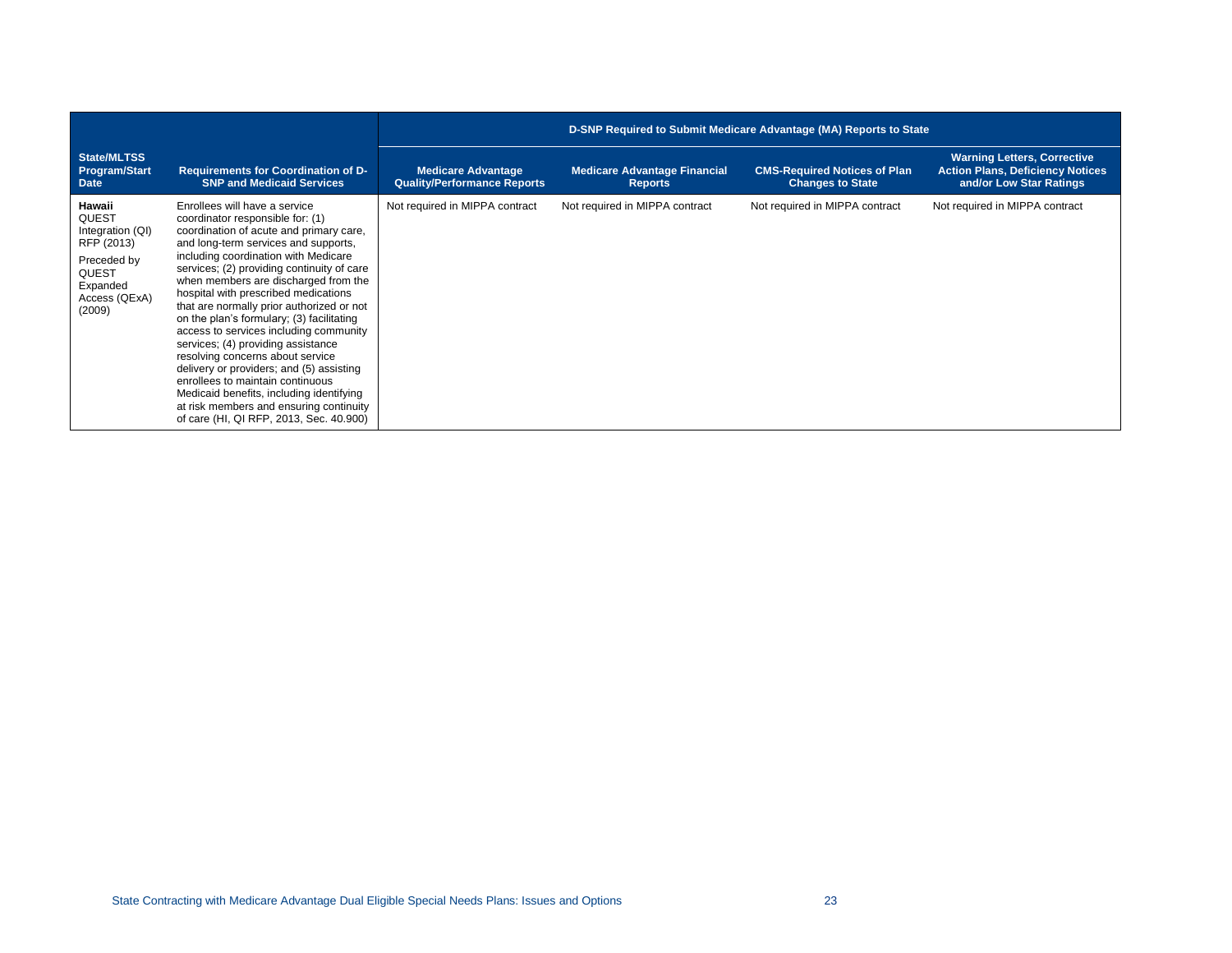|                                                                                                                                |                                                                                                                                                                                                                                                                                                                                                                                                                                                                                                                                                                                                                                                                                                                                                            | D-SNP Required to Submit Medicare Advantage (MA) Reports to State |                                                       |                                                                |                                                                                                          |  |  |
|--------------------------------------------------------------------------------------------------------------------------------|------------------------------------------------------------------------------------------------------------------------------------------------------------------------------------------------------------------------------------------------------------------------------------------------------------------------------------------------------------------------------------------------------------------------------------------------------------------------------------------------------------------------------------------------------------------------------------------------------------------------------------------------------------------------------------------------------------------------------------------------------------|-------------------------------------------------------------------|-------------------------------------------------------|----------------------------------------------------------------|----------------------------------------------------------------------------------------------------------|--|--|
| State/MLTSS<br>Program/Start<br><b>Date</b>                                                                                    | <b>Requirements for Coordination of D-</b><br><b>SNP and Medicaid Services</b>                                                                                                                                                                                                                                                                                                                                                                                                                                                                                                                                                                                                                                                                             | <b>Medicare Advantage</b><br><b>Quality/Performance Reports</b>   | <b>Medicare Advantage Financial</b><br><b>Reports</b> | <b>CMS-Required Notices of Plan</b><br><b>Changes to State</b> | <b>Warning Letters, Corrective</b><br><b>Action Plans, Deficiency Notices</b><br>and/or Low Star Ratings |  |  |
| Hawaii<br><b>QUEST</b><br>Integration (QI)<br>RFP (2013)<br>Preceded by<br><b>QUEST</b><br>Expanded<br>Access (QExA)<br>(2009) | Enrollees will have a service<br>coordinator responsible for: (1)<br>coordination of acute and primary care,<br>and long-term services and supports,<br>including coordination with Medicare<br>services; (2) providing continuity of care<br>when members are discharged from the<br>hospital with prescribed medications<br>that are normally prior authorized or not<br>on the plan's formulary; (3) facilitating<br>access to services including community<br>services; (4) providing assistance<br>resolving concerns about service<br>delivery or providers; and (5) assisting<br>enrollees to maintain continuous<br>Medicaid benefits, including identifying<br>at risk members and ensuring continuity<br>of care (HI, QI RFP, 2013, Sec. 40.900) | Not required in MIPPA contract                                    | Not required in MIPPA contract                        | Not required in MIPPA contract                                 | Not required in MIPPA contract                                                                           |  |  |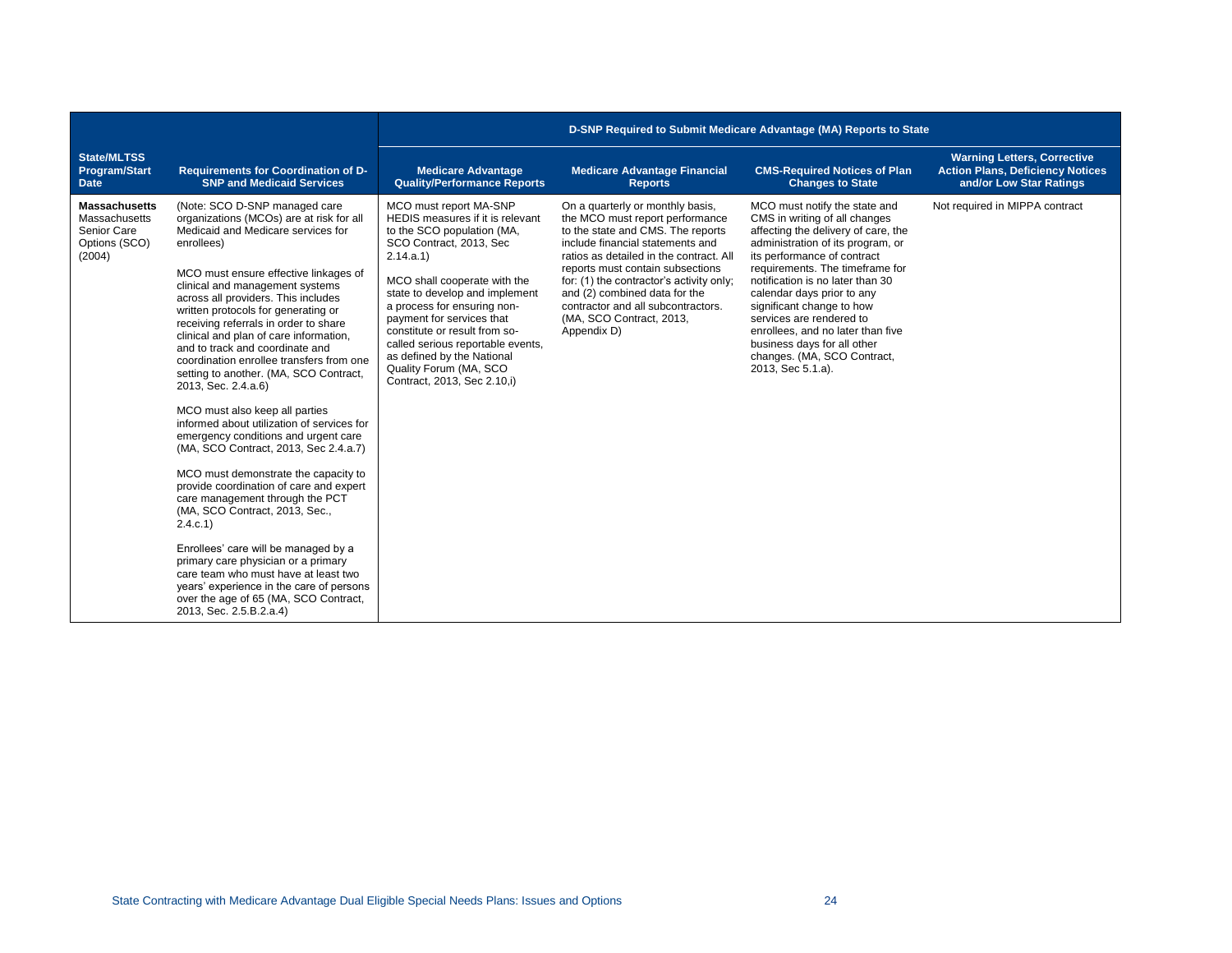|                                                                                 |                                                                                                                                                                                                                                                                                                                                                                                                                                                                                                                                                                                                                                                                                                                                                                                                                                                                                                                                                                      | D-SNP Required to Submit Medicare Advantage (MA) Reports to State                                                                                                                                                                                                                       |                                                                                                                                                                                                |                                                                                                                                                                                                                                                                                    |                                                                                                          |
|---------------------------------------------------------------------------------|----------------------------------------------------------------------------------------------------------------------------------------------------------------------------------------------------------------------------------------------------------------------------------------------------------------------------------------------------------------------------------------------------------------------------------------------------------------------------------------------------------------------------------------------------------------------------------------------------------------------------------------------------------------------------------------------------------------------------------------------------------------------------------------------------------------------------------------------------------------------------------------------------------------------------------------------------------------------|-----------------------------------------------------------------------------------------------------------------------------------------------------------------------------------------------------------------------------------------------------------------------------------------|------------------------------------------------------------------------------------------------------------------------------------------------------------------------------------------------|------------------------------------------------------------------------------------------------------------------------------------------------------------------------------------------------------------------------------------------------------------------------------------|----------------------------------------------------------------------------------------------------------|
| <b>State/MLTSS</b><br><b>Program/Start</b><br><b>Date</b>                       | <b>Requirements for Coordination of D-</b><br><b>SNP and Medicaid Services</b>                                                                                                                                                                                                                                                                                                                                                                                                                                                                                                                                                                                                                                                                                                                                                                                                                                                                                       | <b>Medicare Advantage</b><br><b>Quality/Performance Reports</b>                                                                                                                                                                                                                         | <b>Medicare Advantage Financial</b><br><b>Reports</b>                                                                                                                                          | <b>CMS-Required Notices of Plan</b><br><b>Changes to State</b>                                                                                                                                                                                                                     | <b>Warning Letters, Corrective</b><br><b>Action Plans, Deficiency Notices</b><br>and/or Low Star Ratings |
| <b>Massachusetts</b><br>Massachusetts<br>Senior Care<br>Options (SCO)<br>(2004) | (Note: SCO D-SNP managed care<br>organizations (MCOs) are at risk for all<br>Medicaid and Medicare services for<br>enrollees)                                                                                                                                                                                                                                                                                                                                                                                                                                                                                                                                                                                                                                                                                                                                                                                                                                        | MCO must report MA-SNP<br>HEDIS measures if it is relevant<br>to the SCO population (MA,<br>SCO Contract, 2013, Sec<br>2.14.a.1                                                                                                                                                         | On a quarterly or monthly basis,<br>the MCO must report performance<br>to the state and CMS. The reports<br>include financial statements and<br>ratios as detailed in the contract. All        | MCO must notify the state and<br>CMS in writing of all changes<br>affecting the delivery of care, the<br>administration of its program, or<br>its performance of contract                                                                                                          | Not required in MIPPA contract                                                                           |
|                                                                                 | MCO must ensure effective linkages of<br>clinical and management systems<br>across all providers. This includes<br>written protocols for generating or<br>receiving referrals in order to share<br>clinical and plan of care information,<br>and to track and coordinate and<br>coordination enrollee transfers from one<br>setting to another. (MA, SCO Contract,<br>2013, Sec. 2.4.a.6)<br>MCO must also keep all parties<br>informed about utilization of services for<br>emergency conditions and urgent care<br>(MA, SCO Contract, 2013, Sec 2.4.a.7)<br>MCO must demonstrate the capacity to<br>provide coordination of care and expert<br>care management through the PCT<br>(MA, SCO Contract, 2013, Sec.,<br>2.4.c.1<br>Enrollees' care will be managed by a<br>primary care physician or a primary<br>care team who must have at least two<br>years' experience in the care of persons<br>over the age of 65 (MA, SCO Contract,<br>2013, Sec. 2.5.B.2.a.4) | MCO shall cooperate with the<br>state to develop and implement<br>a process for ensuring non-<br>payment for services that<br>constitute or result from so-<br>called serious reportable events,<br>as defined by the National<br>Quality Forum (MA, SCO<br>Contract, 2013, Sec 2.10,i) | reports must contain subsections<br>for: (1) the contractor's activity only;<br>and (2) combined data for the<br>contractor and all subcontractors.<br>(MA, SCO Contract, 2013,<br>Appendix D) | requirements. The timeframe for<br>notification is no later than 30<br>calendar days prior to any<br>significant change to how<br>services are rendered to<br>enrollees, and no later than five<br>business days for all other<br>changes. (MA, SCO Contract,<br>2013, Sec 5.1.a). |                                                                                                          |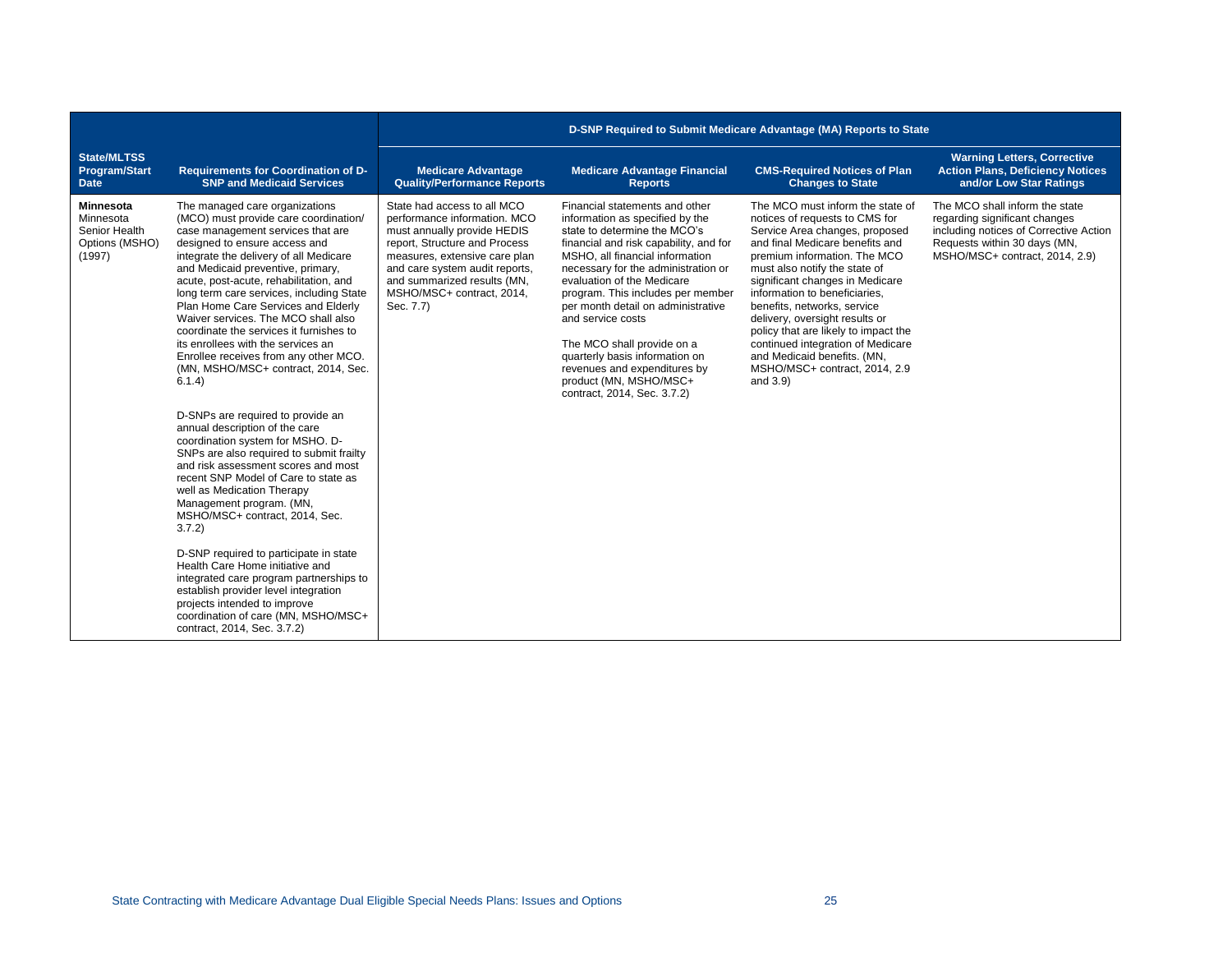|                                                                            |                                                                                                                                                                                                                                                                                                                                                                                                                                                                                                                                                                                                                                                                                                                                                                                                                                                                                                                                                                                                                                                                                                                                                                                              | D-SNP Required to Submit Medicare Advantage (MA) Reports to State                                                                                                                                                                                                       |                                                                                                                                                                                                                                                                                                                                                                                                                                                                                                              |                                                                                                                                                                                                                                                                                                                                                                                                                                                                                                           |                                                                                                                                                                             |  |
|----------------------------------------------------------------------------|----------------------------------------------------------------------------------------------------------------------------------------------------------------------------------------------------------------------------------------------------------------------------------------------------------------------------------------------------------------------------------------------------------------------------------------------------------------------------------------------------------------------------------------------------------------------------------------------------------------------------------------------------------------------------------------------------------------------------------------------------------------------------------------------------------------------------------------------------------------------------------------------------------------------------------------------------------------------------------------------------------------------------------------------------------------------------------------------------------------------------------------------------------------------------------------------|-------------------------------------------------------------------------------------------------------------------------------------------------------------------------------------------------------------------------------------------------------------------------|--------------------------------------------------------------------------------------------------------------------------------------------------------------------------------------------------------------------------------------------------------------------------------------------------------------------------------------------------------------------------------------------------------------------------------------------------------------------------------------------------------------|-----------------------------------------------------------------------------------------------------------------------------------------------------------------------------------------------------------------------------------------------------------------------------------------------------------------------------------------------------------------------------------------------------------------------------------------------------------------------------------------------------------|-----------------------------------------------------------------------------------------------------------------------------------------------------------------------------|--|
| <b>State/MLTSS</b><br>Program/Start<br><b>Date</b>                         | <b>Requirements for Coordination of D-</b><br><b>SNP and Medicaid Services</b>                                                                                                                                                                                                                                                                                                                                                                                                                                                                                                                                                                                                                                                                                                                                                                                                                                                                                                                                                                                                                                                                                                               | <b>Medicare Advantage</b><br><b>Quality/Performance Reports</b>                                                                                                                                                                                                         | <b>Medicare Advantage Financial</b><br><b>Reports</b>                                                                                                                                                                                                                                                                                                                                                                                                                                                        | <b>CMS-Required Notices of Plan</b><br><b>Changes to State</b>                                                                                                                                                                                                                                                                                                                                                                                                                                            | <b>Warning Letters, Corrective</b><br><b>Action Plans, Deficiency Notices</b><br>and/or Low Star Ratings                                                                    |  |
| <b>Minnesota</b><br>Minnesota<br>Senior Health<br>Options (MSHO)<br>(1997) | The managed care organizations<br>(MCO) must provide care coordination/<br>case management services that are<br>designed to ensure access and<br>integrate the delivery of all Medicare<br>and Medicaid preventive, primary,<br>acute, post-acute, rehabilitation, and<br>long term care services, including State<br>Plan Home Care Services and Elderly<br>Waiver services. The MCO shall also<br>coordinate the services it furnishes to<br>its enrollees with the services an<br>Enrollee receives from any other MCO.<br>(MN, MSHO/MSC+ contract, 2014, Sec.<br>6.1.4)<br>D-SNPs are required to provide an<br>annual description of the care<br>coordination system for MSHO. D-<br>SNPs are also required to submit frailty<br>and risk assessment scores and most<br>recent SNP Model of Care to state as<br>well as Medication Therapy<br>Management program. (MN,<br>MSHO/MSC+ contract, 2014, Sec.<br>3.7.2<br>D-SNP required to participate in state<br>Health Care Home initiative and<br>integrated care program partnerships to<br>establish provider level integration<br>projects intended to improve<br>coordination of care (MN, MSHO/MSC+<br>contract, 2014, Sec. 3.7.2) | State had access to all MCO<br>performance information. MCO<br>must annually provide HEDIS<br>report, Structure and Process<br>measures, extensive care plan<br>and care system audit reports,<br>and summarized results (MN,<br>MSHO/MSC+ contract, 2014,<br>Sec. 7.7) | Financial statements and other<br>information as specified by the<br>state to determine the MCO's<br>financial and risk capability, and for<br>MSHO, all financial information<br>necessary for the administration or<br>evaluation of the Medicare<br>program. This includes per member<br>per month detail on administrative<br>and service costs<br>The MCO shall provide on a<br>quarterly basis information on<br>revenues and expenditures by<br>product (MN, MSHO/MSC+<br>contract, 2014, Sec. 3.7.2) | The MCO must inform the state of<br>notices of requests to CMS for<br>Service Area changes, proposed<br>and final Medicare benefits and<br>premium information. The MCO<br>must also notify the state of<br>significant changes in Medicare<br>information to beneficiaries,<br>benefits, networks, service<br>delivery, oversight results or<br>policy that are likely to impact the<br>continued integration of Medicare<br>and Medicaid benefits. (MN,<br>MSHO/MSC+ contract, 2014, 2.9<br>and $3.9$ ) | The MCO shall inform the state<br>regarding significant changes<br>including notices of Corrective Action<br>Requests within 30 days (MN,<br>MSHO/MSC+ contract, 2014, 2.9) |  |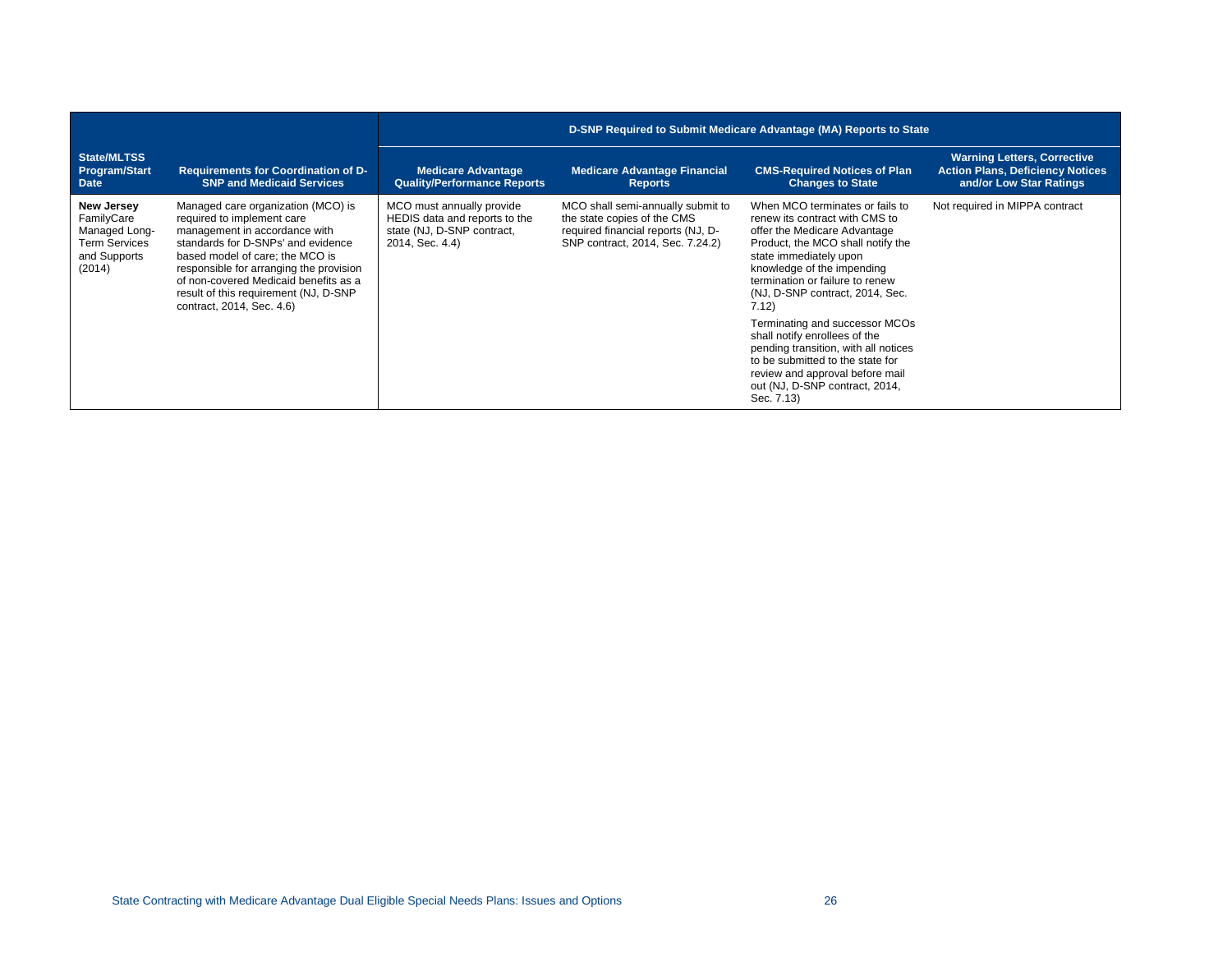|                                                                                                    |                                                                                                                                                                                                                                                                                                                                      | D-SNP Required to Submit Medicare Advantage (MA) Reports to State                                           |                                                                                                                                            |                                                                                                                                                                                                                                                                                                                                                                                                                                                                                                                 |                                                                                                          |
|----------------------------------------------------------------------------------------------------|--------------------------------------------------------------------------------------------------------------------------------------------------------------------------------------------------------------------------------------------------------------------------------------------------------------------------------------|-------------------------------------------------------------------------------------------------------------|--------------------------------------------------------------------------------------------------------------------------------------------|-----------------------------------------------------------------------------------------------------------------------------------------------------------------------------------------------------------------------------------------------------------------------------------------------------------------------------------------------------------------------------------------------------------------------------------------------------------------------------------------------------------------|----------------------------------------------------------------------------------------------------------|
| State/MLTSS<br>Program/Start<br><b>Date</b>                                                        | <b>Requirements for Coordination of D-</b><br><b>SNP and Medicaid Services</b>                                                                                                                                                                                                                                                       | <b>Medicare Advantage</b><br><b>Quality/Performance Reports</b>                                             | <b>Medicare Advantage Financial</b><br><b>Reports</b>                                                                                      | <b>CMS-Required Notices of Plan</b><br><b>Changes to State</b>                                                                                                                                                                                                                                                                                                                                                                                                                                                  | <b>Warning Letters, Corrective</b><br><b>Action Plans, Deficiency Notices</b><br>and/or Low Star Ratings |
| <b>New Jersey</b><br>FamilyCare<br>Managed Long-<br><b>Term Services</b><br>and Supports<br>(2014) | Managed care organization (MCO) is<br>required to implement care<br>management in accordance with<br>standards for D-SNPs' and evidence<br>based model of care; the MCO is<br>responsible for arranging the provision<br>of non-covered Medicaid benefits as a<br>result of this requirement (NJ, D-SNP<br>contract, 2014, Sec. 4.6) | MCO must annually provide<br>HEDIS data and reports to the<br>state (NJ, D-SNP contract,<br>2014, Sec. 4.4) | MCO shall semi-annually submit to<br>the state copies of the CMS<br>required financial reports (NJ, D-<br>SNP contract, 2014, Sec. 7.24.2) | When MCO terminates or fails to<br>renew its contract with CMS to<br>offer the Medicare Advantage<br>Product, the MCO shall notify the<br>state immediately upon<br>knowledge of the impending<br>termination or failure to renew<br>(NJ, D-SNP contract, 2014, Sec.<br>7.12)<br>Terminating and successor MCOs<br>shall notify enrollees of the<br>pending transition, with all notices<br>to be submitted to the state for<br>review and approval before mail<br>out (NJ, D-SNP contract, 2014,<br>Sec. 7.13) | Not required in MIPPA contract                                                                           |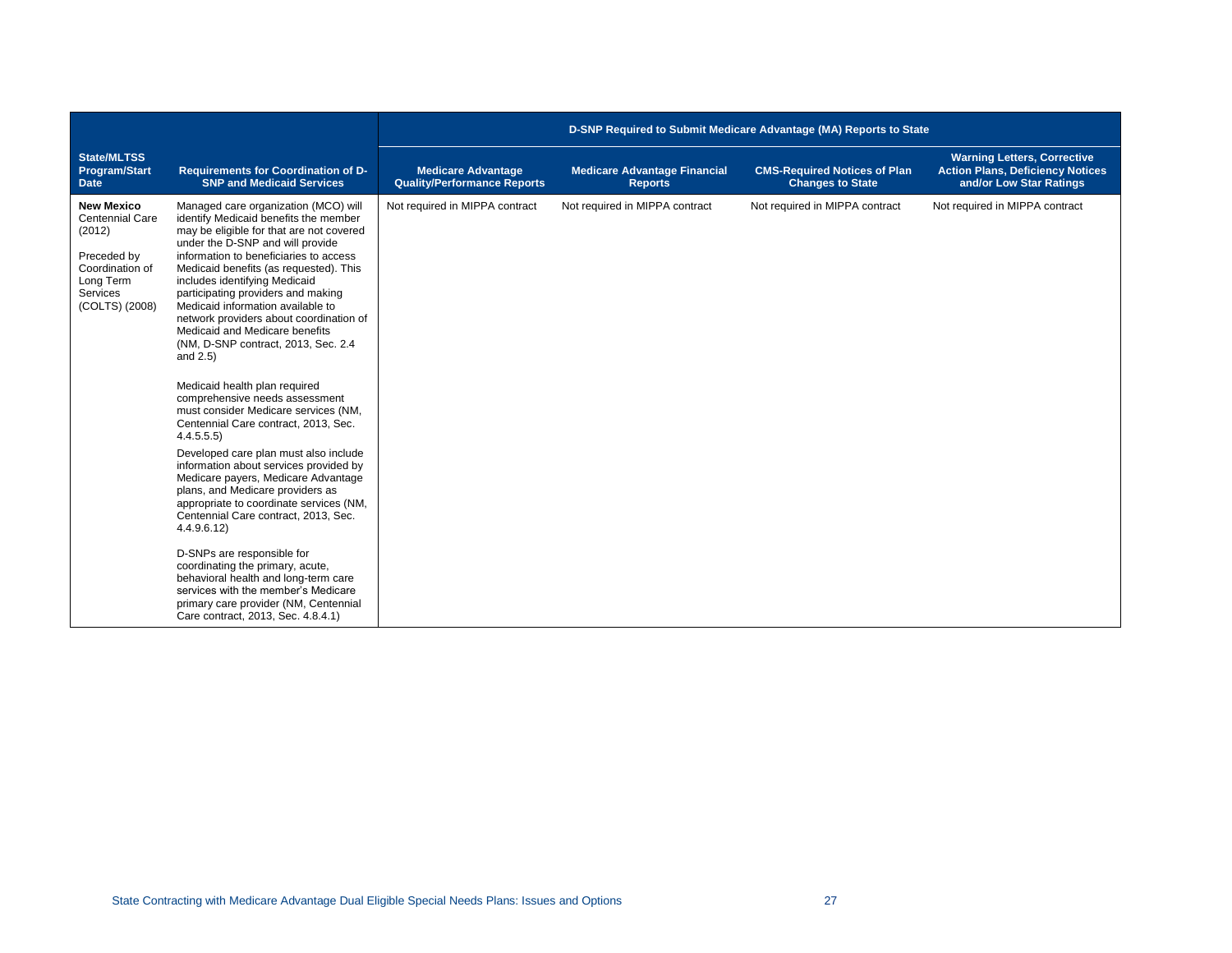|                                                                                                                                    |                                                                                                                                                                                                                                                                                                                                                                                                                                                                                                                                                                                                                                                                                                                                                                                                                                                                                                                                                                                                                                                                                                                                                                   | D-SNP Required to Submit Medicare Advantage (MA) Reports to State |                                                       |                                                                |                                                                                                          |
|------------------------------------------------------------------------------------------------------------------------------------|-------------------------------------------------------------------------------------------------------------------------------------------------------------------------------------------------------------------------------------------------------------------------------------------------------------------------------------------------------------------------------------------------------------------------------------------------------------------------------------------------------------------------------------------------------------------------------------------------------------------------------------------------------------------------------------------------------------------------------------------------------------------------------------------------------------------------------------------------------------------------------------------------------------------------------------------------------------------------------------------------------------------------------------------------------------------------------------------------------------------------------------------------------------------|-------------------------------------------------------------------|-------------------------------------------------------|----------------------------------------------------------------|----------------------------------------------------------------------------------------------------------|
| <b>State/MLTSS</b><br><b>Program/Start</b><br><b>Date</b>                                                                          | <b>Requirements for Coordination of D-</b><br><b>SNP and Medicaid Services</b>                                                                                                                                                                                                                                                                                                                                                                                                                                                                                                                                                                                                                                                                                                                                                                                                                                                                                                                                                                                                                                                                                    | <b>Medicare Advantage</b><br><b>Quality/Performance Reports</b>   | <b>Medicare Advantage Financial</b><br><b>Reports</b> | <b>CMS-Required Notices of Plan</b><br><b>Changes to State</b> | <b>Warning Letters, Corrective</b><br><b>Action Plans, Deficiency Notices</b><br>and/or Low Star Ratings |
| <b>New Mexico</b><br>Centennial Care<br>(2012)<br>Preceded by<br>Coordination of<br>Long Term<br><b>Services</b><br>(COLTS) (2008) | Managed care organization (MCO) will<br>identify Medicaid benefits the member<br>may be eligible for that are not covered<br>under the D-SNP and will provide<br>information to beneficiaries to access<br>Medicaid benefits (as requested). This<br>includes identifying Medicaid<br>participating providers and making<br>Medicaid information available to<br>network providers about coordination of<br>Medicaid and Medicare benefits<br>(NM, D-SNP contract, 2013, Sec. 2.4<br>and $2.5$ )<br>Medicaid health plan required<br>comprehensive needs assessment<br>must consider Medicare services (NM,<br>Centennial Care contract, 2013, Sec.<br>4.4.5.5.5)<br>Developed care plan must also include<br>information about services provided by<br>Medicare payers, Medicare Advantage<br>plans, and Medicare providers as<br>appropriate to coordinate services (NM,<br>Centennial Care contract, 2013, Sec.<br>4.4.9.6.12)<br>D-SNPs are responsible for<br>coordinating the primary, acute,<br>behavioral health and long-term care<br>services with the member's Medicare<br>primary care provider (NM, Centennial<br>Care contract, 2013, Sec. 4.8.4.1) | Not required in MIPPA contract                                    | Not required in MIPPA contract                        | Not required in MIPPA contract                                 | Not required in MIPPA contract                                                                           |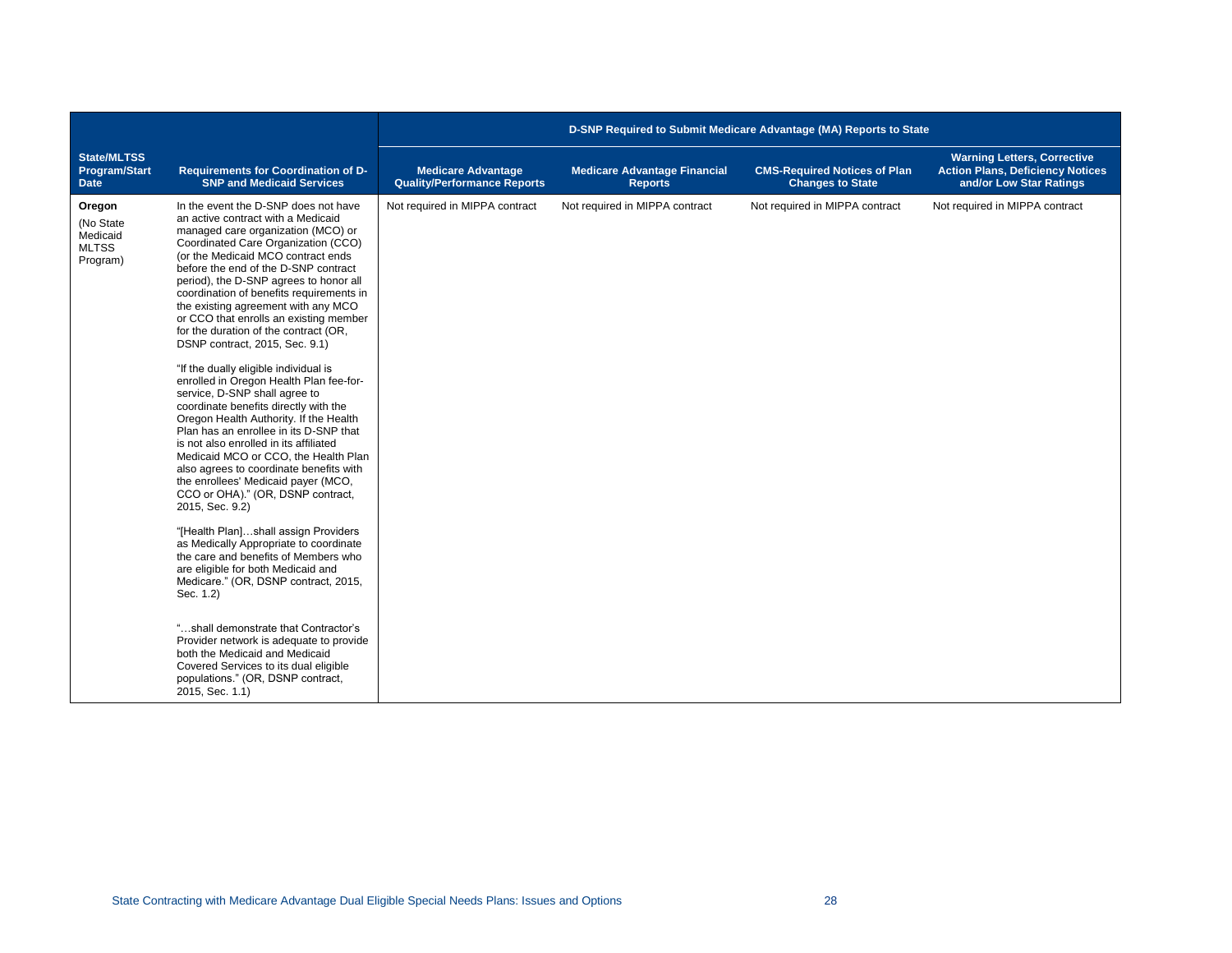|                                                             |                                                                                                                                                                                                                                                                                                                                                                                                                                                                                                                                                                                                                                                                                                                                                                                                                                                                                                                                                                                                                                                                                                                                                                                                                                                                                                                                                                                                                  | D-SNP Required to Submit Medicare Advantage (MA) Reports to State |                                                       |                                                                |                                                                                                          |
|-------------------------------------------------------------|------------------------------------------------------------------------------------------------------------------------------------------------------------------------------------------------------------------------------------------------------------------------------------------------------------------------------------------------------------------------------------------------------------------------------------------------------------------------------------------------------------------------------------------------------------------------------------------------------------------------------------------------------------------------------------------------------------------------------------------------------------------------------------------------------------------------------------------------------------------------------------------------------------------------------------------------------------------------------------------------------------------------------------------------------------------------------------------------------------------------------------------------------------------------------------------------------------------------------------------------------------------------------------------------------------------------------------------------------------------------------------------------------------------|-------------------------------------------------------------------|-------------------------------------------------------|----------------------------------------------------------------|----------------------------------------------------------------------------------------------------------|
| <b>State/MLTSS</b><br><b>Program/Start</b><br><b>Date</b>   | Requirements for Coordination of D-<br><b>SNP and Medicaid Services</b>                                                                                                                                                                                                                                                                                                                                                                                                                                                                                                                                                                                                                                                                                                                                                                                                                                                                                                                                                                                                                                                                                                                                                                                                                                                                                                                                          | <b>Medicare Advantage</b><br><b>Quality/Performance Reports</b>   | <b>Medicare Advantage Financial</b><br><b>Reports</b> | <b>CMS-Required Notices of Plan</b><br><b>Changes to State</b> | <b>Warning Letters, Corrective</b><br><b>Action Plans, Deficiency Notices</b><br>and/or Low Star Ratings |
| Oregon<br>(No State<br>Medicaid<br><b>MLTSS</b><br>Program) | In the event the D-SNP does not have<br>an active contract with a Medicaid<br>managed care organization (MCO) or<br>Coordinated Care Organization (CCO)<br>(or the Medicaid MCO contract ends<br>before the end of the D-SNP contract<br>period), the D-SNP agrees to honor all<br>coordination of benefits requirements in<br>the existing agreement with any MCO<br>or CCO that enrolls an existing member<br>for the duration of the contract (OR,<br>DSNP contract, 2015, Sec. 9.1)<br>"If the dually eligible individual is<br>enrolled in Oregon Health Plan fee-for-<br>service, D-SNP shall agree to<br>coordinate benefits directly with the<br>Oregon Health Authority. If the Health<br>Plan has an enrollee in its D-SNP that<br>is not also enrolled in its affiliated<br>Medicaid MCO or CCO, the Health Plan<br>also agrees to coordinate benefits with<br>the enrollees' Medicaid payer (MCO,<br>CCO or OHA)." (OR, DSNP contract,<br>2015, Sec. 9.2)<br>"[Health Plan]shall assign Providers<br>as Medically Appropriate to coordinate<br>the care and benefits of Members who<br>are eligible for both Medicaid and<br>Medicare." (OR, DSNP contract, 2015,<br>Sec. 1.2)<br>"shall demonstrate that Contractor's<br>Provider network is adequate to provide<br>both the Medicaid and Medicaid<br>Covered Services to its dual eligible<br>populations." (OR, DSNP contract,<br>2015, Sec. 1.1) | Not required in MIPPA contract                                    | Not required in MIPPA contract                        | Not required in MIPPA contract                                 | Not required in MIPPA contract                                                                           |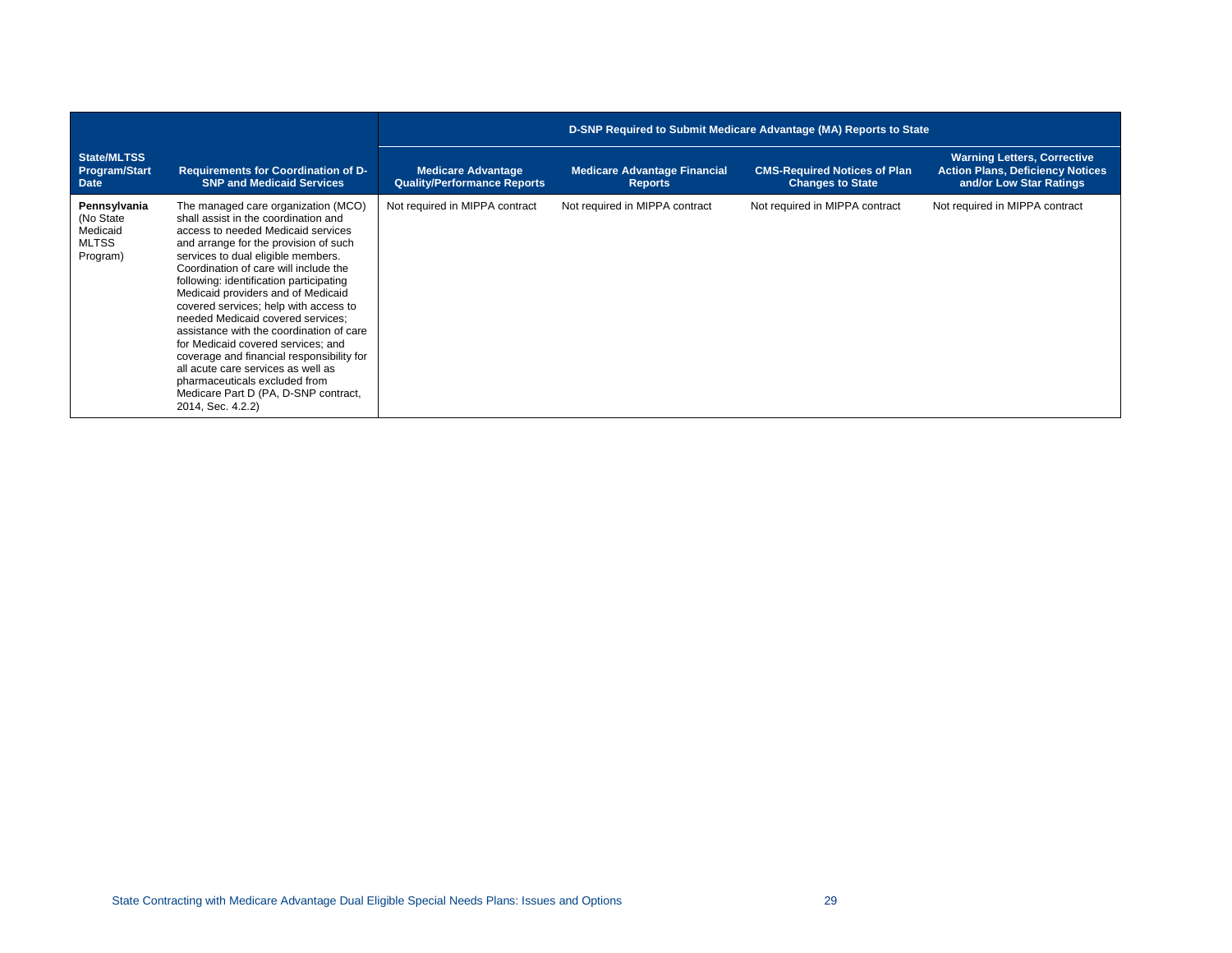|                                                                   |                                                                                                                                                                                                                                                                                                                                                                                                                                                                                                                                                                                                                                                                             | D-SNP Required to Submit Medicare Advantage (MA) Reports to State |                                                       |                                                                |                                                                                                          |
|-------------------------------------------------------------------|-----------------------------------------------------------------------------------------------------------------------------------------------------------------------------------------------------------------------------------------------------------------------------------------------------------------------------------------------------------------------------------------------------------------------------------------------------------------------------------------------------------------------------------------------------------------------------------------------------------------------------------------------------------------------------|-------------------------------------------------------------------|-------------------------------------------------------|----------------------------------------------------------------|----------------------------------------------------------------------------------------------------------|
| State/MLTSS<br>Program/Start<br>Date                              | <b>Requirements for Coordination of D-</b><br><b>SNP and Medicaid Services</b>                                                                                                                                                                                                                                                                                                                                                                                                                                                                                                                                                                                              | <b>Medicare Advantage</b><br><b>Quality/Performance Reports</b>   | <b>Medicare Advantage Financial</b><br><b>Reports</b> | <b>CMS-Required Notices of Plan</b><br><b>Changes to State</b> | <b>Warning Letters, Corrective</b><br><b>Action Plans, Deficiency Notices</b><br>and/or Low Star Ratings |
| Pennsylvania<br>(No State<br>Medicaid<br><b>MLTSS</b><br>Program) | The managed care organization (MCO)<br>shall assist in the coordination and<br>access to needed Medicaid services<br>and arrange for the provision of such<br>services to dual eligible members.<br>Coordination of care will include the<br>following: identification participating<br>Medicaid providers and of Medicaid<br>covered services; help with access to<br>needed Medicaid covered services;<br>assistance with the coordination of care<br>for Medicaid covered services; and<br>coverage and financial responsibility for<br>all acute care services as well as<br>pharmaceuticals excluded from<br>Medicare Part D (PA, D-SNP contract,<br>2014, Sec. 4.2.2) | Not required in MIPPA contract                                    | Not required in MIPPA contract                        | Not required in MIPPA contract                                 | Not required in MIPPA contract                                                                           |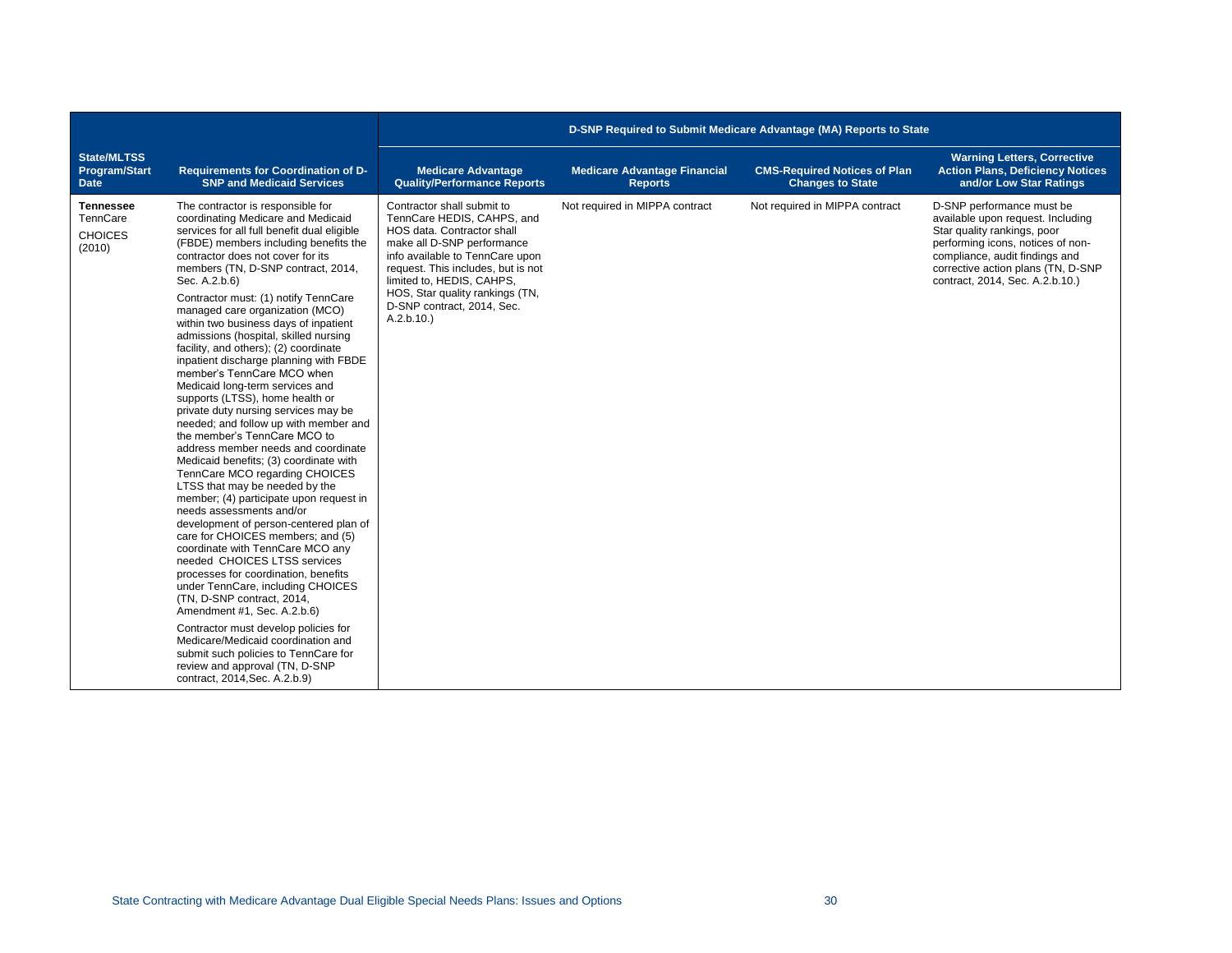|                                                           |                                                                                                                                                                                                                                                                                                                                                                                                                                                                                                                                                                                                                                                                                                                                                                                                                                                                                                                                                                                                                                                                                                                                                                                                                                                                                                                                                                                                                                                    | D-SNP Required to Submit Medicare Advantage (MA) Reports to State                                                                                                                                                                                                                                        |                                                       |                                                                |                                                                                                                                                                                                                                               |
|-----------------------------------------------------------|----------------------------------------------------------------------------------------------------------------------------------------------------------------------------------------------------------------------------------------------------------------------------------------------------------------------------------------------------------------------------------------------------------------------------------------------------------------------------------------------------------------------------------------------------------------------------------------------------------------------------------------------------------------------------------------------------------------------------------------------------------------------------------------------------------------------------------------------------------------------------------------------------------------------------------------------------------------------------------------------------------------------------------------------------------------------------------------------------------------------------------------------------------------------------------------------------------------------------------------------------------------------------------------------------------------------------------------------------------------------------------------------------------------------------------------------------|----------------------------------------------------------------------------------------------------------------------------------------------------------------------------------------------------------------------------------------------------------------------------------------------------------|-------------------------------------------------------|----------------------------------------------------------------|-----------------------------------------------------------------------------------------------------------------------------------------------------------------------------------------------------------------------------------------------|
| <b>State/MLTSS</b><br><b>Program/Start</b><br><b>Date</b> | <b>Requirements for Coordination of D-</b><br><b>SNP and Medicaid Services</b>                                                                                                                                                                                                                                                                                                                                                                                                                                                                                                                                                                                                                                                                                                                                                                                                                                                                                                                                                                                                                                                                                                                                                                                                                                                                                                                                                                     | <b>Medicare Advantage</b><br><b>Quality/Performance Reports</b>                                                                                                                                                                                                                                          | <b>Medicare Advantage Financial</b><br><b>Reports</b> | <b>CMS-Required Notices of Plan</b><br><b>Changes to State</b> | <b>Warning Letters, Corrective</b><br><b>Action Plans, Deficiency Notices</b><br>and/or Low Star Ratings                                                                                                                                      |
| <b>Tennessee</b><br>TennCare<br><b>CHOICES</b><br>(2010)  | The contractor is responsible for<br>coordinating Medicare and Medicaid<br>services for all full benefit dual eligible<br>(FBDE) members including benefits the<br>contractor does not cover for its<br>members (TN, D-SNP contract, 2014,<br>Sec. A.2.b.6)<br>Contractor must: (1) notify TennCare<br>managed care organization (MCO)<br>within two business days of inpatient<br>admissions (hospital, skilled nursing<br>facility, and others); (2) coordinate<br>inpatient discharge planning with FBDE<br>member's TennCare MCO when<br>Medicaid long-term services and<br>supports (LTSS), home health or<br>private duty nursing services may be<br>needed; and follow up with member and<br>the member's TennCare MCO to<br>address member needs and coordinate<br>Medicaid benefits; (3) coordinate with<br>TennCare MCO regarding CHOICES<br>LTSS that may be needed by the<br>member; (4) participate upon request in<br>needs assessments and/or<br>development of person-centered plan of<br>care for CHOICES members; and (5)<br>coordinate with TennCare MCO any<br>needed CHOICES LTSS services<br>processes for coordination, benefits<br>under TennCare, including CHOICES<br>(TN, D-SNP contract, 2014,<br>Amendment #1, Sec. A.2.b.6)<br>Contractor must develop policies for<br>Medicare/Medicaid coordination and<br>submit such policies to TennCare for<br>review and approval (TN, D-SNP<br>contract, 2014, Sec. A.2.b.9) | Contractor shall submit to<br>TennCare HEDIS, CAHPS, and<br>HOS data. Contractor shall<br>make all D-SNP performance<br>info available to TennCare upon<br>request. This includes, but is not<br>limited to, HEDIS, CAHPS,<br>HOS, Star quality rankings (TN,<br>D-SNP contract, 2014, Sec.<br>A.2.b.10. | Not required in MIPPA contract                        | Not required in MIPPA contract                                 | D-SNP performance must be<br>available upon request. Including<br>Star quality rankings, poor<br>performing icons, notices of non-<br>compliance, audit findings and<br>corrective action plans (TN, D-SNP<br>contract, 2014, Sec. A.2.b.10.) |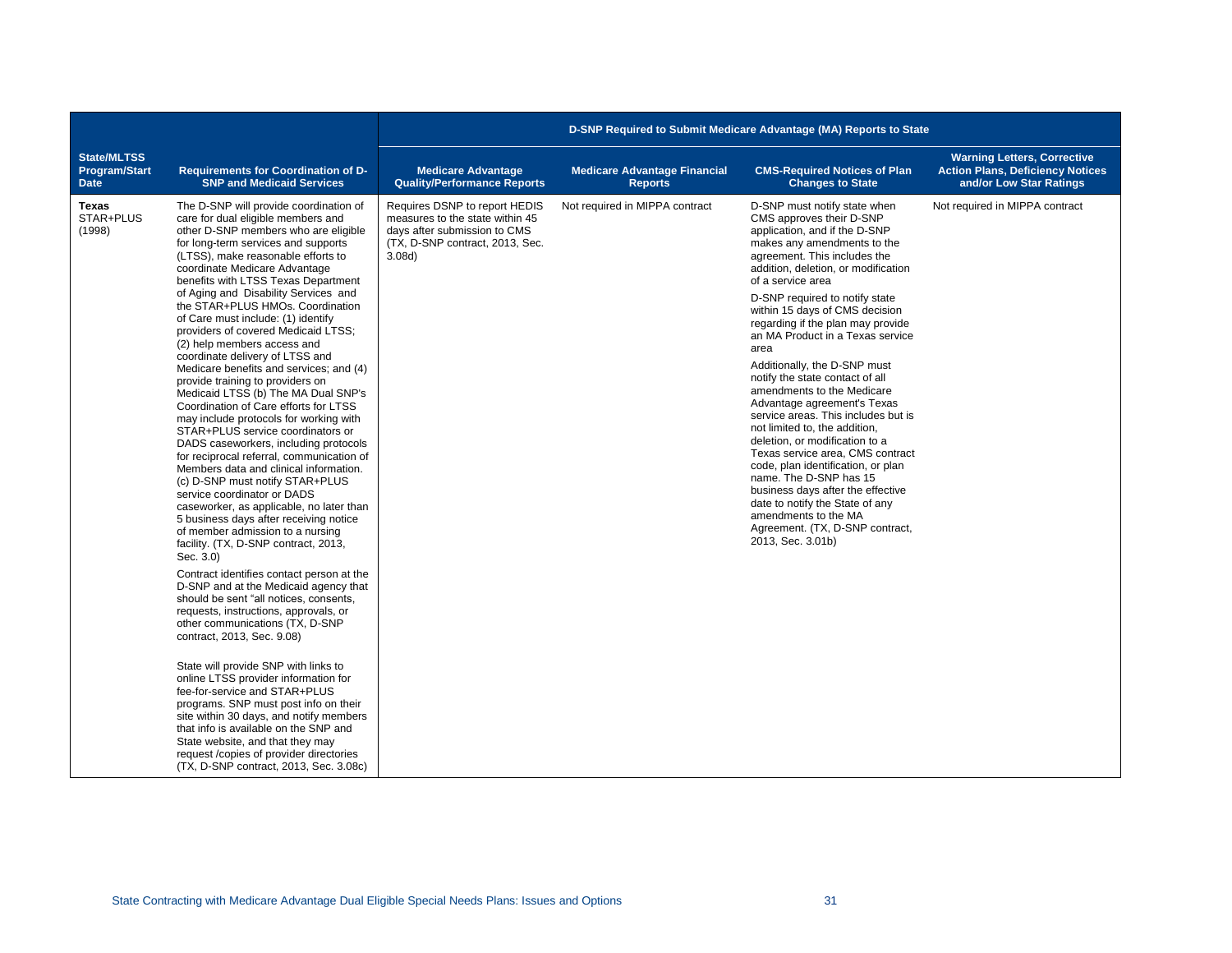|                                                           |                                                                                                                                                                                                                                                                                                                                                                                                                                                                                                                                                                                                                                                                                                                                                                                                                                                                                                                                                                                                                                                                                                                                                                                                                                                                                                                                                                                                                                                                                                                                                                                                                                                                                                                                                     | D-SNP Required to Submit Medicare Advantage (MA) Reports to State                                                                             |                                                       |                                                                                                                                                                                                                                                                                                                                                                                                                                                                                                                                                                                                                                                                                                                                                                                                                                                                                 |                                                                                                          |  |
|-----------------------------------------------------------|-----------------------------------------------------------------------------------------------------------------------------------------------------------------------------------------------------------------------------------------------------------------------------------------------------------------------------------------------------------------------------------------------------------------------------------------------------------------------------------------------------------------------------------------------------------------------------------------------------------------------------------------------------------------------------------------------------------------------------------------------------------------------------------------------------------------------------------------------------------------------------------------------------------------------------------------------------------------------------------------------------------------------------------------------------------------------------------------------------------------------------------------------------------------------------------------------------------------------------------------------------------------------------------------------------------------------------------------------------------------------------------------------------------------------------------------------------------------------------------------------------------------------------------------------------------------------------------------------------------------------------------------------------------------------------------------------------------------------------------------------------|-----------------------------------------------------------------------------------------------------------------------------------------------|-------------------------------------------------------|---------------------------------------------------------------------------------------------------------------------------------------------------------------------------------------------------------------------------------------------------------------------------------------------------------------------------------------------------------------------------------------------------------------------------------------------------------------------------------------------------------------------------------------------------------------------------------------------------------------------------------------------------------------------------------------------------------------------------------------------------------------------------------------------------------------------------------------------------------------------------------|----------------------------------------------------------------------------------------------------------|--|
| <b>State/MLTSS</b><br><b>Program/Start</b><br><b>Date</b> | <b>Requirements for Coordination of D-</b><br><b>SNP and Medicaid Services</b>                                                                                                                                                                                                                                                                                                                                                                                                                                                                                                                                                                                                                                                                                                                                                                                                                                                                                                                                                                                                                                                                                                                                                                                                                                                                                                                                                                                                                                                                                                                                                                                                                                                                      | <b>Medicare Advantage</b><br><b>Quality/Performance Reports</b>                                                                               | <b>Medicare Advantage Financial</b><br><b>Reports</b> | <b>CMS-Required Notices of Plan</b><br><b>Changes to State</b>                                                                                                                                                                                                                                                                                                                                                                                                                                                                                                                                                                                                                                                                                                                                                                                                                  | <b>Warning Letters, Corrective</b><br><b>Action Plans, Deficiency Notices</b><br>and/or Low Star Ratings |  |
| Texas<br>STAR+PLUS<br>(1998)                              | The D-SNP will provide coordination of<br>care for dual eligible members and<br>other D-SNP members who are eligible<br>for long-term services and supports<br>(LTSS), make reasonable efforts to<br>coordinate Medicare Advantage<br>benefits with LTSS Texas Department<br>of Aging and Disability Services and<br>the STAR+PLUS HMOs. Coordination<br>of Care must include: (1) identify<br>providers of covered Medicaid LTSS;<br>(2) help members access and<br>coordinate delivery of LTSS and<br>Medicare benefits and services; and (4)<br>provide training to providers on<br>Medicaid LTSS (b) The MA Dual SNP's<br>Coordination of Care efforts for LTSS<br>may include protocols for working with<br>STAR+PLUS service coordinators or<br>DADS caseworkers, including protocols<br>for reciprocal referral, communication of<br>Members data and clinical information.<br>(c) D-SNP must notify STAR+PLUS<br>service coordinator or DADS<br>caseworker, as applicable, no later than<br>5 business days after receiving notice<br>of member admission to a nursing<br>facility. (TX, D-SNP contract, 2013,<br>Sec. 3.0)<br>Contract identifies contact person at the<br>D-SNP and at the Medicaid agency that<br>should be sent "all notices, consents.<br>requests, instructions, approvals, or<br>other communications (TX, D-SNP<br>contract, 2013, Sec. 9.08)<br>State will provide SNP with links to<br>online LTSS provider information for<br>fee-for-service and STAR+PLUS<br>programs. SNP must post info on their<br>site within 30 days, and notify members<br>that info is available on the SNP and<br>State website, and that they may<br>request/copies of provider directories<br>(TX, D-SNP contract, 2013, Sec. 3.08c) | Requires DSNP to report HEDIS<br>measures to the state within 45<br>days after submission to CMS<br>(TX, D-SNP contract, 2013, Sec.<br>3.08d) | Not required in MIPPA contract                        | D-SNP must notify state when<br>CMS approves their D-SNP<br>application, and if the D-SNP<br>makes any amendments to the<br>agreement. This includes the<br>addition, deletion, or modification<br>of a service area<br>D-SNP required to notify state<br>within 15 days of CMS decision<br>regarding if the plan may provide<br>an MA Product in a Texas service<br>area<br>Additionally, the D-SNP must<br>notify the state contact of all<br>amendments to the Medicare<br>Advantage agreement's Texas<br>service areas. This includes but is<br>not limited to, the addition.<br>deletion, or modification to a<br>Texas service area, CMS contract<br>code, plan identification, or plan<br>name. The D-SNP has 15<br>business days after the effective<br>date to notify the State of any<br>amendments to the MA<br>Agreement. (TX, D-SNP contract,<br>2013, Sec. 3.01b) | Not required in MIPPA contract                                                                           |  |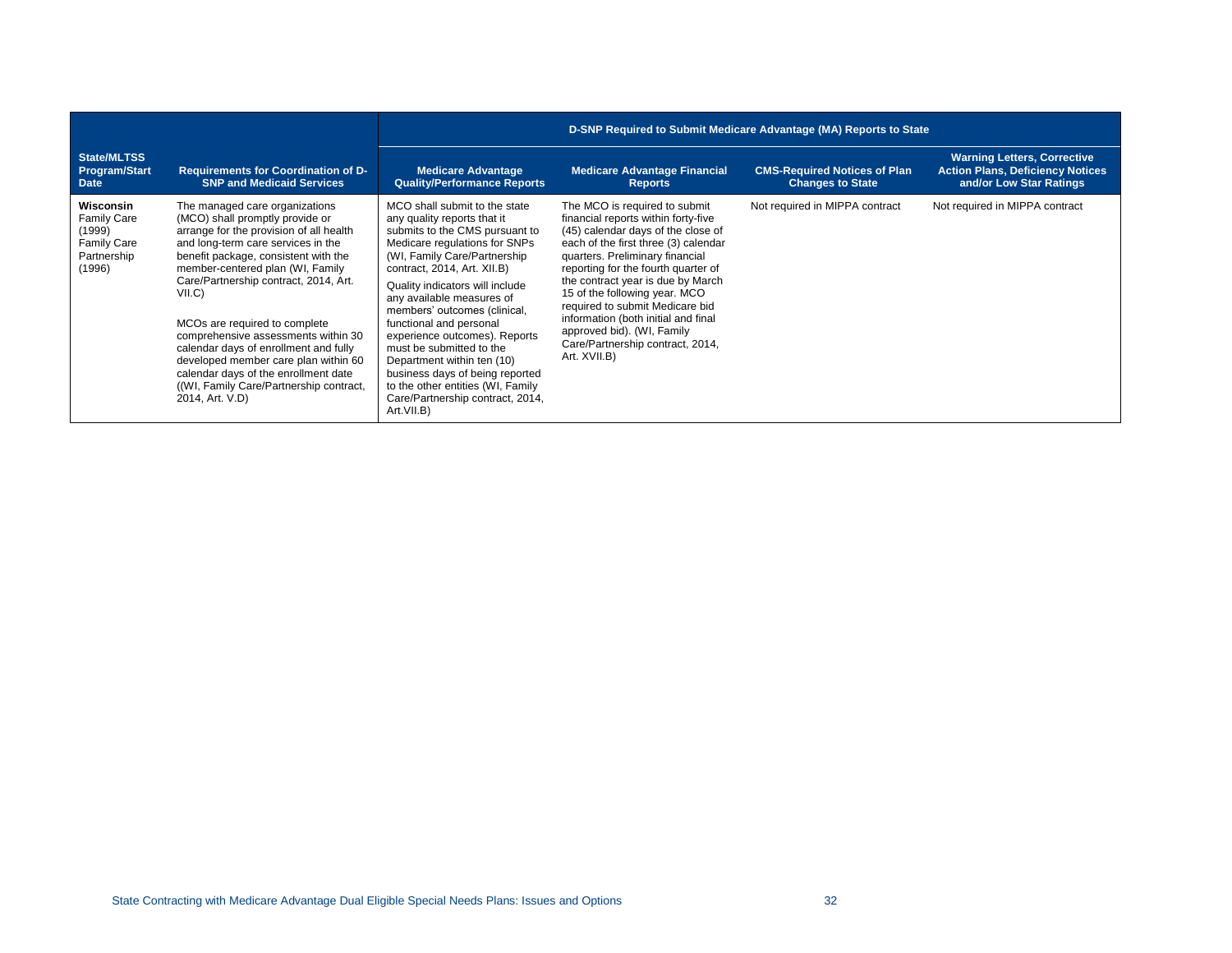|                                                                                          |                                                                                                                                                                                                                                                                                                                                                                                                                                                                                                                                                            | D-SNP Required to Submit Medicare Advantage (MA) Reports to State                                                                                                                                                                                                                                                                                                                                                                                                                                                                              |                                                                                                                                                                                                                                                                                                                                                                                                                                                                |                                                                |                                                                                                          |
|------------------------------------------------------------------------------------------|------------------------------------------------------------------------------------------------------------------------------------------------------------------------------------------------------------------------------------------------------------------------------------------------------------------------------------------------------------------------------------------------------------------------------------------------------------------------------------------------------------------------------------------------------------|------------------------------------------------------------------------------------------------------------------------------------------------------------------------------------------------------------------------------------------------------------------------------------------------------------------------------------------------------------------------------------------------------------------------------------------------------------------------------------------------------------------------------------------------|----------------------------------------------------------------------------------------------------------------------------------------------------------------------------------------------------------------------------------------------------------------------------------------------------------------------------------------------------------------------------------------------------------------------------------------------------------------|----------------------------------------------------------------|----------------------------------------------------------------------------------------------------------|
| State/MLTSS<br><b>Program/Start</b><br><b>Date</b>                                       | <b>Requirements for Coordination of D-</b><br><b>SNP and Medicaid Services</b>                                                                                                                                                                                                                                                                                                                                                                                                                                                                             | <b>Medicare Advantage</b><br><b>Quality/Performance Reports</b>                                                                                                                                                                                                                                                                                                                                                                                                                                                                                | <b>Medicare Advantage Financial</b><br><b>Reports</b>                                                                                                                                                                                                                                                                                                                                                                                                          | <b>CMS-Required Notices of Plan</b><br><b>Changes to State</b> | <b>Warning Letters, Corrective</b><br><b>Action Plans, Deficiency Notices</b><br>and/or Low Star Ratings |
| Wisconsin<br><b>Family Care</b><br>(1999)<br><b>Family Care</b><br>Partnership<br>(1996) | The managed care organizations<br>(MCO) shall promptly provide or<br>arrange for the provision of all health<br>and long-term care services in the<br>benefit package, consistent with the<br>member-centered plan (WI, Family<br>Care/Partnership contract, 2014, Art.<br>VILC<br>MCO <sub>s</sub> are required to complete<br>comprehensive assessments within 30<br>calendar days of enrollment and fully<br>developed member care plan within 60<br>calendar days of the enrollment date<br>((WI, Family Care/Partnership contract,<br>2014, Art. V.D) | MCO shall submit to the state<br>any quality reports that it<br>submits to the CMS pursuant to<br>Medicare regulations for SNPs<br>(WI, Family Care/Partnership<br>contract, 2014, Art. XII.B)<br>Quality indicators will include<br>any available measures of<br>members' outcomes (clinical,<br>functional and personal<br>experience outcomes). Reports<br>must be submitted to the<br>Department within ten (10)<br>business days of being reported<br>to the other entities (WI, Family<br>Care/Partnership contract, 2014,<br>Art.VII.B) | The MCO is required to submit<br>financial reports within forty-five<br>(45) calendar days of the close of<br>each of the first three (3) calendar<br>quarters. Preliminary financial<br>reporting for the fourth quarter of<br>the contract year is due by March<br>15 of the following year. MCO<br>required to submit Medicare bid<br>information (both initial and final<br>approved bid). (WI, Family<br>Care/Partnership contract, 2014,<br>Art. XVII.B) | Not required in MIPPA contract                                 | Not required in MIPPA contract                                                                           |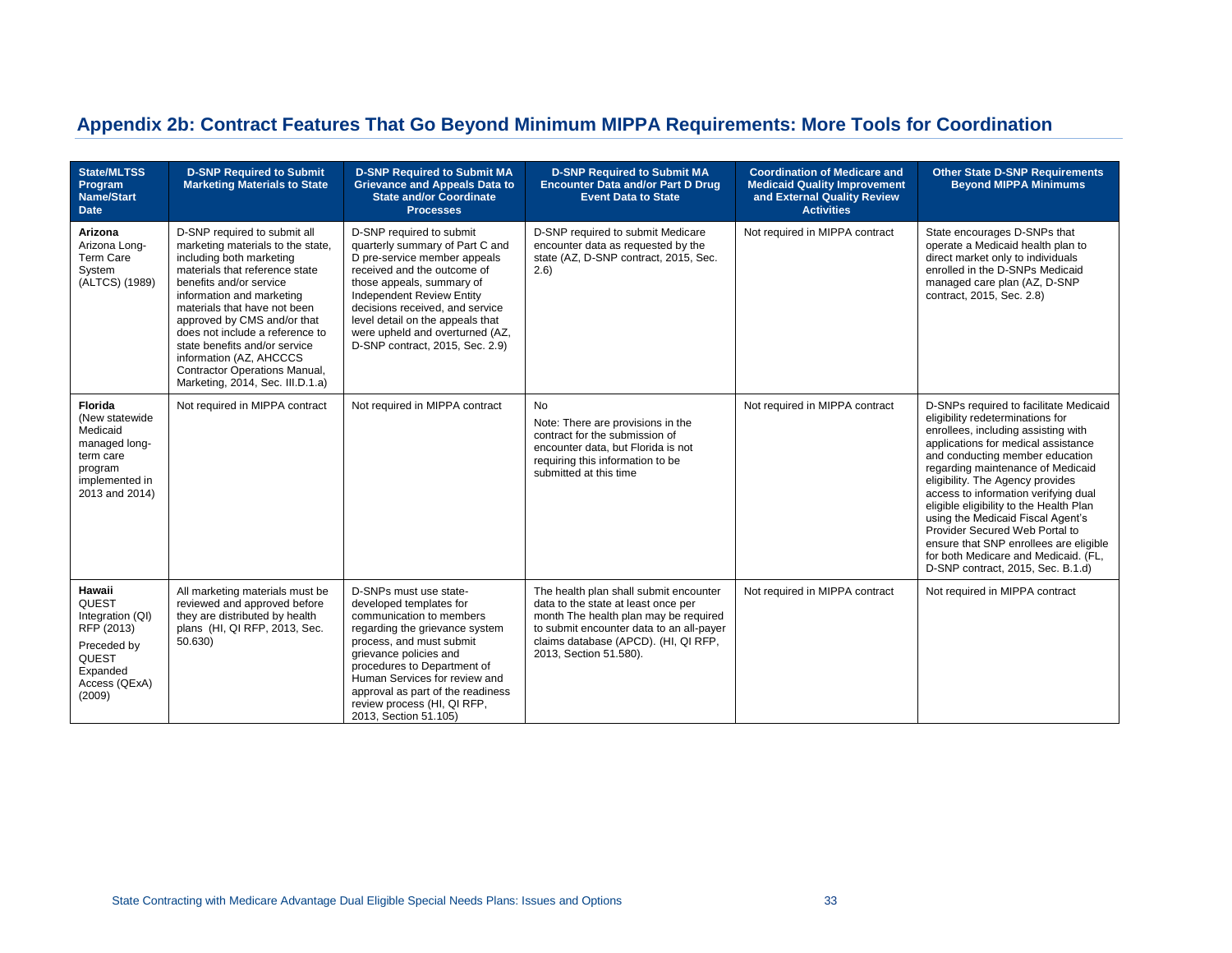# **Appendix 2b: Contract Features That Go Beyond Minimum MIPPA Requirements: More Tools for Coordination**

| <b>State/MLTSS</b><br>Program<br><b>Name/Start</b><br><b>Date</b>                                                  | <b>D-SNP Required to Submit</b><br><b>Marketing Materials to State</b>                                                                                                                                                                                                                                                                                                                                                     | <b>D-SNP Required to Submit MA</b><br><b>Grievance and Appeals Data to</b><br><b>State and/or Coordinate</b><br><b>Processes</b>                                                                                                                                                                                                         | <b>D-SNP Required to Submit MA</b><br><b>Encounter Data and/or Part D Drug</b><br><b>Event Data to State</b>                                                                                                                         | <b>Coordination of Medicare and</b><br><b>Medicaid Quality Improvement</b><br>and External Quality Review<br><b>Activities</b> | <b>Other State D-SNP Requirements</b><br><b>Beyond MIPPA Minimums</b>                                                                                                                                                                                                                                                                                                                                                                                                                                                                                 |
|--------------------------------------------------------------------------------------------------------------------|----------------------------------------------------------------------------------------------------------------------------------------------------------------------------------------------------------------------------------------------------------------------------------------------------------------------------------------------------------------------------------------------------------------------------|------------------------------------------------------------------------------------------------------------------------------------------------------------------------------------------------------------------------------------------------------------------------------------------------------------------------------------------|--------------------------------------------------------------------------------------------------------------------------------------------------------------------------------------------------------------------------------------|--------------------------------------------------------------------------------------------------------------------------------|-------------------------------------------------------------------------------------------------------------------------------------------------------------------------------------------------------------------------------------------------------------------------------------------------------------------------------------------------------------------------------------------------------------------------------------------------------------------------------------------------------------------------------------------------------|
| Arizona<br>Arizona Long-<br>Term Care<br>System<br>(ALTCS) (1989)                                                  | D-SNP required to submit all<br>marketing materials to the state,<br>including both marketing<br>materials that reference state<br>benefits and/or service<br>information and marketing<br>materials that have not been<br>approved by CMS and/or that<br>does not include a reference to<br>state benefits and/or service<br>information (AZ, AHCCCS<br>Contractor Operations Manual,<br>Marketing, 2014, Sec. III.D.1.a) | D-SNP required to submit<br>quarterly summary of Part C and<br>D pre-service member appeals<br>received and the outcome of<br>those appeals, summary of<br><b>Independent Review Entity</b><br>decisions received, and service<br>level detail on the appeals that<br>were upheld and overturned (AZ,<br>D-SNP contract, 2015, Sec. 2.9) | D-SNP required to submit Medicare<br>encounter data as requested by the<br>state (AZ, D-SNP contract, 2015, Sec.<br>(2.6)                                                                                                            | Not required in MIPPA contract                                                                                                 | State encourages D-SNPs that<br>operate a Medicaid health plan to<br>direct market only to individuals<br>enrolled in the D-SNPs Medicaid<br>managed care plan (AZ, D-SNP<br>contract, 2015, Sec. 2.8)                                                                                                                                                                                                                                                                                                                                                |
| Florida<br>(New statewide<br>Medicaid<br>managed long-<br>term care<br>program<br>implemented in<br>2013 and 2014) | Not required in MIPPA contract                                                                                                                                                                                                                                                                                                                                                                                             | Not required in MIPPA contract                                                                                                                                                                                                                                                                                                           | <b>No</b><br>Note: There are provisions in the<br>contract for the submission of<br>encounter data, but Florida is not<br>requiring this information to be<br>submitted at this time                                                 | Not required in MIPPA contract                                                                                                 | D-SNPs required to facilitate Medicaid<br>eligibility redeterminations for<br>enrollees, including assisting with<br>applications for medical assistance<br>and conducting member education<br>regarding maintenance of Medicaid<br>eligibility. The Agency provides<br>access to information verifying dual<br>eligible eligibility to the Health Plan<br>using the Medicaid Fiscal Agent's<br>Provider Secured Web Portal to<br>ensure that SNP enrollees are eligible<br>for both Medicare and Medicaid. (FL,<br>D-SNP contract, 2015, Sec. B.1.d) |
| Hawaii<br>QUEST<br>Integration (QI)<br>RFP (2013)<br>Preceded by<br>QUEST<br>Expanded<br>Access (QExA)<br>(2009)   | All marketing materials must be<br>reviewed and approved before<br>they are distributed by health<br>plans (HI, QI RFP, 2013, Sec.<br>50.630                                                                                                                                                                                                                                                                               | D-SNPs must use state-<br>developed templates for<br>communication to members<br>regarding the grievance system<br>process, and must submit<br>grievance policies and<br>procedures to Department of<br>Human Services for review and<br>approval as part of the readiness<br>review process (HI, QI RFP,<br>2013, Section 51.105)       | The health plan shall submit encounter<br>data to the state at least once per<br>month The health plan may be required<br>to submit encounter data to an all-payer<br>claims database (APCD). (HI, QI RFP,<br>2013, Section 51.580). | Not required in MIPPA contract                                                                                                 | Not required in MIPPA contract                                                                                                                                                                                                                                                                                                                                                                                                                                                                                                                        |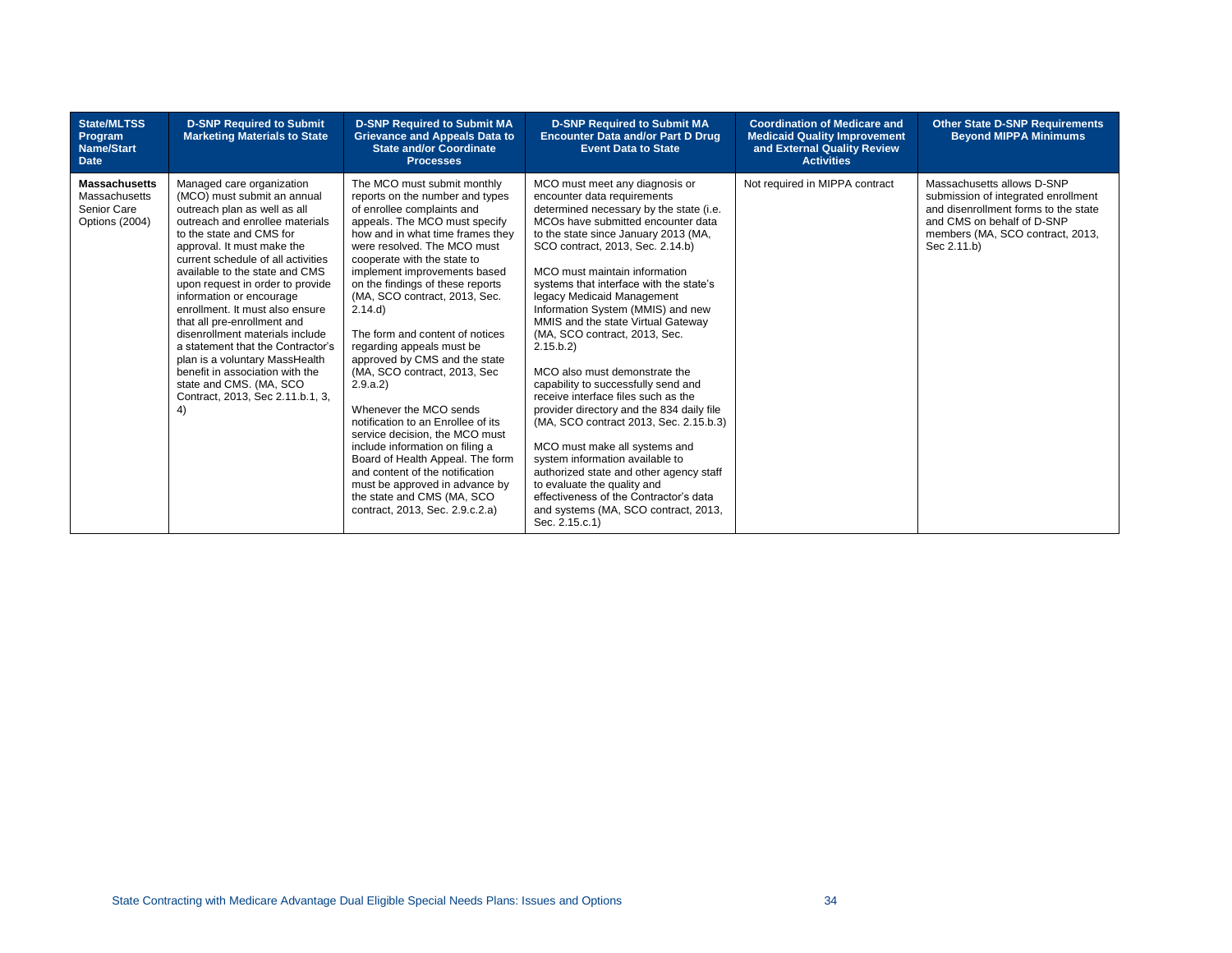| <b>State/MLTSS</b><br>Program<br><b>Name/Start</b><br><b>Date</b>      | <b>D-SNP Required to Submit</b><br><b>Marketing Materials to State</b>                                                                                                                                                                                                                                                                                                                                                                                                                                                                                                                                            | <b>D-SNP Required to Submit MA</b><br><b>Grievance and Appeals Data to</b><br><b>State and/or Coordinate</b><br><b>Processes</b>                                                                                                                                                                                                                                                                                                                                                                                                                                                                                                                                                                                                                                                                           | <b>D-SNP Required to Submit MA</b><br><b>Encounter Data and/or Part D Drug</b><br><b>Event Data to State</b>                                                                                                                                                                                                                                                                                                                                                                                                                                                                                                                                                                                                                                                                                                                                                                                                         | <b>Coordination of Medicare and</b><br><b>Medicaid Quality Improvement</b><br>and External Quality Review<br><b>Activities</b> | <b>Other State D-SNP Requirements</b><br><b>Beyond MIPPA Minimums</b>                                                                                                                      |
|------------------------------------------------------------------------|-------------------------------------------------------------------------------------------------------------------------------------------------------------------------------------------------------------------------------------------------------------------------------------------------------------------------------------------------------------------------------------------------------------------------------------------------------------------------------------------------------------------------------------------------------------------------------------------------------------------|------------------------------------------------------------------------------------------------------------------------------------------------------------------------------------------------------------------------------------------------------------------------------------------------------------------------------------------------------------------------------------------------------------------------------------------------------------------------------------------------------------------------------------------------------------------------------------------------------------------------------------------------------------------------------------------------------------------------------------------------------------------------------------------------------------|----------------------------------------------------------------------------------------------------------------------------------------------------------------------------------------------------------------------------------------------------------------------------------------------------------------------------------------------------------------------------------------------------------------------------------------------------------------------------------------------------------------------------------------------------------------------------------------------------------------------------------------------------------------------------------------------------------------------------------------------------------------------------------------------------------------------------------------------------------------------------------------------------------------------|--------------------------------------------------------------------------------------------------------------------------------|--------------------------------------------------------------------------------------------------------------------------------------------------------------------------------------------|
| <b>Massachusetts</b><br>Massachusetts<br>Senior Care<br>Options (2004) | Managed care organization<br>(MCO) must submit an annual<br>outreach plan as well as all<br>outreach and enrollee materials<br>to the state and CMS for<br>approval. It must make the<br>current schedule of all activities<br>available to the state and CMS<br>upon request in order to provide<br>information or encourage<br>enrollment. It must also ensure<br>that all pre-enrollment and<br>disenrollment materials include<br>a statement that the Contractor's<br>plan is a voluntary MassHealth<br>benefit in association with the<br>state and CMS. (MA, SCO<br>Contract, 2013, Sec 2.11.b.1, 3,<br>4) | The MCO must submit monthly<br>reports on the number and types<br>of enrollee complaints and<br>appeals. The MCO must specify<br>how and in what time frames they<br>were resolved. The MCO must<br>cooperate with the state to<br>implement improvements based<br>on the findings of these reports<br>(MA, SCO contract, 2013, Sec.<br>2.14.d)<br>The form and content of notices<br>regarding appeals must be<br>approved by CMS and the state<br>(MA, SCO contract, 2013, Sec<br>2.9.a.2<br>Whenever the MCO sends<br>notification to an Enrollee of its<br>service decision, the MCO must<br>include information on filing a<br>Board of Health Appeal. The form<br>and content of the notification<br>must be approved in advance by<br>the state and CMS (MA, SCO<br>contract, 2013, Sec. 2.9.c.2.a) | MCO must meet any diagnosis or<br>encounter data requirements<br>determined necessary by the state (i.e.<br>MCOs have submitted encounter data<br>to the state since January 2013 (MA,<br>SCO contract, 2013, Sec. 2.14.b)<br>MCO must maintain information<br>systems that interface with the state's<br>legacy Medicaid Management<br>Information System (MMIS) and new<br>MMIS and the state Virtual Gateway<br>(MA, SCO contract, 2013, Sec.<br>2.15 b.2<br>MCO also must demonstrate the<br>capability to successfully send and<br>receive interface files such as the<br>provider directory and the 834 daily file<br>(MA, SCO contract 2013, Sec. 2.15.b.3)<br>MCO must make all systems and<br>system information available to<br>authorized state and other agency staff<br>to evaluate the quality and<br>effectiveness of the Contractor's data<br>and systems (MA, SCO contract, 2013,<br>Sec. 2.15.c.1) | Not required in MIPPA contract                                                                                                 | Massachusetts allows D-SNP<br>submission of integrated enrollment<br>and disenrollment forms to the state<br>and CMS on behalf of D-SNP<br>members (MA, SCO contract, 2013,<br>Sec 2.11.b) |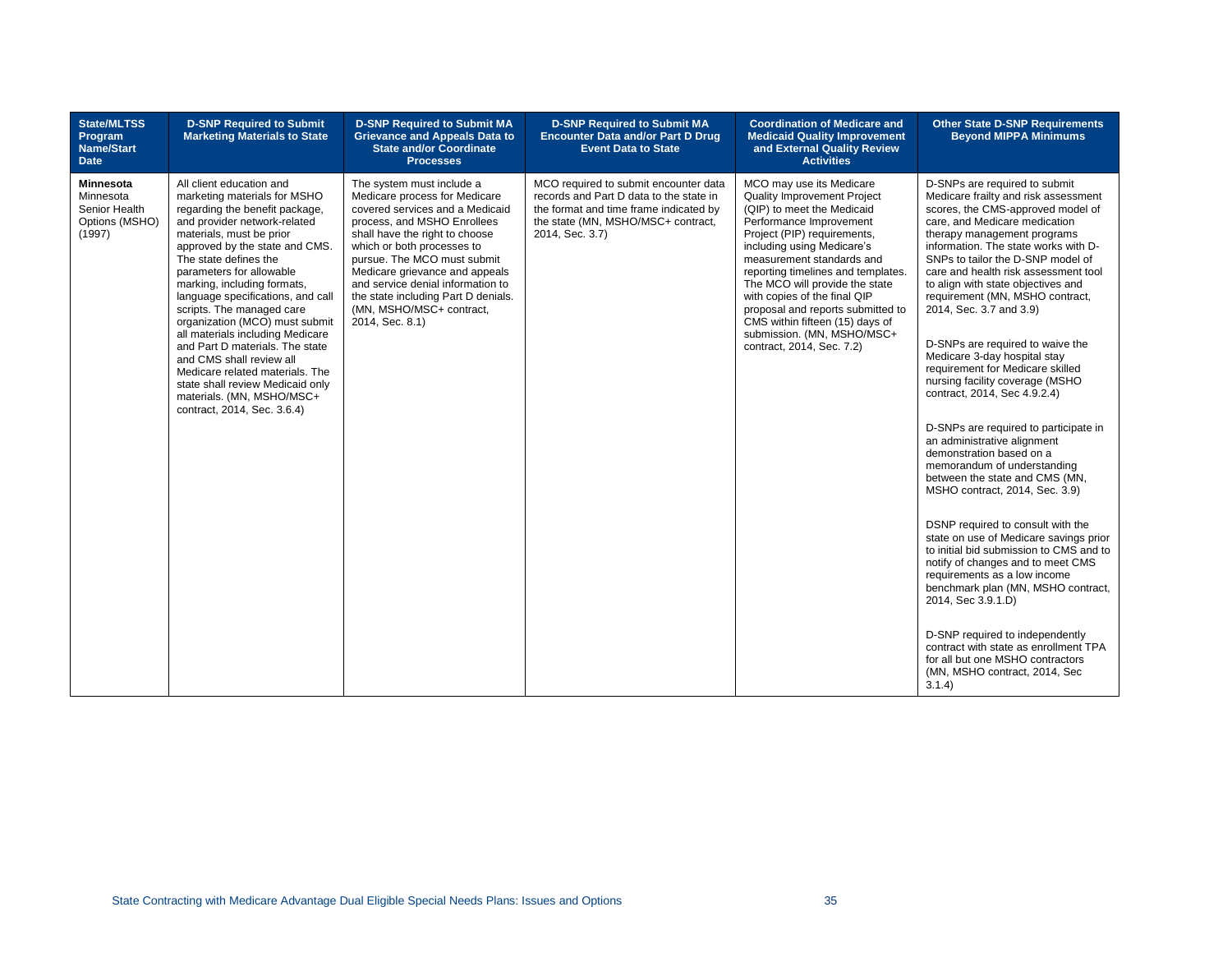| <b>State/MLTSS</b><br>Program<br><b>Name/Start</b><br><b>Date</b>          | <b>D-SNP Required to Submit</b><br><b>Marketing Materials to State</b>                                                                                                                                                                                                                                                                                                                                                                                                                                                                                                                                                 | <b>D-SNP Required to Submit MA</b><br><b>Grievance and Appeals Data to</b><br><b>State and/or Coordinate</b><br><b>Processes</b>                                                                                                                                                                                                                                                         | <b>D-SNP Required to Submit MA</b><br><b>Encounter Data and/or Part D Drug</b><br><b>Event Data to State</b>                                                                        | <b>Coordination of Medicare and</b><br><b>Medicaid Quality Improvement</b><br>and External Quality Review<br><b>Activities</b>                                                                                                                                                                                                                                                                                                                        | <b>Other State D-SNP Requirements</b><br><b>Beyond MIPPA Minimums</b>                                                                                                                                                                                                                                                                                                                                                                                                                                                                                                                                                                                                                                                                                                                                                                                                                                                                                                                                                                                                                                                                                                                                       |
|----------------------------------------------------------------------------|------------------------------------------------------------------------------------------------------------------------------------------------------------------------------------------------------------------------------------------------------------------------------------------------------------------------------------------------------------------------------------------------------------------------------------------------------------------------------------------------------------------------------------------------------------------------------------------------------------------------|------------------------------------------------------------------------------------------------------------------------------------------------------------------------------------------------------------------------------------------------------------------------------------------------------------------------------------------------------------------------------------------|-------------------------------------------------------------------------------------------------------------------------------------------------------------------------------------|-------------------------------------------------------------------------------------------------------------------------------------------------------------------------------------------------------------------------------------------------------------------------------------------------------------------------------------------------------------------------------------------------------------------------------------------------------|-------------------------------------------------------------------------------------------------------------------------------------------------------------------------------------------------------------------------------------------------------------------------------------------------------------------------------------------------------------------------------------------------------------------------------------------------------------------------------------------------------------------------------------------------------------------------------------------------------------------------------------------------------------------------------------------------------------------------------------------------------------------------------------------------------------------------------------------------------------------------------------------------------------------------------------------------------------------------------------------------------------------------------------------------------------------------------------------------------------------------------------------------------------------------------------------------------------|
| <b>Minnesota</b><br>Minnesota<br>Senior Health<br>Options (MSHO)<br>(1997) | All client education and<br>marketing materials for MSHO<br>regarding the benefit package,<br>and provider network-related<br>materials, must be prior<br>approved by the state and CMS.<br>The state defines the<br>parameters for allowable<br>marking, including formats,<br>language specifications, and call<br>scripts. The managed care<br>organization (MCO) must submit<br>all materials including Medicare<br>and Part D materials. The state<br>and CMS shall review all<br>Medicare related materials. The<br>state shall review Medicaid only<br>materials. (MN, MSHO/MSC+<br>contract, 2014, Sec. 3.6.4) | The system must include a<br>Medicare process for Medicare<br>covered services and a Medicaid<br>process, and MSHO Enrollees<br>shall have the right to choose<br>which or both processes to<br>pursue. The MCO must submit<br>Medicare grievance and appeals<br>and service denial information to<br>the state including Part D denials.<br>(MN, MSHO/MSC+ contract,<br>2014, Sec. 8.1) | MCO required to submit encounter data<br>records and Part D data to the state in<br>the format and time frame indicated by<br>the state (MN, MSHO/MSC+ contract,<br>2014, Sec. 3.7) | MCO may use its Medicare<br>Quality Improvement Project<br>(QIP) to meet the Medicaid<br>Performance Improvement<br>Project (PIP) requirements,<br>including using Medicare's<br>measurement standards and<br>reporting timelines and templates.<br>The MCO will provide the state<br>with copies of the final QIP<br>proposal and reports submitted to<br>CMS within fifteen (15) days of<br>submission. (MN, MSHO/MSC+<br>contract, 2014, Sec. 7.2) | D-SNPs are required to submit<br>Medicare frailty and risk assessment<br>scores, the CMS-approved model of<br>care, and Medicare medication<br>therapy management programs<br>information. The state works with D-<br>SNPs to tailor the D-SNP model of<br>care and health risk assessment tool<br>to align with state objectives and<br>requirement (MN, MSHO contract,<br>2014, Sec. 3.7 and 3.9)<br>D-SNPs are required to waive the<br>Medicare 3-day hospital stay<br>requirement for Medicare skilled<br>nursing facility coverage (MSHO<br>contract, 2014, Sec 4.9.2.4)<br>D-SNPs are required to participate in<br>an administrative alignment<br>demonstration based on a<br>memorandum of understanding<br>between the state and CMS (MN,<br>MSHO contract, 2014, Sec. 3.9)<br>DSNP required to consult with the<br>state on use of Medicare savings prior<br>to initial bid submission to CMS and to<br>notify of changes and to meet CMS<br>requirements as a low income<br>benchmark plan (MN, MSHO contract,<br>2014, Sec 3.9.1.D)<br>D-SNP required to independently<br>contract with state as enrollment TPA<br>for all but one MSHO contractors<br>(MN, MSHO contract, 2014, Sec<br>3.1.4) |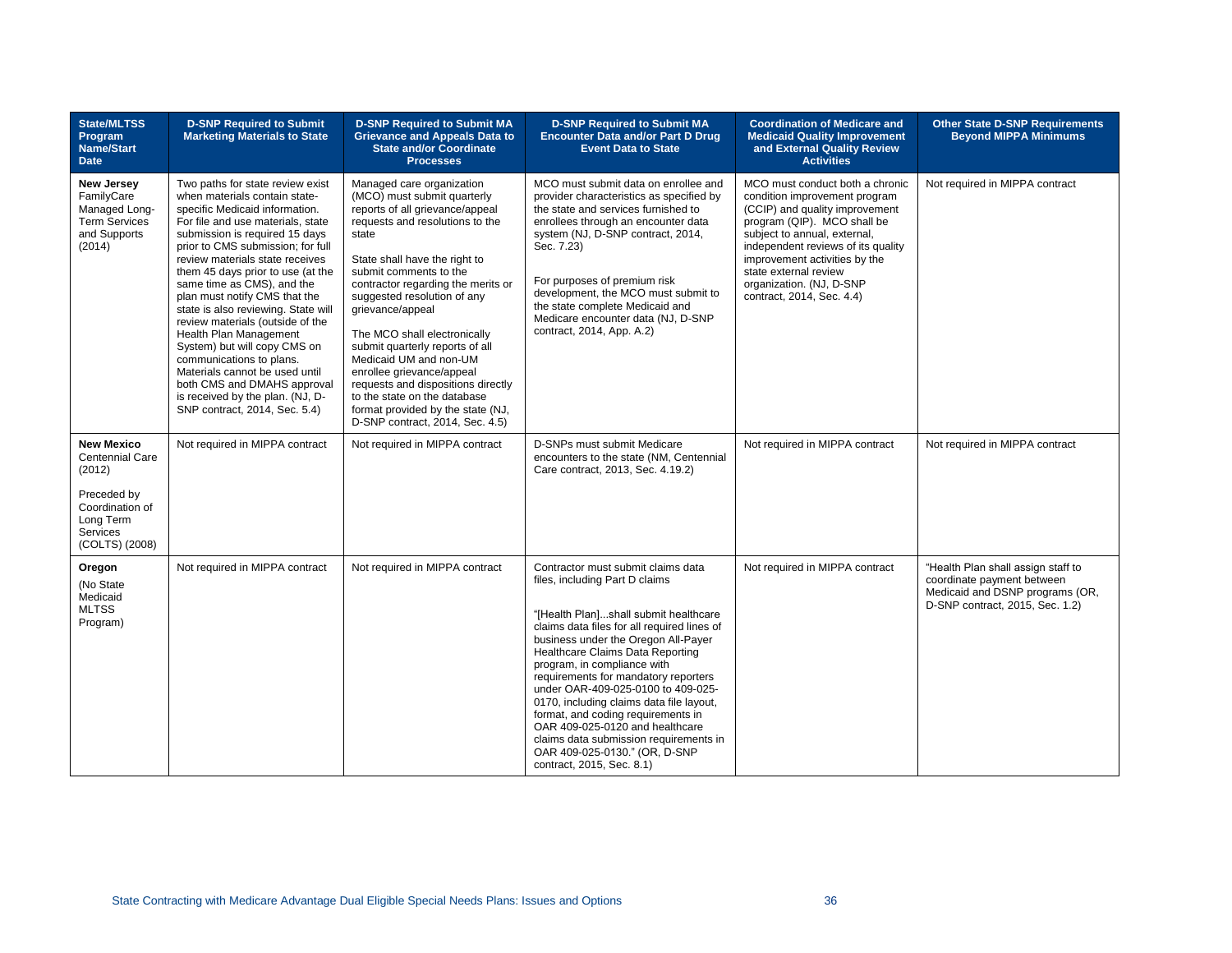| <b>State/MLTSS</b><br>Program<br><b>Name/Start</b><br><b>Date</b>                                                           | <b>D-SNP Required to Submit</b><br><b>Marketing Materials to State</b>                                                                                                                                                                                                                                                                                                                                                                                                                                                                                                                                                                                        | <b>D-SNP Required to Submit MA</b><br><b>Grievance and Appeals Data to</b><br><b>State and/or Coordinate</b><br><b>Processes</b>                                                                                                                                                                                                                                                                                                                                                                                                                                    | <b>D-SNP Required to Submit MA</b><br><b>Encounter Data and/or Part D Drug</b><br><b>Event Data to State</b>                                                                                                                                                                                                                                                                                                                                                                                                                                                                      | <b>Coordination of Medicare and</b><br><b>Medicaid Quality Improvement</b><br>and External Quality Review<br><b>Activities</b>                                                                                                                                                                                             | <b>Other State D-SNP Requirements</b><br><b>Beyond MIPPA Minimums</b>                                                                  |
|-----------------------------------------------------------------------------------------------------------------------------|---------------------------------------------------------------------------------------------------------------------------------------------------------------------------------------------------------------------------------------------------------------------------------------------------------------------------------------------------------------------------------------------------------------------------------------------------------------------------------------------------------------------------------------------------------------------------------------------------------------------------------------------------------------|---------------------------------------------------------------------------------------------------------------------------------------------------------------------------------------------------------------------------------------------------------------------------------------------------------------------------------------------------------------------------------------------------------------------------------------------------------------------------------------------------------------------------------------------------------------------|-----------------------------------------------------------------------------------------------------------------------------------------------------------------------------------------------------------------------------------------------------------------------------------------------------------------------------------------------------------------------------------------------------------------------------------------------------------------------------------------------------------------------------------------------------------------------------------|----------------------------------------------------------------------------------------------------------------------------------------------------------------------------------------------------------------------------------------------------------------------------------------------------------------------------|----------------------------------------------------------------------------------------------------------------------------------------|
| <b>New Jersey</b><br>FamilyCare<br>Managed Long-<br><b>Term Services</b><br>and Supports<br>(2014)                          | Two paths for state review exist<br>when materials contain state-<br>specific Medicaid information.<br>For file and use materials, state<br>submission is required 15 days<br>prior to CMS submission; for full<br>review materials state receives<br>them 45 days prior to use (at the<br>same time as CMS), and the<br>plan must notify CMS that the<br>state is also reviewing. State will<br>review materials (outside of the<br>Health Plan Management<br>System) but will copy CMS on<br>communications to plans.<br>Materials cannot be used until<br>both CMS and DMAHS approval<br>is received by the plan. (NJ, D-<br>SNP contract, 2014, Sec. 5.4) | Managed care organization<br>(MCO) must submit quarterly<br>reports of all grievance/appeal<br>requests and resolutions to the<br>state<br>State shall have the right to<br>submit comments to the<br>contractor regarding the merits or<br>suggested resolution of any<br>grievance/appeal<br>The MCO shall electronically<br>submit quarterly reports of all<br>Medicaid UM and non-UM<br>enrollee grievance/appeal<br>requests and dispositions directly<br>to the state on the database<br>format provided by the state (NJ,<br>D-SNP contract, 2014, Sec. 4.5) | MCO must submit data on enrollee and<br>provider characteristics as specified by<br>the state and services furnished to<br>enrollees through an encounter data<br>system (NJ, D-SNP contract, 2014,<br>Sec. 7.23)<br>For purposes of premium risk<br>development, the MCO must submit to<br>the state complete Medicaid and<br>Medicare encounter data (NJ, D-SNP<br>contract, 2014, App. A.2)                                                                                                                                                                                    | MCO must conduct both a chronic<br>condition improvement program<br>(CCIP) and quality improvement<br>program (QIP). MCO shall be<br>subject to annual, external,<br>independent reviews of its quality<br>improvement activities by the<br>state external review<br>organization. (NJ, D-SNP<br>contract, 2014, Sec. 4.4) | Not required in MIPPA contract                                                                                                         |
| <b>New Mexico</b><br>Centennial Care<br>(2012)<br>Preceded by<br>Coordination of<br>Long Term<br>Services<br>(COLTS) (2008) | Not required in MIPPA contract                                                                                                                                                                                                                                                                                                                                                                                                                                                                                                                                                                                                                                | Not required in MIPPA contract                                                                                                                                                                                                                                                                                                                                                                                                                                                                                                                                      | D-SNPs must submit Medicare<br>encounters to the state (NM, Centennial<br>Care contract, 2013, Sec. 4.19.2)                                                                                                                                                                                                                                                                                                                                                                                                                                                                       | Not required in MIPPA contract                                                                                                                                                                                                                                                                                             | Not required in MIPPA contract                                                                                                         |
| Oregon<br>(No State<br>Medicaid<br><b>MLTSS</b><br>Program)                                                                 | Not required in MIPPA contract                                                                                                                                                                                                                                                                                                                                                                                                                                                                                                                                                                                                                                | Not required in MIPPA contract                                                                                                                                                                                                                                                                                                                                                                                                                                                                                                                                      | Contractor must submit claims data<br>files, including Part D claims<br>"[Health Plan]shall submit healthcare<br>claims data files for all required lines of<br>business under the Oregon All-Payer<br>Healthcare Claims Data Reporting<br>program, in compliance with<br>requirements for mandatory reporters<br>under OAR-409-025-0100 to 409-025-<br>0170, including claims data file layout,<br>format, and coding requirements in<br>OAR 409-025-0120 and healthcare<br>claims data submission requirements in<br>OAR 409-025-0130." (OR, D-SNP<br>contract, 2015, Sec. 8.1) | Not required in MIPPA contract                                                                                                                                                                                                                                                                                             | "Health Plan shall assign staff to<br>coordinate payment between<br>Medicaid and DSNP programs (OR,<br>D-SNP contract, 2015, Sec. 1.2) |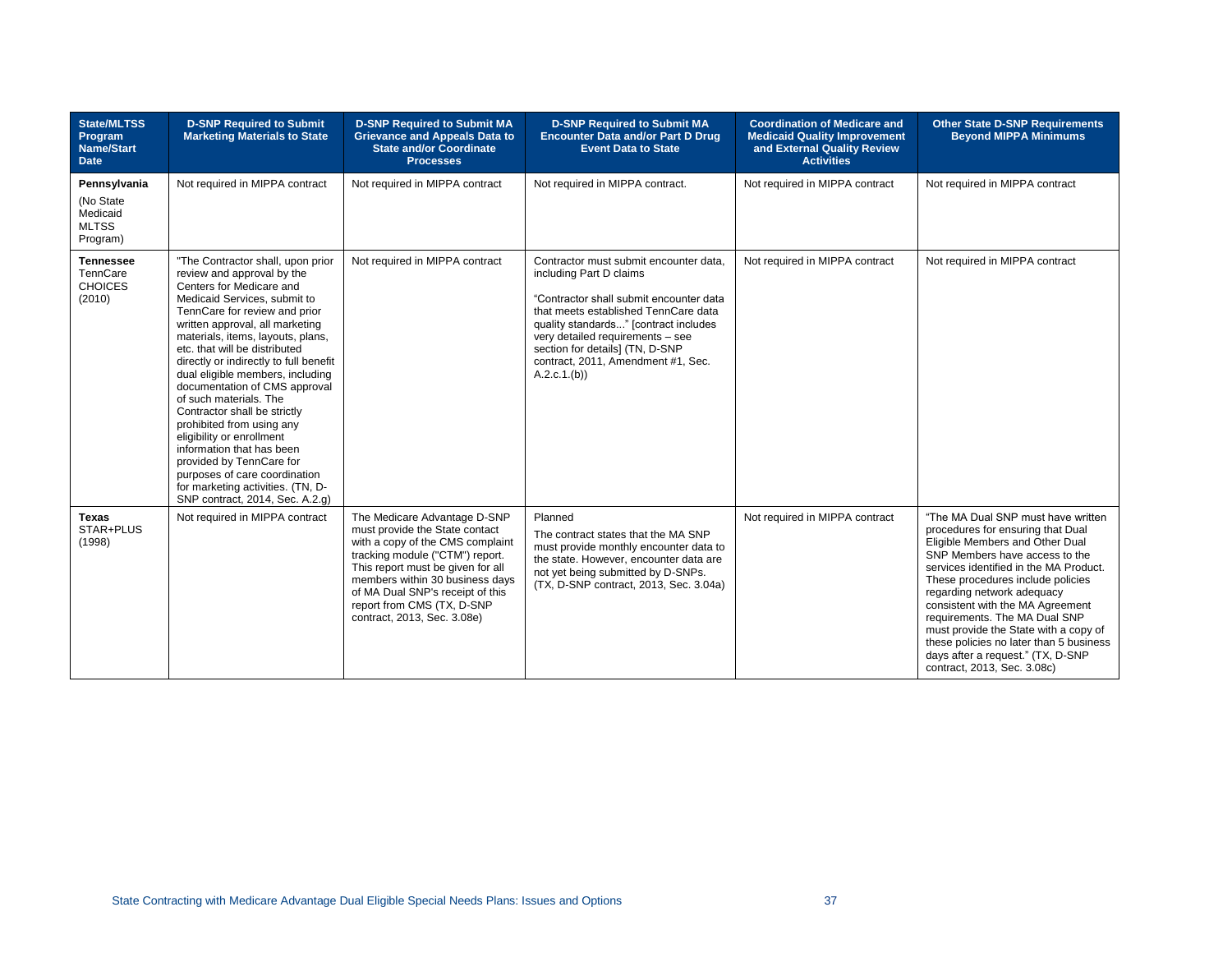| <b>State/MLTSS</b><br>Program<br><b>Name/Start</b><br><b>Date</b> | <b>D-SNP Required to Submit</b><br><b>Marketing Materials to State</b>                                                                                                                                                                                                                                                                                                                                                                                                                                                                                                                                                                                                     | <b>D-SNP Required to Submit MA</b><br><b>Grievance and Appeals Data to</b><br><b>State and/or Coordinate</b><br><b>Processes</b>                                                                                                                                                                               | <b>D-SNP Required to Submit MA</b><br><b>Encounter Data and/or Part D Drug</b><br><b>Event Data to State</b>                                                                                                                                                                                                               | <b>Coordination of Medicare and</b><br><b>Medicaid Quality Improvement</b><br>and External Quality Review<br><b>Activities</b> | <b>Other State D-SNP Requirements</b><br><b>Beyond MIPPA Minimums</b>                                                                                                                                                                                                                                                                                                                                                                                                                  |
|-------------------------------------------------------------------|----------------------------------------------------------------------------------------------------------------------------------------------------------------------------------------------------------------------------------------------------------------------------------------------------------------------------------------------------------------------------------------------------------------------------------------------------------------------------------------------------------------------------------------------------------------------------------------------------------------------------------------------------------------------------|----------------------------------------------------------------------------------------------------------------------------------------------------------------------------------------------------------------------------------------------------------------------------------------------------------------|----------------------------------------------------------------------------------------------------------------------------------------------------------------------------------------------------------------------------------------------------------------------------------------------------------------------------|--------------------------------------------------------------------------------------------------------------------------------|----------------------------------------------------------------------------------------------------------------------------------------------------------------------------------------------------------------------------------------------------------------------------------------------------------------------------------------------------------------------------------------------------------------------------------------------------------------------------------------|
| Pennsylvania<br>(No State<br>Medicaid<br><b>MLTSS</b><br>Program) | Not required in MIPPA contract                                                                                                                                                                                                                                                                                                                                                                                                                                                                                                                                                                                                                                             | Not required in MIPPA contract                                                                                                                                                                                                                                                                                 | Not required in MIPPA contract.                                                                                                                                                                                                                                                                                            | Not required in MIPPA contract                                                                                                 | Not required in MIPPA contract                                                                                                                                                                                                                                                                                                                                                                                                                                                         |
| <b>Tennessee</b><br>TennCare<br><b>CHOICES</b><br>(2010)          | "The Contractor shall, upon prior<br>review and approval by the<br>Centers for Medicare and<br>Medicaid Services, submit to<br>TennCare for review and prior<br>written approval, all marketing<br>materials, items, layouts, plans,<br>etc. that will be distributed<br>directly or indirectly to full benefit<br>dual eligible members, including<br>documentation of CMS approval<br>of such materials. The<br>Contractor shall be strictly<br>prohibited from using any<br>eligibility or enrollment<br>information that has been<br>provided by TennCare for<br>purposes of care coordination<br>for marketing activities. (TN, D-<br>SNP contract, 2014, Sec. A.2.g) | Not required in MIPPA contract                                                                                                                                                                                                                                                                                 | Contractor must submit encounter data,<br>including Part D claims<br>"Contractor shall submit encounter data<br>that meets established TennCare data<br>quality standards" [contract includes<br>very detailed requirements - see<br>section for details] (TN, D-SNP<br>contract, 2011, Amendment #1, Sec.<br>A.2.c.1.(b)) | Not required in MIPPA contract                                                                                                 | Not required in MIPPA contract                                                                                                                                                                                                                                                                                                                                                                                                                                                         |
| <b>Texas</b><br>STAR+PLUS<br>(1998)                               | Not required in MIPPA contract                                                                                                                                                                                                                                                                                                                                                                                                                                                                                                                                                                                                                                             | The Medicare Advantage D-SNP<br>must provide the State contact<br>with a copy of the CMS complaint<br>tracking module ("CTM") report.<br>This report must be given for all<br>members within 30 business days<br>of MA Dual SNP's receipt of this<br>report from CMS (TX, D-SNP<br>contract, 2013, Sec. 3.08e) | Planned<br>The contract states that the MA SNP<br>must provide monthly encounter data to<br>the state. However, encounter data are<br>not yet being submitted by D-SNPs.<br>(TX, D-SNP contract, 2013, Sec. 3.04a)                                                                                                         | Not required in MIPPA contract                                                                                                 | "The MA Dual SNP must have written<br>procedures for ensuring that Dual<br>Eligible Members and Other Dual<br>SNP Members have access to the<br>services identified in the MA Product.<br>These procedures include policies<br>regarding network adequacy<br>consistent with the MA Agreement<br>requirements. The MA Dual SNP<br>must provide the State with a copy of<br>these policies no later than 5 business<br>days after a request." (TX, D-SNP<br>contract, 2013, Sec. 3.08c) |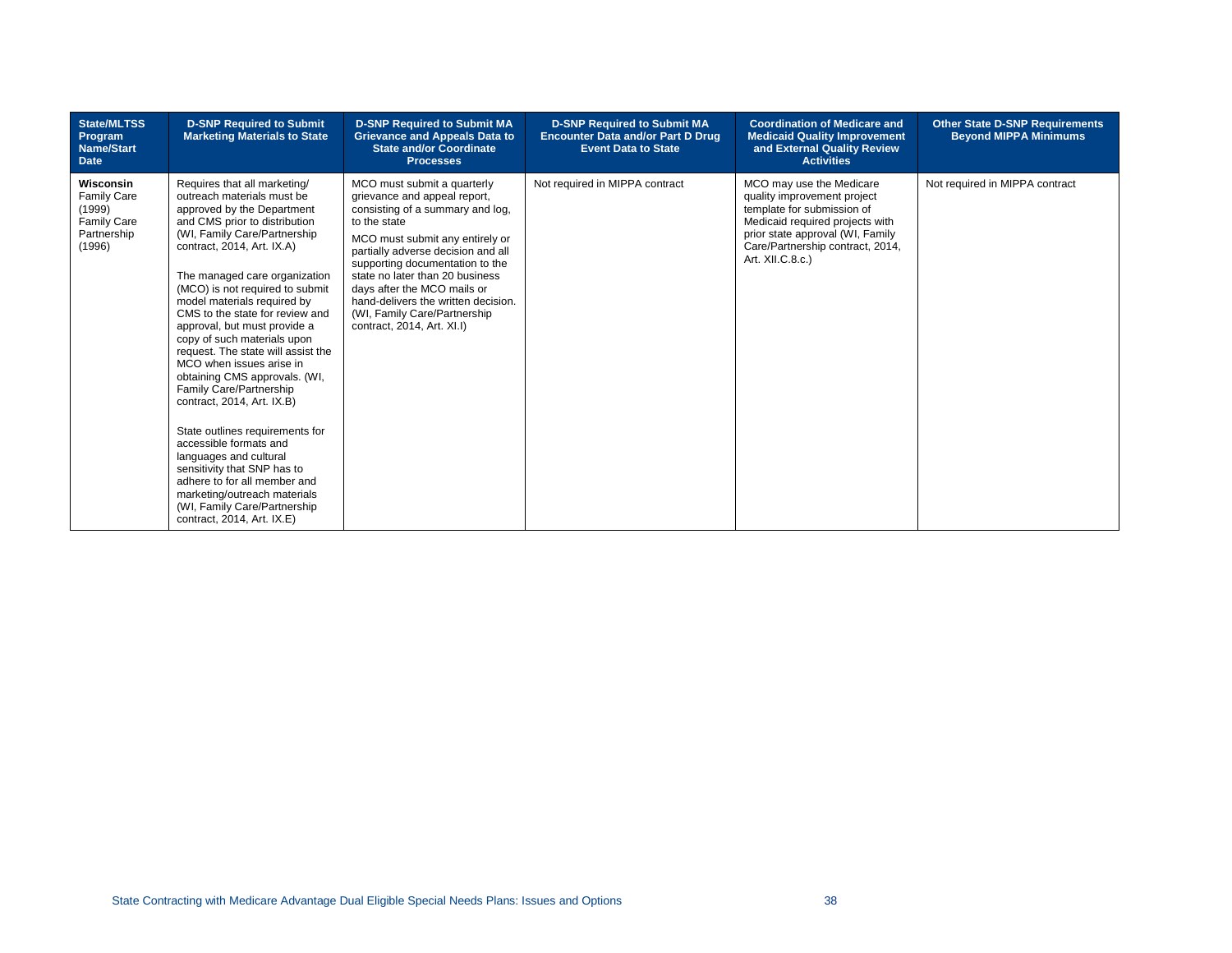| State/MLTSS<br>Program<br><b>Name/Start</b><br><b>Date</b>                               | <b>D-SNP Required to Submit</b><br><b>Marketing Materials to State</b>                                                                                                                                                                                                                                                                                                                                                                                                                                                                                                                                                                                                                                                                                                                                       | <b>D-SNP Required to Submit MA</b><br><b>Grievance and Appeals Data to</b><br><b>State and/or Coordinate</b><br><b>Processes</b>                                                                                                                                                                                                                                                                   | <b>D-SNP Required to Submit MA</b><br><b>Encounter Data and/or Part D Drug</b><br><b>Event Data to State</b> | <b>Coordination of Medicare and</b><br><b>Medicaid Quality Improvement</b><br>and External Quality Review<br><b>Activities</b>                                                                                       | <b>Other State D-SNP Requirements</b><br><b>Beyond MIPPA Minimums</b> |
|------------------------------------------------------------------------------------------|--------------------------------------------------------------------------------------------------------------------------------------------------------------------------------------------------------------------------------------------------------------------------------------------------------------------------------------------------------------------------------------------------------------------------------------------------------------------------------------------------------------------------------------------------------------------------------------------------------------------------------------------------------------------------------------------------------------------------------------------------------------------------------------------------------------|----------------------------------------------------------------------------------------------------------------------------------------------------------------------------------------------------------------------------------------------------------------------------------------------------------------------------------------------------------------------------------------------------|--------------------------------------------------------------------------------------------------------------|----------------------------------------------------------------------------------------------------------------------------------------------------------------------------------------------------------------------|-----------------------------------------------------------------------|
| Wisconsin<br><b>Family Care</b><br>(1999)<br><b>Family Care</b><br>Partnership<br>(1996) | Requires that all marketing/<br>outreach materials must be<br>approved by the Department<br>and CMS prior to distribution<br>(WI, Family Care/Partnership<br>contract, 2014, Art. IX.A)<br>The managed care organization<br>(MCO) is not required to submit<br>model materials required by<br>CMS to the state for review and<br>approval, but must provide a<br>copy of such materials upon<br>request. The state will assist the<br>MCO when issues arise in<br>obtaining CMS approvals. (WI,<br>Family Care/Partnership<br>contract, 2014, Art. IX.B)<br>State outlines requirements for<br>accessible formats and<br>languages and cultural<br>sensitivity that SNP has to<br>adhere to for all member and<br>marketing/outreach materials<br>(WI, Family Care/Partnership<br>contract, 2014, Art. IX.E) | MCO must submit a quarterly<br>grievance and appeal report,<br>consisting of a summary and log.<br>to the state<br>MCO must submit any entirely or<br>partially adverse decision and all<br>supporting documentation to the<br>state no later than 20 business<br>days after the MCO mails or<br>hand-delivers the written decision.<br>(WI, Family Care/Partnership<br>contract, 2014, Art. XI.I) | Not required in MIPPA contract                                                                               | MCO may use the Medicare<br>quality improvement project<br>template for submission of<br>Medicaid required projects with<br>prior state approval (WI, Family<br>Care/Partnership contract, 2014,<br>Art. XII.C.8.c.) | Not required in MIPPA contract                                        |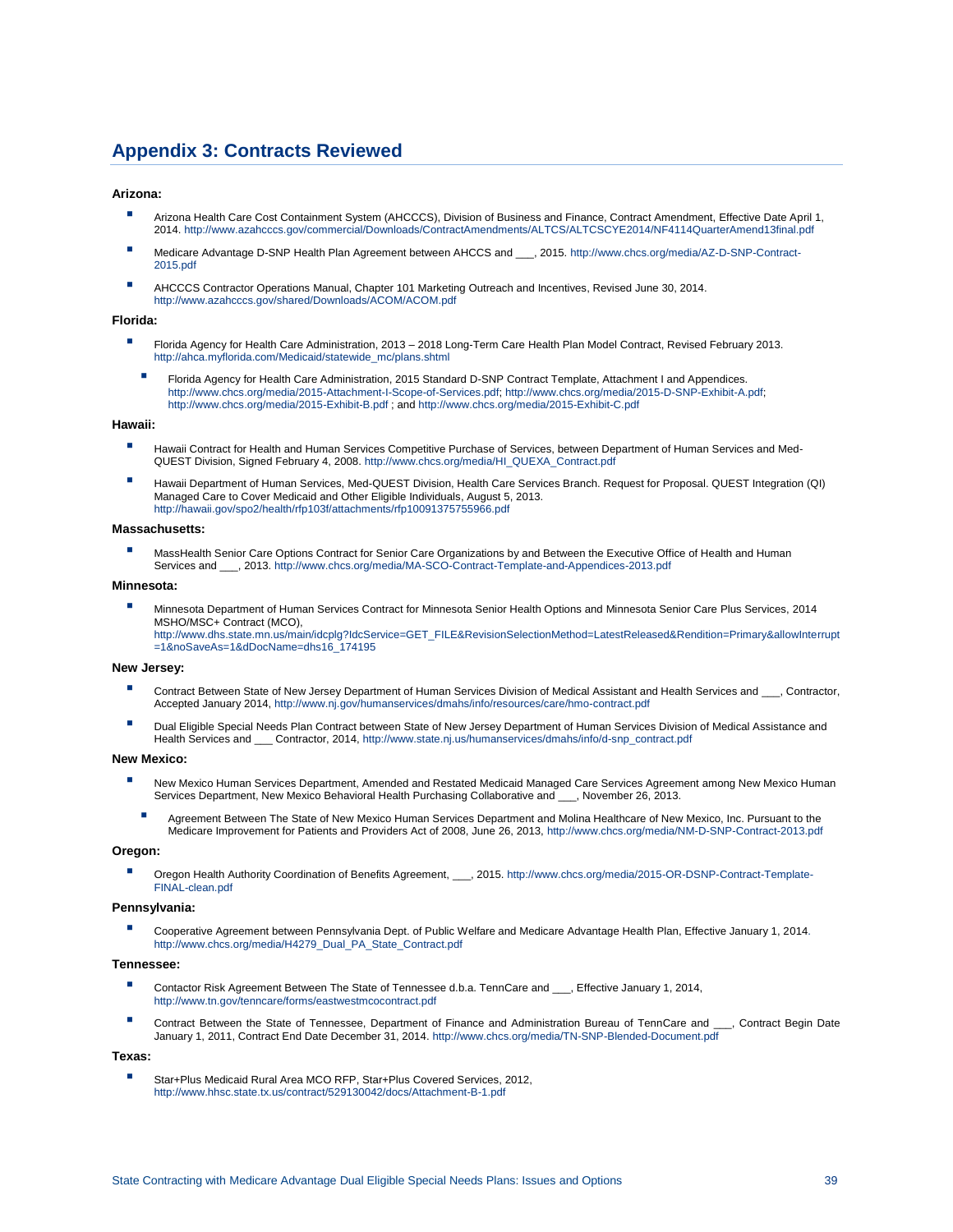# **Appendix 3: Contracts Reviewed**

#### **Arizona:**

- Arizona Health Care Cost Containment System (AHCCCS), Division of Business and Finance, Contract Amendment, Effective Date April 1, 2014[. http://www.azahcccs.gov/commercial/Downloads/ContractAmendments/ALTCS/ALTCSCYE2014/NF4114QuarterAmend13final.pdf](http://www.azahcccs.gov/commercial/Downloads/ContractAmendments/ALTCS/ALTCSCYE2014/NF4114QuarterAmend13final.pdf)
- Medicare Advantage D-SNP Health Plan Agreement between AHCCS and \_\_\_, 2015[. http://www.chcs.org/media/AZ-D-SNP-Contract-](http://www.chcs.org/media/AZ-D-SNP-Contract-2015.pdf)[2015.pdf](http://www.chcs.org/media/AZ-D-SNP-Contract-2015.pdf)
- AHCCCS Contractor Operations Manual, Chapter 101 Marketing Outreach and Incentives, Revised June 30, 2014. <http://www.azahcccs.gov/shared/Downloads/ACOM/ACOM.pdf>

#### **Florida:**

- Florida Agency for Health Care Administration, 2013 2018 Long-Term Care Health Plan Model Contract, Revised February 2013. [http://ahca.myflorida.com/Medicaid/statewide\\_mc/plans.shtml](http://ahca.myflorida.com/Medicaid/statewide_mc/plans.shtml)
	- Florida Agency for Health Care Administration, 2015 Standard D-SNP Contract Template, Attachment I and Appendices.<br>[http://www.chcs.org/media/2015-Attachment-I-Scope-of-Services.pdf;](http://www.chcs.org/media/2015-Attachment-I-Scope-of-Services.pdf) http://www.chcs.org/media/2015-D-SNP-Exh <http://www.chcs.org/media/2015-Exhibit-B.pdf> ; an[d http://www.chcs.org/media/2015-Exhibit-C.pdf](http://www.chcs.org/media/2015-Exhibit-C.pdf)

#### **Hawaii:**

- Hawaii Contract for Health and Human Services Competitive Purchase of Services, between Department of Human Services and Med-QUEST Division, Signed February 4, 2008[. http://www.chcs.org/media/HI\\_QUEXA\\_Contract.pdf](http://www.chcs.org/media/HI_QUEXA_Contract.pdf)
- Hawaii Department of Human Services, Med-QUEST Division, Health Care Services Branch. Request for Proposal. QUEST Integration (QI) Managed Care to Cover Medicaid and Other Eligible Individuals, August 5, 2013. <http://hawaii.gov/spo2/health/rfp103f/attachments/rfp10091375755966.pdf>

#### **Massachusetts:**

MassHealth Senior Care Options Contract for Senior Care Organizations by and Between the Executive Office of Health and Human Services and \_\_\_, 2013[. http://www.chcs.org/media/MA-SCO-Contract-Template-and-Appendices-2013.pdf](http://www.chcs.org/media/MA-SCO-Contract-Template-and-Appendices-2013.pdf)

#### **Minnesota:**

▪ Minnesota Department of Human Services Contract for Minnesota Senior Health Options and Minnesota Senior Care Plus Services, 2014 MSHO/MSC+ Contract (MCO), [http://www.dhs.state.mn.us/main/idcplg?IdcService=GET\\_FILE&RevisionSelectionMethod=LatestReleased&Rendition=Primary&allowInterrupt](http://www.dhs.state.mn.us/main/idcplg?IdcService=GET_FILE&RevisionSelectionMethod=LatestReleased&Rendition=Primary&allowInterrupt=1&noSaveAs=1&dDocName=dhs16_174195) [=1&noSaveAs=1&dDocName=dhs16\\_174195](http://www.dhs.state.mn.us/main/idcplg?IdcService=GET_FILE&RevisionSelectionMethod=LatestReleased&Rendition=Primary&allowInterrupt=1&noSaveAs=1&dDocName=dhs16_174195)

#### **New Jersey:**

- Contract Between State of New Jersey Department of Human Services Division of Medical Assistant and Health Services and \_\_\_, Contractor, Accepted January 2014[, http://www.nj.gov/humanservices/dmahs/info/resources/care/hmo-contract.pdf](http://www.nj.gov/humanservices/dmahs/info/resources/care/hmo-contract.pdf)
- Dual Eligible Special Needs Plan Contract between State of New Jersey Department of Human Services Division of Medical Assistance and Health Services and \_\_\_ Contractor, 2014[, http://www.state.nj.us/humanservices/dmahs/info/d-snp\\_contract.pdf](http://www.state.nj.us/humanservices/dmahs/info/d-snp_contract.pdf)

#### **New Mexico:**

- New Mexico Human Services Department, Amended and Restated Medicaid Managed Care Services Agreement among New Mexico Human Services Department, New Mexico Behavioral Health Purchasing Collaborative and \_\_\_, November 26, 2013.
	- **E** Agreement Between The State of New Mexico Human Services Department and Molina Healthcare of New Mexico, Inc. Pursuant to the Medicare Improvement for Patients and Providers Act of 2008, June 26, 2013[, http://www.chcs.org/media/NM-D-SNP-Contract-2013.pdf](http://www.chcs.org/media/NM-D-SNP-Contract-2013.pdf)

#### **Oregon:**

▪ Oregon Health Authority Coordination of Benefits Agreement, \_\_\_, 2015. [http://www.chcs.org/media/2015-OR-DSNP-Contract-Template-](http://www.chcs.org/media/2015-OR-DSNP-Contract-Template-FINAL-clean.pdf)[FINAL-clean.pdf](http://www.chcs.org/media/2015-OR-DSNP-Contract-Template-FINAL-clean.pdf)

#### **Pennsylvania:**

Cooperative Agreement between Pennsylvania Dept. of Public Welfare and Medicare Advantage Health Plan, Effective January 1, 2014. [http://www.chcs.org/media/H4279\\_Dual\\_PA\\_State\\_Contract.pdf](http://www.chcs.org/media/H4279_Dual_PA_State_Contract.pdf)

#### **Tennessee:**

- Contactor Risk Agreement Between The State of Tennessee d.b.a. TennCare and \_\_\_, Effective January 1, 2014, <http://www.tn.gov/tenncare/forms/eastwestmcocontract.pdf>
- Contract Between the State of Tennessee, Department of Finance and Administration Bureau of TennCare and \_\_\_, Contract Begin Date January 1, 2011, Contract End Date December 31, 2014.<http://www.chcs.org/media/TN-SNP-Blended-Document.pdf>

#### **Texas:**

Star+Plus Medicaid Rural Area MCO RFP, Star+Plus Covered Services, 2012, <http://www.hhsc.state.tx.us/contract/529130042/docs/Attachment-B-1.pdf>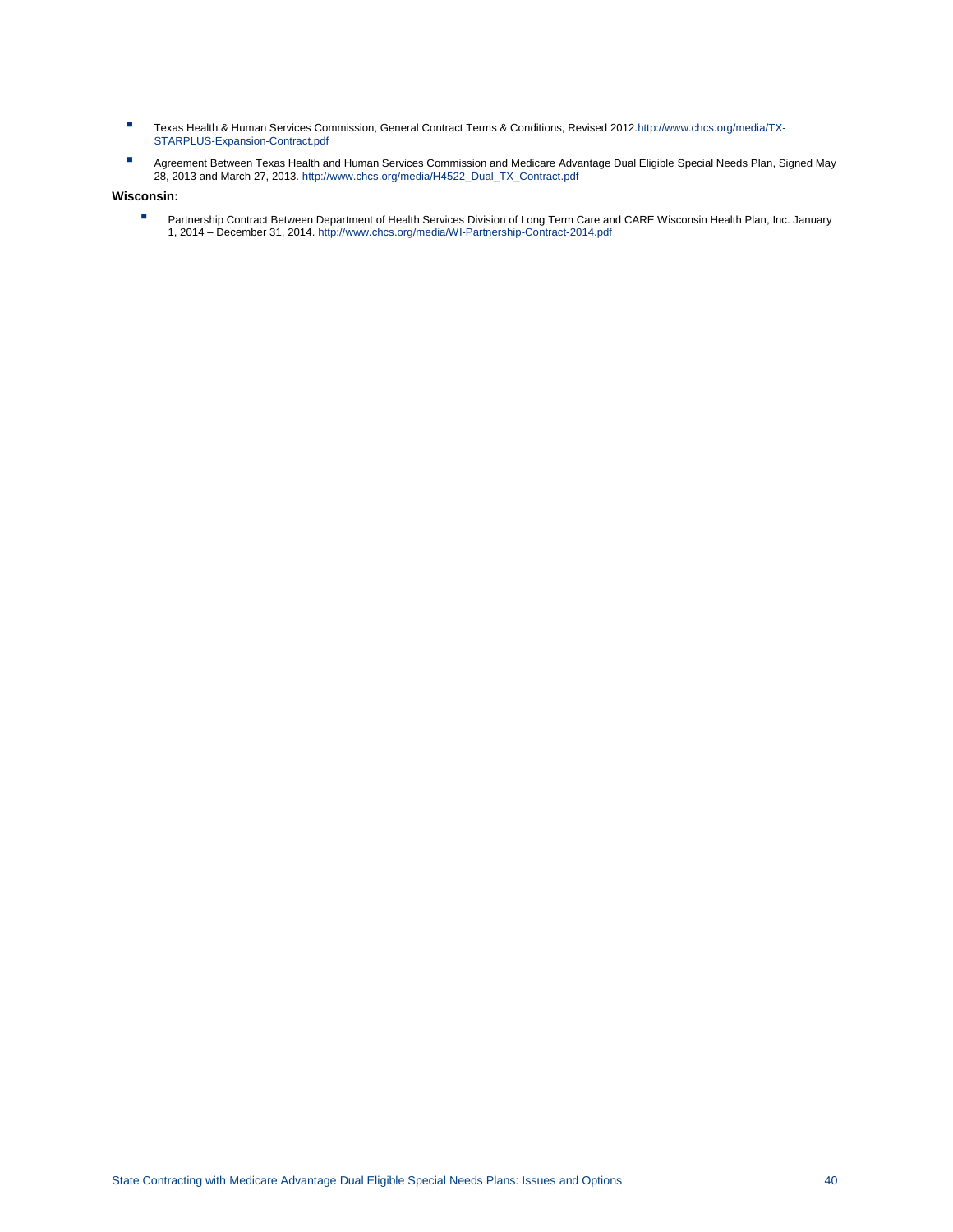- Texas Health & Human Services Commission, General Contract Terms & Conditions, Revised 2012[.http://www.chcs.org/media/TX-](http://www.chcs.org/media/TX-STARPLUS-Expansion-Contract.pdf)[STARPLUS-Expansion-Contract.pdf](http://www.chcs.org/media/TX-STARPLUS-Expansion-Contract.pdf)
- Agreement Between Texas Health and Human Services Commission and Medicare Advantage Dual Eligible Special Needs Plan, Signed May 28, 2013 and March 27, 2013[. http://www.chcs.org/media/H4522\\_Dual\\_TX\\_Contract.pdf](http://www.chcs.org/media/H4522_Dual_TX_Contract.pdf)

#### **Wisconsin:**

■ Partnership Contract Between Department of Health Services Division of Long Term Care and CARE Wisconsin Health Plan, Inc. January<br>1, 2014 – December 31, 2014[. http://www.chcs.org/media/WI-Partnership-Contract-2014.pdf](http://www.chcs.org/media/WI-Partnership-Contract-2014.pdf)